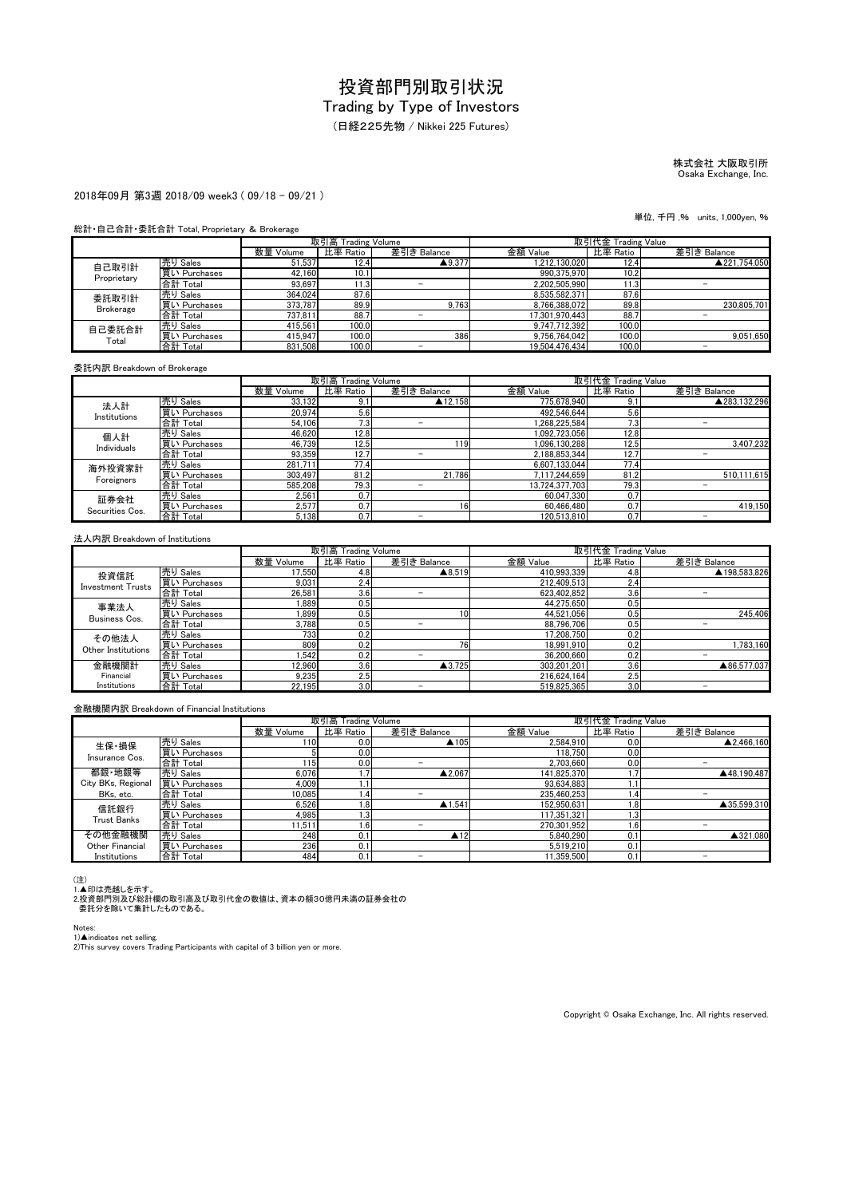(日経225先物 / Nikkei 225 Futures)

## 株式会社 大阪取引所 Osaka Exchange, Inc.

#### 2018年09月 第3週 2018/09 week3 ( 09/18 - 09/21 )

#### 総計・自己合計・委託合計 Total, Proprietary & Brokerage

|                  |              | 取引高 Trading Volume |          |                   | 取引代金 Trading Value |          |              |
|------------------|--------------|--------------------|----------|-------------------|--------------------|----------|--------------|
|                  |              | 数量 Volume          | 比率 Ratio | 差引き Balance       | 金額 Value           | 比率 Ratio | 差引き Balance  |
| 自己取引計            | 売り Sales     | 51.537             | 12.4     | $\triangle$ 9.377 | 1.212.130.020      | 12.4     | ▲221.754.050 |
| Proprietary      | 買い Purchases | 42,160             | 10.1     |                   | 990.375.970        | 10.2     |              |
|                  | 合計 Total     | 93.697             | 11.3     |                   | 2.202.505.990      | 1.3      |              |
| 委託取引計            | 売り Sales     | 364.024            | 87.6     |                   | 8.535.582.371      | 87.6     |              |
| <b>Brokerage</b> | 買い Purchases | 373.787            | 89.9     | 9.763             | 8.766.388.072      | 89.8     | 230.805.701  |
|                  | 合計 Total     | 737.811            | 88.7     |                   | 17.301.970.443     | 88.7     |              |
| 自己委託合計<br>Total  | 売り Sales     | 415.561            | 100.0    |                   | 9.747.712.392      | 100.0    |              |
|                  | 買い Purchases | 415.947            | 100.0    | 386               | 9.756.764.042      | 100.0    | 9.051.650    |
|                  | 合計 Total     | 831.508            | 100.0    |                   | 19.504.476.434     | 100.0    | -            |

委託内訳 Breakdown of Brokerage

|                         |              |           | 取引高 Trading Volume |             |                | 取引代金 Trading Value |              |
|-------------------------|--------------|-----------|--------------------|-------------|----------------|--------------------|--------------|
|                         |              | 数量 Volume | 比率 Ratio           | 差引き Balance | 金額 Value       | 比率 Ratio           | 差引き Balance  |
| 法人計                     | 売り Sales     | 33,132    | 9.1                | ▲12.158     | 775.678.940    | 9.1                | ▲283.132.296 |
| Institutions            | 買い Purchases | 20.974    | 5.6                |             | 492.546.644    | 5.6                |              |
|                         | 合計 Total     | 54.106    | 7.3                | -           | 1.268.225.584  | 7.3                |              |
| 個人計                     | 売り Sales     | 46,620    | 12.8               |             | 1.092.723.056  | 12.8               |              |
| Individuals             | 買い Purchases | 46.739    | 12.5               | 119         | 1.096.130.288  | 12.5               | 3.407.232    |
|                         | 合計 Total     | 93,359    | 12.7               | -           | 2.188.853.344  | 12.7               |              |
| 海外投資家計                  | 売り Sales     | 281.711   | 77.4               |             | 6.607.133.044  | 77.4               |              |
| Foreigners              | 買い Purchases | 303.497   | 81.2               | 21.786      | 7.117.244.659  | 81.2               | 510,111,615  |
|                         | 合計 Total     | 585.208   | 79.3               |             | 13.724.377.703 | 79.3               |              |
| 証券会社<br>Securities Cos. | 売り Sales     | 2.561     | 0.7                |             | 60.047.330     | 0.7                |              |
|                         | 買い Purchases | 2.577     | 0.7                | 16          | 60.466.480     | 0.7                | 419.150      |
|                         | 合計 Total     | 5.138     | 0.7                |             | 120.513.810    | 0.7                |              |

#### 法人内訳 Breakdown of Institutions

|                          |              |           | 取引高 Trading Volume |                   | 取引代金 Trading Value |          |              |
|--------------------------|--------------|-----------|--------------------|-------------------|--------------------|----------|--------------|
|                          |              | 数量 Volume | 比率 Ratio           | 差引き Balance       | 金額 Value           | 比率 Ratio | 差引き Balance  |
| 投資信託                     | 売り Sales     | 17.550    | 4.8                | $\triangle 8,519$ | 410,993,339        | 4.8      | ▲198.583.826 |
| <b>Investment Trusts</b> | 買い Purchases | 9,031     | 2.4                |                   | 212.409.513        | 2.4      |              |
|                          | 合計 Total     | 26.581    | 3.6                | -                 | 623.402.852        | 3.6      |              |
| 事業法人                     | 売り Sales     | 1.889     | 0.5                |                   | 44.275.650         | 0.5      |              |
| Business Cos.            | 買い Purchases | 1.899     | 0.5                | 10                | 44.521.056         | 0.5      | 245.406      |
|                          | 合計 Total     | 3.788     | 0.5                | -                 | 88.796.706         | 0.5      | -            |
| その他法人                    | 売り Sales     | 733       | 0.2                |                   | 17.208.750         | 0.2      |              |
| Other Institutions       | 買い Purchases | 809       | 0.2                | 76                | 18.991.910         | 0.2      | 1.783.160    |
|                          | 合計 Total     | 1.542     | 0.2                | -                 | 36.200.660         | 0.2      | -            |
| 金融機関計                    | 売り Sales     | 12.960    | 3.6                | $\triangle$ 3.725 | 303.201.201        | 3.6      | ▲86.577.037  |
| Financial                | 買い Purchases | 9,235     | 2.5                |                   | 216.624.164        | 2.5      |              |
| Institutions             | 合計 Total     | 22.195    | 3.0                | -                 | 519.825.365        | 3.0      |              |

#### 金融機関内訳 Breakdown of Financial Institutions

|                         |              |           | 取引高 Trading Volume |                        | 取引代金 Trading Value |                  |             |
|-------------------------|--------------|-----------|--------------------|------------------------|--------------------|------------------|-------------|
|                         |              | 数量 Volume | 比率 Ratio           | 差引き Balance            | 金額 Value           | 比率 Ratio         | 差引き Balance |
| 生保·損保<br>Insurance Cos. | 売り Sales     | 1101      | 0.0                | ▲105                   | 2,584,910          | 0.0              | ▲2.466.160  |
|                         | 買い Purchases |           | 0.0                |                        | 118.750            | 0.0              |             |
|                         | 合計 Total     | 1151      | 0.0                |                        | 2.703.660          | 0.0              | -           |
| 都銀·地銀等                  | 売り Sales     | 6.076     |                    | $\triangle$ 2.067      | 141.825.370        |                  | ▲48.190.487 |
| City BKs, Regional      | 買い Purchases | 4.009     |                    |                        | 93.634.883         | ι.               |             |
| BKs, etc.               | 合計 Total     | 10,085    | 1.4                |                        | 235.460.253        | 1.4              | -           |
| 信託銀行                    | 売り Sales     | 6.526     | 1.8                | $\blacktriangle$ 1.541 | 152.950.631        | 1.8              | ▲35.599.310 |
| Trust Banks             | 買い Purchases | 4.985     | 1.3 <sub>l</sub>   |                        | 117,351,321        | 1.3 <sup>1</sup> |             |
|                         | 合計 Total     | 11.511    | 1.6                |                        | 270.301.952        | $1.6^{\circ}$    |             |
| その他金融機関                 | 売り Sales     | 248       | 0.1                | $\blacktriangle$ 12    | 5.840.290          | 0.1              | ▲321.080    |
| Other Financial         | 買い Purchases | 236       | 0.1                |                        | 5.519.210          | 0.1              |             |
| Institutions            | 合計 Total     | 484       | 0.1                |                        | 11.359.500         | 0.1              |             |

(注)<br>1.▲印は売越しを示す。<br>2.投資部門別及び総計欄の取引高及び取引代金の数値は、資本の額30億円未満の証券会社の<br>- 委託分を除いて集計したものである。

Notes:

1)▲indicates net selling.<br>2)This survey covers Trading Participants with capital of 3 billion yen or more.

Copyright © Osaka Exchange, Inc. All rights reserved.

単位, 千円 ,% units, 1,000yen, %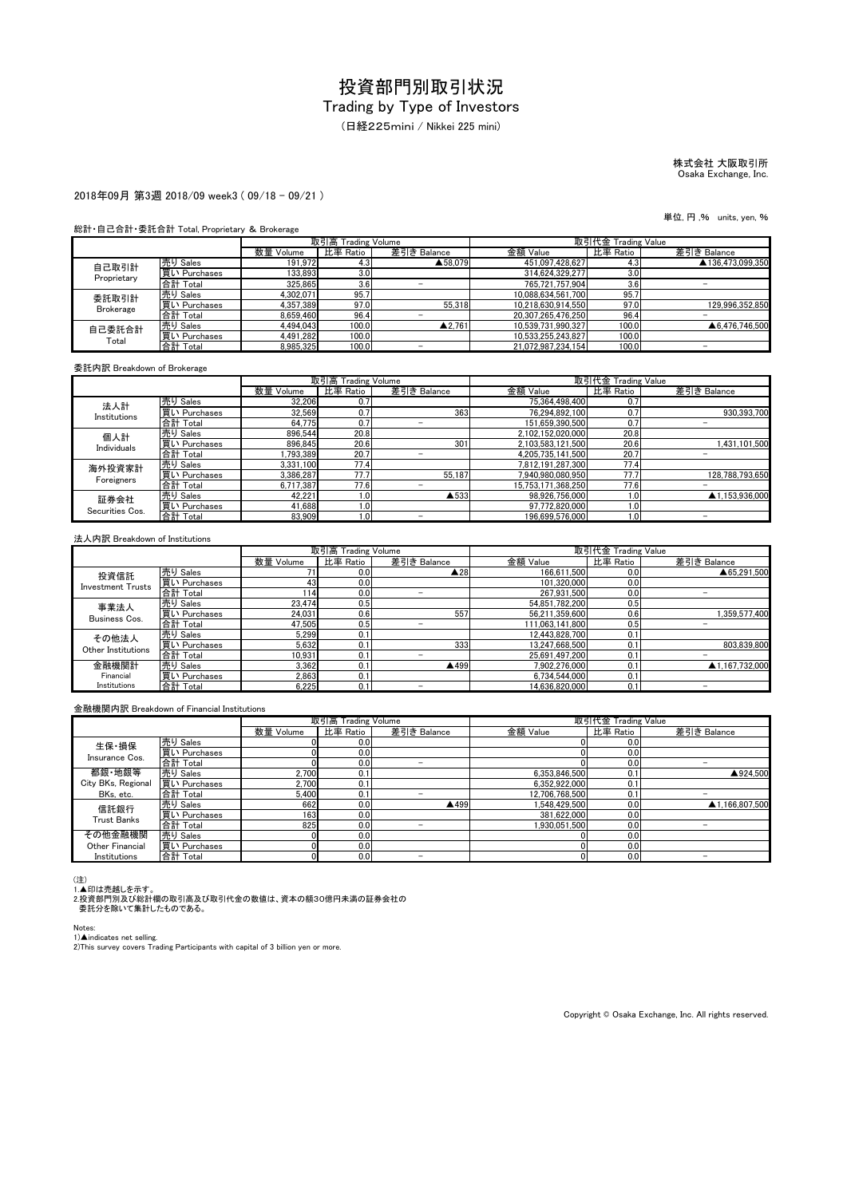(日経225mini / Nikkei 225 mini)

# 株式会社 大阪取引所 Osaka Exchange, Inc.

#### 2018年09月 第3週 2018/09 week3 ( 09/18 - 09/21 )

#### 総計・自己合計・委託合計 Total, Proprietary & Brokerage

|                  |              | 取引高 Trading Volume |          |             | 取引代金 Trading Value |          |                  |
|------------------|--------------|--------------------|----------|-------------|--------------------|----------|------------------|
|                  |              | 数量 Volume          | 比率 Ratio | 差引き Balance | 金額 Value           | 比率 Ratio | 差引き Balance      |
| 自己取引計            | 売り Sales     | 191.972            | 4.3      | ▲58.079     | 451.097.428.627    | 4.3      | ▲136.473.099.350 |
| Proprietary      | 買い Purchases | 133.893            | 3.0      |             | 314.624.329.277    | 3.0      |                  |
|                  | 合計 Total     | 325.865            | 3.6      |             | 765.721.757.904    | 3.6      |                  |
| 委託取引計            | 売り Sales     | 4.302.071          | 95.7     |             | 10.088.634.561.700 | 95.7     |                  |
| <b>Brokerage</b> | 買い Purchases | 4.357.389          | 97.0     | 55.318      | 10.218.630.914.550 | 97.0     | 129.996.352.850  |
|                  | 合計 Total     | 8.659.460          | 96.4     |             | 20.307.265.476.250 | 96.4     |                  |
| 自己委託合計<br>Total  | 売り Sales     | 4.494.043          | 100.0    | ▲2.761      | 10.539.731.990.327 | 100.0    | ▲6.476.746.500   |
|                  | 買い Purchases | 4.491.282          | 100.0    |             | 10.533.255.243.827 | 100.0    |                  |
|                  | 合計 Total     | 8.985.325          | 100.0    |             | 21.072.987.234.154 | 100.0    | -                |

#### 委託内訳 Breakdown of Brokerage

|                         |              |           | 取引高 Trading Volume |             |                    | 取引代金 Trading Value |                 |
|-------------------------|--------------|-----------|--------------------|-------------|--------------------|--------------------|-----------------|
|                         |              | 数量 Volume | 比率 Ratio           | 差引き Balance | 金額 Value           | 比率 Ratio           | 差引き Balance     |
| 法人計                     | 売り Sales     | 32,206    | 0.7                |             | 75,364,498,400     | 0.7                |                 |
| Institutions            | 買い Purchases | 32.569    | 0.7                | 363         | 76.294.892.100     | 0.7                | 930.393.700     |
|                         | 合計 Total     | 64.775    | 0.7                | -           | 151.659.390.500    | 0.7                |                 |
| 個人計                     | 売り Sales     | 896,544   | 20.8               |             | 2,102,152,020,000  | 20.8               |                 |
| Individuals             | 買い Purchases | 896.845   | 20.6               | 301         | 2.103.583.121.500  | 20.6               | 1,431,101,500   |
|                         | 合計 Total     | .793.389  | 20.7               |             | 4.205.735.141.500  | 20.7               |                 |
| 海外投資家計                  | 売り Sales     | 3.331.100 | 77.4               |             | 7.812.191.287.300  | 77.4               |                 |
| Foreigners              | 買い Purchases | 3,386,287 | 77.7               | 55.187      | 7,940,980,080,950  | 77.7               | 128,788,793,650 |
|                         | 合計 Total     | 6.717.387 | 77.6               |             | 15.753.171.368.250 | 77.6               |                 |
| 証券会社<br>Securities Cos. | 売り Sales     | 42.221    | 1.0 <sub>l</sub>   | ▲533        | 98.926.756.000     | 1.0                | ▲1.153.936.000  |
|                         | 買い Purchases | 41,688    | 1.0                |             | 97,772,820,000     | 1.0                |                 |
|                         | 合計 Total     | 83.909    | 1.0 <sup>1</sup>   |             | 196.699.576.000    | 1.0                |                 |

#### 法人内訳 Breakdown of Institutions

|                          |              |           | 取引高 Trading Volume |                     | 取引代金 Trading Value |          |                |
|--------------------------|--------------|-----------|--------------------|---------------------|--------------------|----------|----------------|
|                          |              | 数量 Volume | 比率 Ratio           | 差引き Balance         | 金額 Value           | 比率 Ratio | 差引き Balance    |
| 投資信託                     | 売り Sales     |           | 0.0                | $\blacktriangle$ 28 | 166.611.500        | 0.0      | ▲65.291.500    |
| <b>Investment Trusts</b> | 買い Purchases | 43        | 0.0                |                     | 101.320.000        | 0.0      |                |
|                          | 合計 Total     | 14        | 0.0                |                     | 267.931.500        | 0.0      |                |
| 事業法人                     | 売り Sales     | 23.474    | 0.5                |                     | 54.851.782.200     | 0.5      |                |
| Business Cos.            | 買い Purchases | 24.031    | 0.6                | 557                 | 56.211.359.600     | 0.6      | 1.359.577.400  |
|                          | 合計 Total     | 47.505    | 0.5                |                     | 111.063.141.800    | 0.5      |                |
| その他法人                    | 売り Sales     | 5.299     | 0.1                |                     | 12.443.828.700     | 0.1      |                |
| Other Institutions       | 買い Purchases | 5.632     | 0.1                | 333                 | 13,247,668,500     | 0.       | 803.839.800    |
|                          | 合計 Total     | 10.931    | 0.1                |                     | 25,691,497,200     | 0.1      |                |
| 金融機関計                    | 売り Sales     | 3.362     | 0.1                | ▲499                | 7.902.276.000      | 0.1      | ▲1.167.732.000 |
| Financial                | 買い Purchases | 2.863     | 0.1                |                     | 6.734.544.000      | 0.1      |                |
| Institutions             | 合計 Total     | 6.225     | 0.1                | -                   | 14.636.820.000     | 0.1      |                |

#### 金融機関内訳 Breakdown of Financial Institutions

|                         |              |           | 取引高 Trading Volume |             | 取引代金 Trading Value |          |                |
|-------------------------|--------------|-----------|--------------------|-------------|--------------------|----------|----------------|
|                         |              | 数量 Volume | 比率 Ratio           | 差引き Balance | 金額 Value           | 比率 Ratio | 差引き Balance    |
| 生保·損保<br>Insurance Cos. | 売り Sales     |           | 0.0 <sub>l</sub>   |             |                    | 0.0      |                |
|                         | 買い Purchases |           | 0.0                |             |                    | 0.0      |                |
|                         | 合計 Total     |           | 0.0                | -           |                    | 0.0      | -              |
| 都銀·地銀等                  | 売り Sales     | 2.700     | 0.1                |             | 6.353.846.500      | 0.1      | ▲924.500       |
| City BKs, Regional      | 買い Purchases | 2.700     | 0.1                |             | 6,352,922,000      | 0.1      |                |
| BKs, etc.               | 合計 Total     | 5.400     | 0.1                |             | 12.706.768.500     | 0.1      | -              |
| 信託銀行                    | 売り Sales     | 662       | 0.0                | ▲499        | 1.548.429.500      | 0.0      | ▲1.166.807.500 |
| <b>Trust Banks</b>      | 買い Purchases | 163       | 0.0                |             | 381.622.000        | 0.0      |                |
|                         | 合計 Total     | 825       | 0.0                |             | 1.930.051.500      | 0.0      |                |
| その他金融機関                 | 売り Sales     |           | 0.0                |             |                    | 0.0      |                |
| Other Financial         | 買い Purchases |           | 0.0                |             |                    | 0.0      |                |
| Institutions            | 合計 Total     |           | 0.0                |             |                    | 0.0      |                |

(注)<br>1.▲印は売越しを示す。<br>2.投資部門別及び総計欄の取引高及び取引代金の数値は、資本の額30億円未満の証券会社の<br>- 委託分を除いて集計したものである。

Notes:

1)▲indicates net selling.<br>2)This survey covers Trading Participants with capital of 3 billion yen or more.

Copyright © Osaka Exchange, Inc. All rights reserved.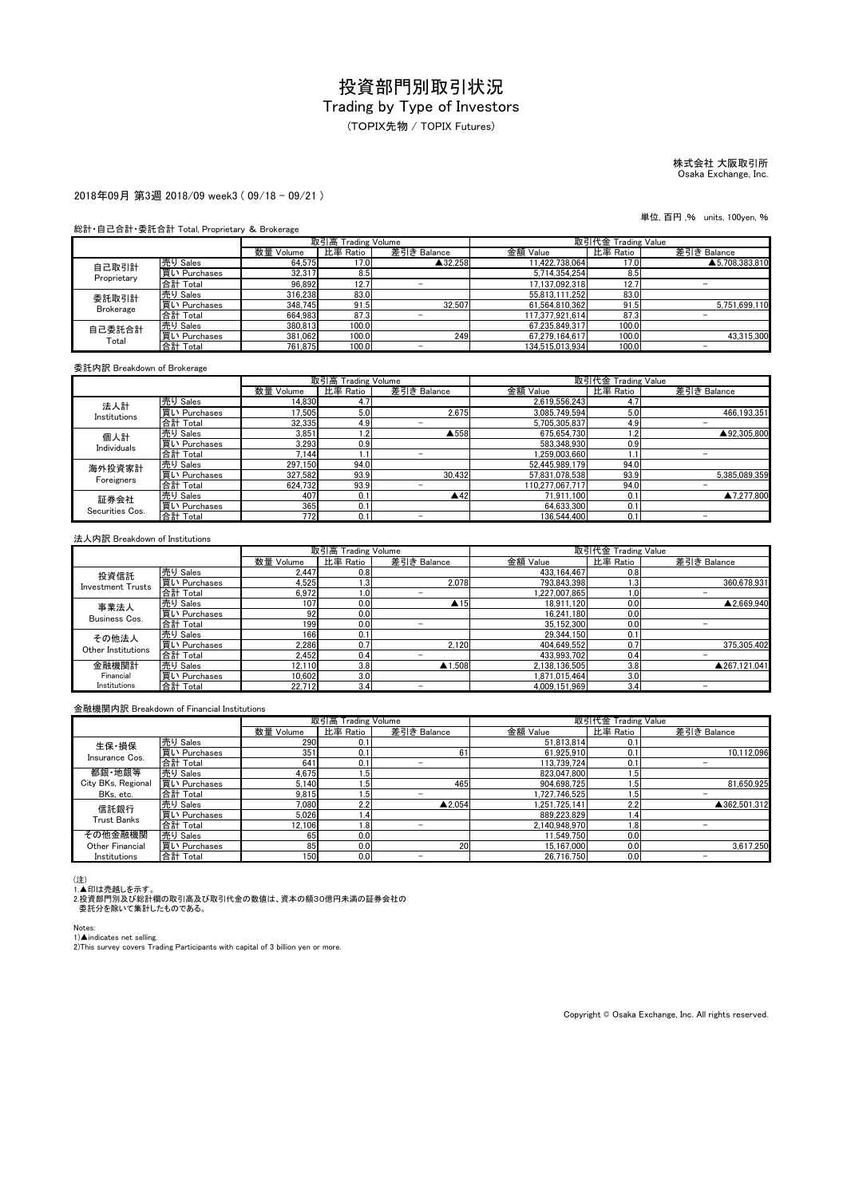(TOPIX先物 / TOPIX Futures)

# 株式会社 大阪取引所 Osaka Exchange, Inc.

単位, 百円 ,% units, 100yen, %

#### 2018年09月 第3週 2018/09 week3 ( 09/18 - 09/21 )

#### 総計・自己合計・委託合計 Total, Proprietary & Brokerage

|                  |              | 取引高 Trading Volume |          |             | 取引代金 Trading Value |          |                |
|------------------|--------------|--------------------|----------|-------------|--------------------|----------|----------------|
|                  |              | 数量 Volume          | 比率 Ratio | 差引き Balance | 金額 Value           | 比率 Ratio | 差引き Balance    |
| 自己取引計            | 売り Sales     | 64.575             | 17.0     | ▲32.258     | 11.422.738.064     | 17.0     | ▲5.708.383.810 |
| Proprietary      | 買い Purchases | 32,317             | 8.5      |             | 5.714.354.254      | 8.5      |                |
|                  | 合計 Total     | 96,892             | 12.7     |             | 17.137.092.318     | 12.7     |                |
| 委託取引計            | 売り Sales     | 316,238            | 83.0     |             | 55.813.111.252     | 83.0     |                |
| <b>Brokerage</b> | 買い Purchases | 348.745            | 91.5     | 32.507      | 61.564.810.362     | 91.5     | 5.751.699.110  |
|                  | 合計 Total     | 664.983            | 87.3     |             | 117.377.921.614    | 87.3     |                |
| 自己委託合計<br>Total  | 売り Sales     | 380.813            | 100.0    |             | 67.235.849.317     | 100.0    |                |
|                  | 買い Purchases | 381.062            | 100.0    | 249         | 67.279.164.617     | 100.0    | 43.315.300     |
|                  | 合計 Total     | 761,875            | 100.0    |             | 134.515.013.934    | 100.0    | -              |

委託内訳 Breakdown of Brokerage

|                         |              |           | 取引高 Trading Volume |             | 取引代金 Trading Value |          |               |
|-------------------------|--------------|-----------|--------------------|-------------|--------------------|----------|---------------|
|                         |              | 数量 Volume | 比率 Ratio           | 差引き Balance | 金額 Value           | 比率 Ratio | 差引き Balance   |
| 法人計                     | 売り Sales     | 14.830    | 4.7                |             | 2.619.556.243      | 4.7      |               |
| Institutions            | 買い Purchases | 17.505    | 5.0                | 2.675       | 3.085.749.594      | 5.0      | 466.193.351   |
|                         | 合計 Total     | 32.335    | 4.9                |             | 5.705.305.837      | 4.9      | -             |
| 個人計                     | 売り Sales     | 3.851     | 1.2                | ▲558        | 675.654.730        | 2. ا     | ▲92.305.800   |
| Individuals             | 買い Purchases | 3.293     | 0.9                |             | 583.348.930        | 0.9      |               |
|                         | 合計 Total     | 7.144     | 1.1                |             | 1.259.003.660      |          |               |
| 海外投資家計                  | 売り Sales     | 297.150   | 94.0               |             | 52.445.989.179     | 94.0     |               |
| Foreigners              | 買い Purchases | 327,582   | 93.9               | 30.432      | 57,831,078,538     | 93.9     | 5.385.089.359 |
|                         | 合計 Total     | 624.732   | 93.9               |             | 110.277.067.717    | 94.0     |               |
| 証券会社<br>Securities Cos. | 売り Sales     | 407       | 0.1                | 442         | 71.911.100         | 0.1      | ▲7.277.800    |
|                         | 買い Purchases | 365       | 0.1                |             | 64.633.300         | 0.1      |               |
|                         | 合計 Total     | 772       | 0.1                |             | 136.544.400        | 0.1      |               |

#### 法人内訳 Breakdown of Institutions

|                          |              |           | 取引高 Trading Volume |                     | 取引代金 Trading Value |                  |              |
|--------------------------|--------------|-----------|--------------------|---------------------|--------------------|------------------|--------------|
|                          |              | 数量 Volume | 比率 Ratio           | 差引き Balance         | 金額 Value           | 比率 Ratio         | 差引き Balance  |
| 投資信託                     | 売り Sales     | 2.447     | 0.8                |                     | 433.164.467        | 0.8              |              |
| <b>Investment Trusts</b> | 買い Purchases | 4.525     | 1.3                | 2.078               | 793.843.398        | 1.3              | 360.678.931  |
|                          | 合計 Total     | 6.972     | 1.01               | -                   | 1.227.007.865      | 1.0              |              |
| 事業法人                     | 売り Sales     | 107       | 0.0                | $\blacktriangle$ 15 | 18.911.120         | 0.0              | ▲2.669.940   |
| Business Cos.            | 買い Purchases | 92        | 0.0                |                     | 16.241.180         | 0.0 <sub>1</sub> |              |
|                          | 合計 Total     | 199       | 0.0                | -                   | 35.152.300         | 0.0              |              |
| その他法人                    | 売り Sales     | 166       | 0.1                |                     | 29.344.150         | 0.1              |              |
| Other Institutions       | 買い Purchases | 2,286     | 0.7                | 2.120               | 404.649.552        | 0.7              | 375.305.402  |
|                          | 合計 Total     | 2.452     | 0.4                |                     | 433.993.702        | 0.4              |              |
| 金融機関計                    | 売り Sales     | 12.110    | 3.8                | $\triangle$ 1.508   | 2.138.136.505      | 3.8              | ▲267.121.041 |
| Financial                | 買い Purchases | 10.602    | 3.0                |                     | 1.871.015.464      | 3.0              |              |
| Institutions             | 合計 Total     | 22.712    | 3.4                | -                   | 4.009.151.969      | 3.4              |              |

#### 金融機関内訳 Breakdown of Financial Institutions

|                    |              |           | 取引高 Trading Volume |                   |               | 取引代金 Trading Value |              |
|--------------------|--------------|-----------|--------------------|-------------------|---------------|--------------------|--------------|
|                    |              | 数量 Volume | 比率 Ratio           | 差引き Balance       | 金額 Value      | 比率 Ratio           | 差引き Balance  |
| 生保·損保              | 売り Sales     | 290       | 0.1                |                   | 51.813.814    | 0.1                |              |
| Insurance Cos.     | 買い Purchases | 351       | 0.1                | 61                | 61.925.910    | 0.1                | 10.112.096   |
|                    | 合計 Total     | 641       | 0.1                | -                 | 113.739.724   | 0.1                | -            |
| 都銀·地銀等             | 売り Sales     | 4,675     | 1.5                |                   | 823.047.800   | 1.5                |              |
| City BKs, Regional | 買い Purchases | 5.140     | 1.5 <sup>1</sup>   | 465               | 904.698.725   | $1.5^{\circ}$      | 81.650.925   |
| BKs, etc.          | 合計 Total     | 9.815     | ا5،                |                   | 1.727.746.525 | $.5^{\circ}$       | -            |
| 信託銀行               | 売り Sales     | 7.080     | 2.2                | $\triangle$ 2.054 | 1.251.725.141 | 2.2                | ▲362.501.312 |
| <b>Trust Banks</b> | 買い Purchases | 5.026     | 1.4                |                   | 889.223.829   | 1.4                |              |
|                    | 合計 Total     | 12.106    | 1.8                |                   | 2.140.948.970 | 1.8                |              |
| その他金融機関            | 売り Sales     | 65        | 0.0                |                   | 11.549.750    | 0.0                |              |
| Other Financial    | 買い Purchases | 85        | 0.0                | 20                | 15.167.000    | 0.0                | 3.617.250    |
| Institutions       | 合計 Total     | 150       | 0.0                |                   | 26.716.750    | 0.0                |              |

(注)<br>1.▲印は売越しを示す。<br>2.投資部門別及び総計欄の取引高及び取引代金の数値は、資本の額30億円未満の証券会社の<br>- 委託分を除いて集計したものである。

Notes:<br>1)▲indicates net selling.<br>2)This survey covers Trading Participants with capital of 3 billion yen or more.

Copyright © Osaka Exchange, Inc. All rights reserved.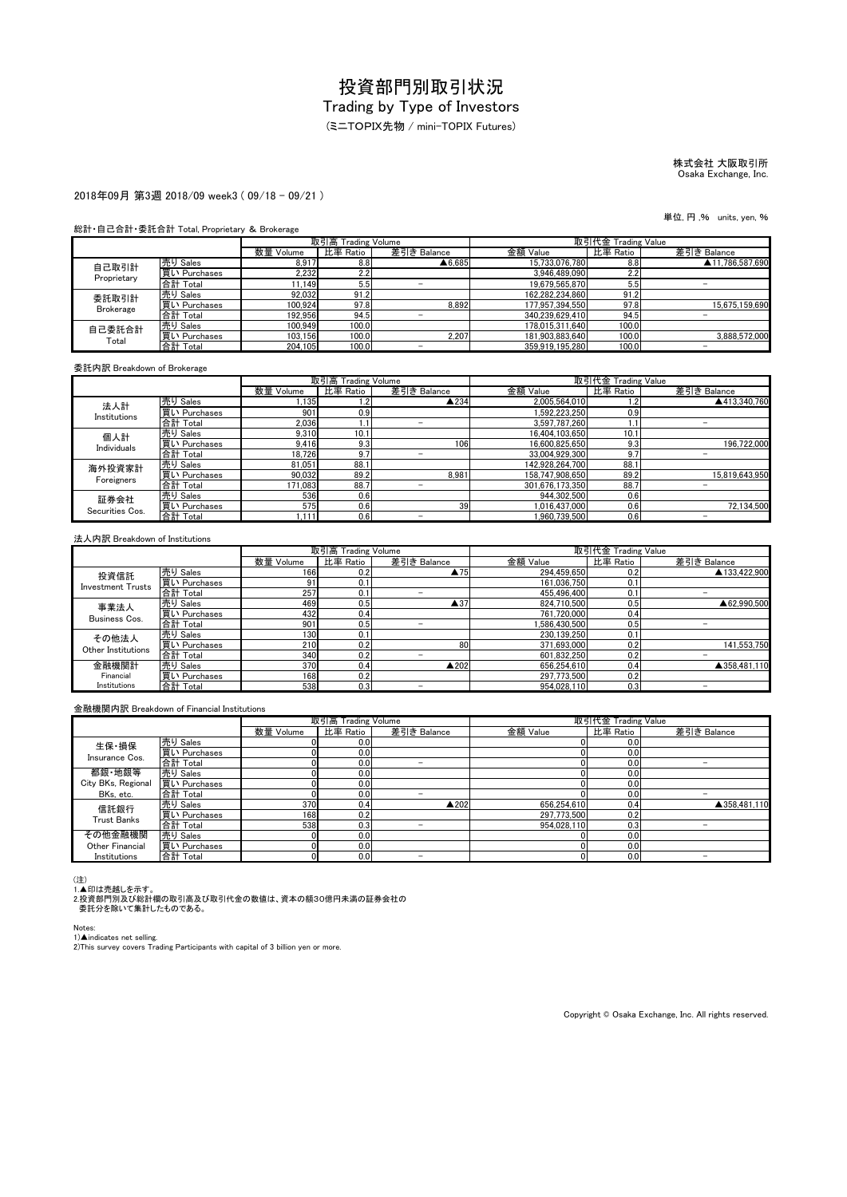# Trading by Type of Investors

(ミニTOPIX先物 / mini-TOPIX Futures)

# 株式会社 大阪取引所 Osaka Exchange, Inc.

#### 2018年09月 第3週 2018/09 week3 ( 09/18 - 09/21 )

### 総計・自己合計・委託合計 Total, Proprietary & Brokerage

|                  |              | 取引高 Trading Volume |          |                   | 取引代金 Trading Value |          |                 |
|------------------|--------------|--------------------|----------|-------------------|--------------------|----------|-----------------|
|                  |              | 数量 Volume          | 比率 Ratio | 差引き Balance       | 金額 Value           | 比率 Ratio | 差引き Balance     |
| 自己取引計            | 売り Sales     | 8.917              | 8.8      | $\triangle 6.685$ | 15.733.076.780     | 8.8      | ▲11.786.587.690 |
| Proprietary      | 買い Purchases | 2,232              | 2.2      |                   | 3.946.489.090      | 2.2      |                 |
|                  | 合計 Total     | 11.149             | 5.5      |                   | 19.679.565.870     | 5.5      |                 |
| 委託取引計            | 売り Sales     | 92,032             | 91.2     |                   | 162.282.234.860    | 91.2     |                 |
| <b>Brokerage</b> | 買い Purchases | 100.924            | 97.8     | 8.892             | 177,957,394,550    | 97.8     | 15.675.159.690  |
|                  | 合計 Total     | 192.956            | 94.5     |                   | 340.239.629.410    | 94.5     |                 |
| 自己委託合計<br>Total  | 売り Sales     | 100.949            | 100.0    |                   | 178.015.311.640    | 100.0    |                 |
|                  | 買い Purchases | 103.156            | 100.0    | 2.207             | 181.903.883.640    | 100.0    | 3.888.572.000   |
|                  | 合計 Total     | 204.105            | 100.0    |                   | 359.919.195.280    | 100.0    |                 |

#### 委託内訳 Breakdown of Brokerage

|                         |              |           | 取引高 Trading Volume |             | 取引代金 Trading Value |          |                |
|-------------------------|--------------|-----------|--------------------|-------------|--------------------|----------|----------------|
|                         |              | 数量 Volume | 比率 Ratio           | 差引き Balance | 金額 Value           | 比率 Ratio | 差引き Balance    |
| 法人計                     | 売り Sales     | 1,135     | 1.2                | ▲234        | 2,005,564,010      | 1.2      | ▲413.340.760   |
| Institutions            | 買い Purchases | 901       | 0.9                |             | .592.223.250       | 0.9      |                |
|                         | 合計 Total     | 2,036     |                    |             | 3,597,787,260      |          |                |
| 個人計                     | 売り Sales     | 9.310     | 10.1               |             | 16.404.103.650     | 10.1     |                |
| Individuals             | 買い Purchases | 9.416     | 9.3                | 106         | 16,600,825,650     | 9.3      | 196.722.000    |
|                         | 合計 Total     | 18.726    | 9.7                | -           | 33,004,929,300     | 9.7      |                |
| 海外投資家計                  | 売り Sales     | 81.051    | 88.1               |             | 142.928.264.700    | 88.1     |                |
| Foreigners              | 買い Purchases | 90.032    | 89.2               | 8.981       | 158,747,908,650    | 89.2     | 15,819,643,950 |
|                         | 合計 Total     | 171.083   | 88.7               |             | 301.676.173.350    | 88.7     |                |
| 証券会社<br>Securities Cos. | 売り Sales     | 536       | 0.6                |             | 944.302.500        | 0.6      |                |
|                         | 買い Purchases | 575       | 0.6                | 39          | 1.016.437.000      | 0.6      | 72,134,500     |
|                         | 合計 Total     | 1.111     | 0.6                |             | .960.739.500       | 0.6      |                |

#### 法人内訳 Breakdown of Institutions

|                          |              |           | 取引高 Trading Volume |                     | 取引代金 Trading Value |          |              |
|--------------------------|--------------|-----------|--------------------|---------------------|--------------------|----------|--------------|
|                          |              | 数量 Volume | 比率 Ratio           | 差引き Balance         | 金額 Value           | 比率 Ratio | 差引き Balance  |
| 投資信託                     | 売り Sales     | 166       | 0.2                | $\blacktriangle$ 75 | 294,459,650        | 0.2      | ▲133,422,900 |
| <b>Investment Trusts</b> | 買い Purchases | 9         | 0.1                |                     | 161,036,750        | 0.1      |              |
|                          | 合計 Total     | 257       | 0.1                |                     | 455.496.400        | 0.1      |              |
| 事業法人                     | 売り Sales     | 469       | 0.5                | $\blacktriangle$ 37 | 824.710.500        | 0.51     | ▲62.990.500  |
| Business Cos.            | 買い Purchases | 432       | 0.4                |                     | 761.720.000        | 0.4      |              |
|                          | 合計 Total     | 901       | 0.5                | -                   | 1,586,430,500      | 0.5      | -            |
| その他法人                    | 売り Sales     | 130       | 0.1                |                     | 230.139.250        | 0.1      |              |
| Other Institutions       | 買い Purchases | 210       | 0.2                | 80                  | 371.693.000        | 0.2      | 141.553.750  |
|                          | 合計 Total     | 340       | 0.2                |                     | 601.832.250        | 0.2      | -            |
| 金融機関計                    | 売り Sales     | 370       | 0.4                | ▲202                | 656.254.610        | 0.4      | ▲358,481.110 |
| Financial                | 買い Purchases | 168       | 0.2                |                     | 297.773.500        | 0.2      |              |
| Institutions             | 合計 Total     | 538       | 0.3                | -                   | 954.028.110        | 0.3      |              |

#### 金融機関内訳 Breakdown of Financial Institutions

|                         |              |           | 取引高 Trading Volume |                 | 取引代金 Trading Value |          |              |
|-------------------------|--------------|-----------|--------------------|-----------------|--------------------|----------|--------------|
|                         |              | 数量 Volume | 比率 Ratio           | 差引き Balance     | 金額 Value           | 比率 Ratio | 差引き Balance  |
| 生保·損保<br>Insurance Cos. | 売り Sales     |           | 0.0                |                 |                    | 0.0      |              |
|                         | 買い Purchases |           | 0.0                |                 |                    | 0.0      |              |
|                         | 合計 Total     |           | 0.0                | -               |                    | 0.0      |              |
| 都銀·地銀等                  | 売り Sales     |           | 0.0                |                 |                    | 0.0      |              |
| City BKs, Regional      | 買い Purchases |           | 0.0                |                 |                    | 0.0      |              |
| BKs, etc.               | 合計 Total     |           | 0.0                | $-$             |                    | 0.01     | -            |
| 信託銀行                    | 売り Sales     | 370       | 0.4                | $\triangle$ 202 | 656.254.610        | 0.4      | ▲358,481.110 |
| <b>Trust Banks</b>      | 買い Purchases | 168       | 0.2                |                 | 297.773.500        | 0.2      |              |
|                         | 合計 Total     | 538       | 0.3                | -               | 954.028.110        | 0.3      |              |
| その他金融機関                 | 売り Sales     |           | 0.0                |                 |                    | 0.0      |              |
| Other Financial         | 買い Purchases |           | 0.0                |                 |                    | 0.0      |              |
| Institutions            | 合計 Total     |           | 0.0                |                 |                    | 0.0      |              |

(注)<br>1.▲印は売越しを示す。<br>2.投資部門別及び総計欄の取引高及び取引代金の数値は、資本の額30億円未満の証券会社の<br>- 委託分を除いて集計したものである。

Notes:

1)▲indicates net selling.<br>2)This survey covers Trading Participants with capital of 3 billion yen or more.

Copyright © Osaka Exchange, Inc. All rights reserved.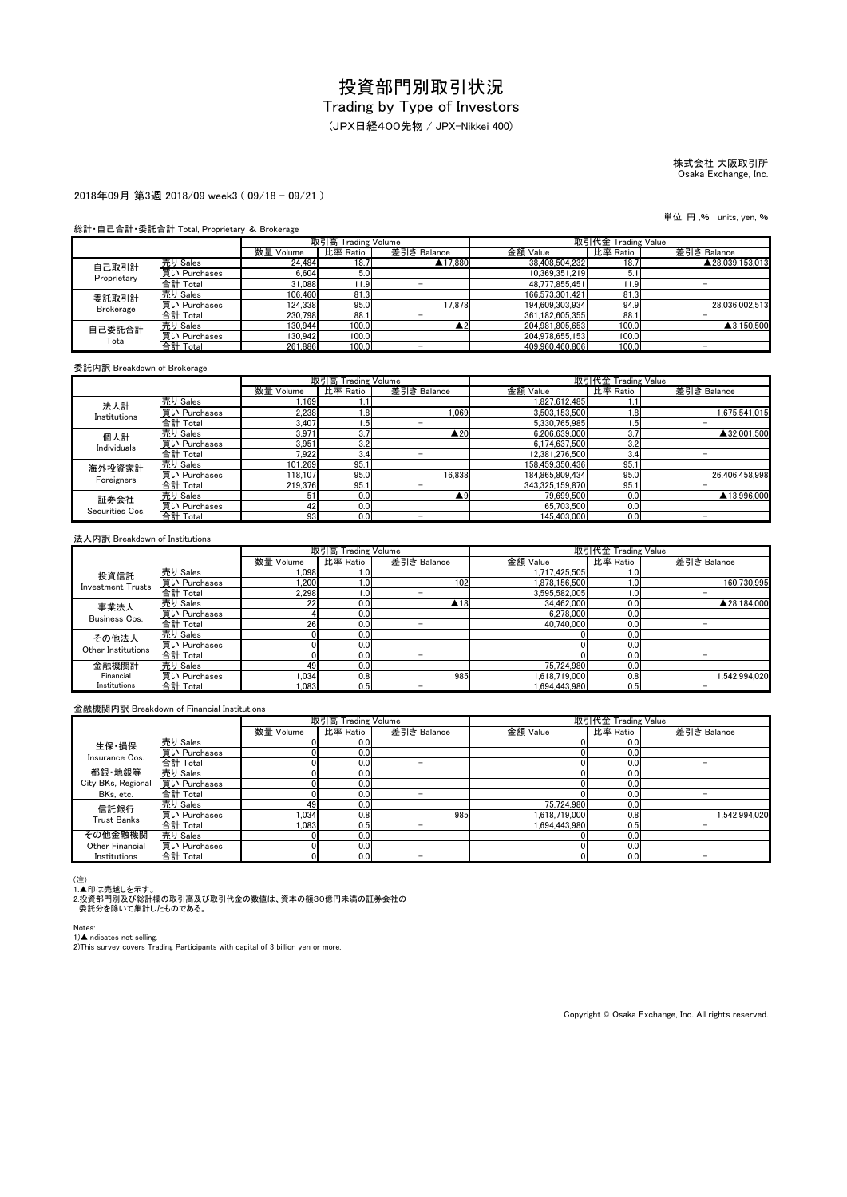(JPX日経400先物 / JPX-Nikkei 400)

# 株式会社 大阪取引所 Osaka Exchange, Inc.

#### 2018年09月 第3週 2018/09 week3 ( 09/18 - 09/21 )

#### 総計・自己合計・委託合計 Total, Proprietary & Brokerage

|                  |              | 取引高 Trading Volume |          |                          | 取引代金 Trading Value |          |                 |
|------------------|--------------|--------------------|----------|--------------------------|--------------------|----------|-----------------|
|                  |              | 数量 Volume          | 比率 Ratio | 差引き Balance              | 金額 Value           | 比率 Ratio | 差引き Balance     |
| 自己取引計            | 売り Sales     | 24.484             | 18.7     | ▲17.880                  | 38,408,504,232     | 18.7     | ▲28.039.153.013 |
| Proprietary      | 買い Purchases | 6.604              | 5.0      |                          | 10.369.351.219     | 5.1      |                 |
|                  | 合計 Total     | 31,088             | 1.91،    |                          | 48.777.855.451     | 1.9      |                 |
| 委託取引計            | 売り Sales     | 106.460            | 81.3     |                          | 166.573.301.421    | 81.3     |                 |
| <b>Brokerage</b> | 買い Purchases | 124.338            | 95.0     | 17.878                   | 194,609,303,934    | 94.9     | 28.036.002.513  |
|                  | 合計 Total     | 230.798            | 88.1     |                          | 361.182.605.355    | 88.1     |                 |
| 自己委託合計<br>Total  | 売り Sales     | 130.944            | 100.0    | ົ                        | 204.981.805.653    | 100.0    | ▲3.150.500      |
|                  | 買い Purchases | 130.942            | 100.0    |                          | 204.978.655.153    | 100.0    |                 |
|                  | 合計 Total     | 261.886            | 100.0    | $\overline{\phantom{a}}$ | 409.960.460.806    | 100.0    | -               |

委託内訳 Breakdown of Brokerage

|                         |              |                 | 取引高 Trading Volume |                    | 取引代金 Trading Value |          |                |
|-------------------------|--------------|-----------------|--------------------|--------------------|--------------------|----------|----------------|
|                         |              | 数量 Volume       | 比率 Ratio           | 差引き Balance        | 金額 Value           | 比率 Ratio | 差引き Balance    |
| 法人計                     | 売り Sales     | .169            |                    |                    | 1.827.612.485      |          |                |
| Institutions            | 買い Purchases | 2,238           | 1.8                | .069               | 3.503.153.500      | 1.8      | 1,675,541,015  |
|                         | 合計 Total     | 3.407           | 1.5                |                    | 5.330.765.985      | 1.5      |                |
| 個人計                     | 売り Sales     | 3,971           | 3.7                | $\triangle 20$     | 6.206.639.000      | 3.7      | ▲32,001.500    |
| Individuals             | 買い Purchases | 3.951           | 3.2                |                    | 6.174.637.500      | 3.2      |                |
|                         | 合計 Total     | 7,922           | 3.4                |                    | 12.381.276.500     | 3.4      |                |
| 海外投資家計                  | 売り Sales     | 101.269         | 95.1               |                    | 158.459.350.436    | 95.      |                |
| Foreigners              | 買い Purchases | 118.107         | 95.0               | 16.838             | 184,865,809,434    | 95.0     | 26.406.458.998 |
|                         | 合計 Total     | 219.376         | 95.1               |                    | 343.325.159.870    | 95.      |                |
| 証券会社<br>Securities Cos. | 売り Sales     | 5.              | 0.0                | $\blacktriangle^9$ | 79.699.500         | 0.0      | ▲13.996.000    |
|                         | 買い Purchases | 42              | 0.0                |                    | 65.703.500         | 0.0      |                |
|                         | 合計 Total     | 93 <sub>1</sub> | 0.0                |                    | 145.403.000        | 0.0      |                |

#### 法人内訳 Breakdown of Institutions

|                          |              |           | 取引高 Trading Volume |                          | 取引代金 Trading Value |          |                          |
|--------------------------|--------------|-----------|--------------------|--------------------------|--------------------|----------|--------------------------|
|                          |              | 数量 Volume | 比率 Ratio           | 差引き Balance              | 金額 Value           | 比率 Ratio | 差引き Balance              |
| 投資信託                     | 売り Sales     | 1.098     | 1.0 <sub>l</sub>   |                          | 1,717,425,505      | 1.OI     |                          |
| <b>Investment Trusts</b> | 買い Purchases | .200      | 1.0                | 102                      | 1.878.156.500      | 1.0      | 160.730.995              |
|                          | 合計 Total     | 2.298     | 1.0                |                          | 3.595.582.005      | 0.1      | -                        |
| 事業法人                     | 売り Sales     | 22        | 0.0                | $\blacktriangle$ 18      | 34.462.000         | 0.0      | ▲28.184.000              |
| Business Cos.            | 買い Purchases |           | 0.0                |                          | 6.278.000          | 0.0      |                          |
|                          | 合計 Total     | 26        | 0.0                | -                        | 40.740.000         | 0.0      | $\overline{\phantom{0}}$ |
| その他法人                    | 売り Sales     |           | 0.0                |                          |                    | 0.0      |                          |
| Other Institutions       | 買い Purchases |           | 0.0                |                          |                    | 0.0      |                          |
|                          | 合計 Total     |           | 0.0                | $\overline{\phantom{a}}$ |                    | 0.0      |                          |
| 金融機関計                    | 売り Sales     | 49        | 0.0                |                          | 75.724.980         | 0.0      |                          |
| Financial                | 買い Purchases | 1.034     | 0.8                | 985                      | .618.719.000       | 0.8      | .542.994.020             |
| Institutions             | 合計 Total     | 0.083     | 0.5                | -                        | .694.443.980       | 0.5      |                          |

金融機関内訳 Breakdown of Financial Institutions

|                    |              |           | 取引高 Trading Volume |             | 取引代金 Trading Value |          |               |
|--------------------|--------------|-----------|--------------------|-------------|--------------------|----------|---------------|
|                    |              | 数量 Volume | 比率 Ratio           | 差引き Balance | 金額 Value           | 比率 Ratio | 差引き Balance   |
| 生保·損保              | 売り Sales     |           | 0.0                |             |                    | 0.0      |               |
| Insurance Cos.     | 買い Purchases |           | 0.0                |             |                    | 0.0      |               |
|                    | 合計 Total     |           | 0.0                | -           |                    | 0.0      |               |
| 都銀·地銀等             | 売り Sales     |           | 0.0                |             |                    | 0.0      |               |
| City BKs, Regional | 買い Purchases |           | 0.0                |             |                    | 0.0      |               |
| BKs, etc.          | 合計 Total     |           | 0.0                | -           |                    | 0.0      |               |
| 信託銀行               | 売り Sales     | 49        | 0.0                |             | 75.724.980         | 0.0      |               |
| <b>Trust Banks</b> | 買い Purchases | 1.034     | 0.8                | 985         | 1.618.719.000      | 0.8      | 1.542.994.020 |
|                    | 合計 Total     | 1.083     | 0.5                | -           | 1.694.443.980      | 0.5      |               |
| その他金融機関            | 売り Sales     |           | 0.0                |             |                    | 0.0      |               |
| Other Financial    | 買い Purchases |           | 0.0                |             |                    | 0.0      |               |
| Institutions       | 合計 Total     |           | 0.0                |             |                    | 0.0      |               |

(注)<br>1.▲印は売越しを示す。<br>2.投資部門別及び総計欄の取引高及び取引代金の数値は、資本の額30億円未満の証券会社の<br>- 委託分を除いて集計したものである。

Notes:

1)▲indicates net selling.<br>2)This survey covers Trading Participants with capital of 3 billion yen or more.

Copyright © Osaka Exchange, Inc. All rights reserved.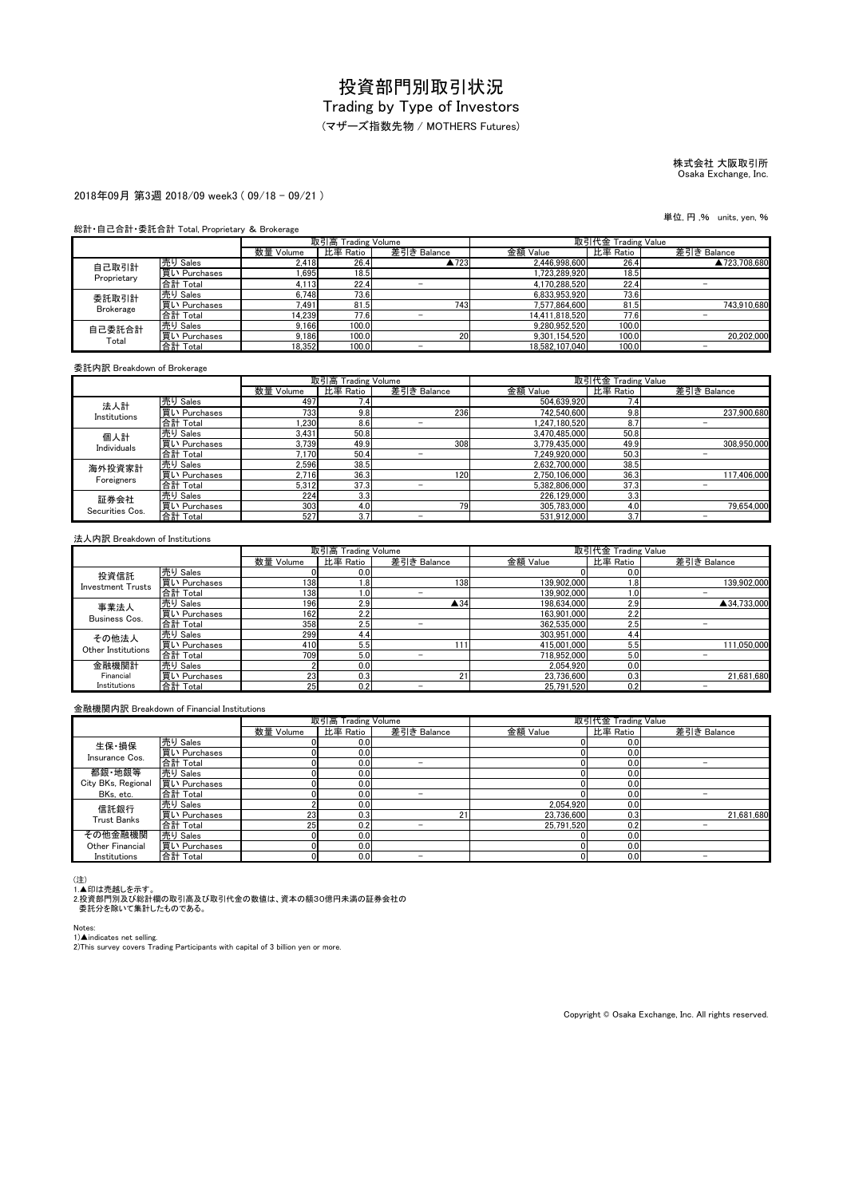### (マザーズ指数先物 / MOTHERS Futures)

# 株式会社 大阪取引所 Osaka Exchange, Inc.

#### 2018年09月 第3週 2018/09 week3 ( 09/18 - 09/21 )

#### 総計・自己合計・委託合計 Total, Proprietary & Brokerage

|                  |              | 取引高 Trading Volume |          |                          | 取引代金 Trading Value |          |              |
|------------------|--------------|--------------------|----------|--------------------------|--------------------|----------|--------------|
|                  |              | 数量 Volume          | 比率 Ratio | 差引き Balance              | 金額 Value           | 比率 Ratio | 差引き Balance  |
| 自己取引計            | 売り Sales     | 2.418              | 26.4     | ▲723                     | 2.446.998.600      | 26.4     | ▲723.708.680 |
| Proprietary      | 買い Purchases | 1.695              | 18.5     |                          | 1.723.289.920      | 18.5     |              |
|                  | 合計 Total     | 4,113              | 22.4     |                          | 4.170.288.520      | 22.4     |              |
| 委託取引計            | 売り Sales     | 6,748              | 73.6     |                          | 6.833.953.920      | 73.6     |              |
| <b>Brokerage</b> | 買い Purchases | 7.491              | 81.5     | 743                      | 7.577.864.600      | 81.5     | 743.910.680  |
|                  | 合計 Total     | 14,239             | 77.6     |                          | 14.411.818.520     | 77.6     |              |
| 自己委託合計<br>Total  | 売り Sales     | 9.166              | 100.0    |                          | 9.280.952.520      | 100.0    |              |
|                  | 買い Purchases | 9.186              | 100.0    | 20                       | 9.301.154.520      | 100.0    | 20.202.000   |
|                  | 合計 Total     | 18.352             | 100.0    | $\overline{\phantom{a}}$ | 18.582.107.040     | 100.0    | -            |

委託内訳 Breakdown of Brokerage

|                         |              |           | 取引高 Trading Volume |             | 取引代金 Trading Value |          |             |
|-------------------------|--------------|-----------|--------------------|-------------|--------------------|----------|-------------|
|                         |              | 数量 Volume | 比率 Ratio           | 差引き Balance | 金額 Value           | 比率 Ratio | 差引き Balance |
| 法人計                     | 売り Sales     | 497       | 7.4                |             | 504,639,920        | 7.4      |             |
| Institutions            | 買い Purchases | 733       | 9.8                | 236         | 742.540.600        | 9.8      | 237.900.680 |
|                         | 合計 Total     | .230      | 8.6                | -           | 1.247.180.520      | 8.7      |             |
| 個人計                     | 売り Sales     | 3.431     | 50.8               |             | 3.470.485.000      | 50.8     |             |
| Individuals             | 買い Purchases | 3.739     | 49.9               | 308         | 3.779.435.000      | 49.9     | 308.950.000 |
|                         | 合計 Total     | 7.170     | 50.4               |             | 7.249.920.000      | 50.3     |             |
| 海外投資家計                  | 売り Sales     | 2.596     | 38.5               |             | 2.632.700.000      | 38.5     |             |
| Foreigners              | 買い Purchases | 2.716     | 36.3               | 120         | 2.750.106.000      | 36.3     | 117.406.000 |
|                         | 合計 Total     | 5.312     | 37.3               |             | 5.382.806.000      | 37.3     |             |
| 証券会社<br>Securities Cos. | 売り Sales     | 224       | 3.3                |             | 226.129.000        | 3.3      |             |
|                         | 買い Purchases | 303       | 4.0                | 79          | 305.783.000        | 4.0      | 79.654.000  |
|                         | 合計 Total     | 527       | 3.7                |             | 531.912.000        | 3.7      |             |

#### 法人内訳 Breakdown of Institutions

|                          |              |           | 取引高 Trading Volume |                          | 取引代金 Trading Value |          |                          |
|--------------------------|--------------|-----------|--------------------|--------------------------|--------------------|----------|--------------------------|
|                          |              | 数量 Volume | 比率 Ratio           | 差引き Balance              | 金額 Value           | 比率 Ratio | 差引き Balance              |
| 投資信託                     | 売り Sales     |           | 0.0                |                          |                    | 0.0      |                          |
| <b>Investment Trusts</b> | 買い Purchases | 138       | 1.8                | 1381                     | 139.902.000        | 1.8      | 139.902.000              |
|                          | 合計 Total     | 138       | 1.0 <sub>l</sub>   |                          | 139.902.000        | 0.1      |                          |
| 事業法人                     | 売り Sales     | 196       | 2.91               | $\triangle$ 34           | 198.634.000        | 2.9      | ▲34.733.000              |
| Business Cos.            | 買い Purchases | 162       | 2.2                |                          | 163.901.000        | 2.2      |                          |
|                          | 合計 Total     | 358       | 2.5                | -                        | 362.535.000        | 2.5      | $\overline{\phantom{0}}$ |
| その他法人                    | 売り Sales     | 299       | 4.4                |                          | 303.951.000        | 4.4      |                          |
| Other Institutions       | 買い Purchases | 410       | 5.5                | 111                      | 415.001.000        | 5.5      | 111.050.000              |
|                          | 合計 Total     | 709       | 5.0                | $\overline{\phantom{a}}$ | 718.952.000        | 5.0      |                          |
| 金融機関計                    | 売り Sales     |           | 0.0                |                          | 2.054.920          | 0.0      |                          |
| Financial                | 買い Purchases | 23        | 0.3                | 21                       | 23.736.600         | 0.3      | 21.681.680               |
| Institutions             | 合計 Total     | 25        | 0.2                | -                        | 25.791.520         | 0.2      |                          |

#### 金融機関内訳 Breakdown of Financial Institutions

|                    |              |           | 取引高 Trading Volume |             | 取引代金 Trading Value |          |             |
|--------------------|--------------|-----------|--------------------|-------------|--------------------|----------|-------------|
|                    |              | 数量 Volume | 比率 Ratio           | 差引き Balance | 金額 Value           | 比率 Ratio | 差引き Balance |
| 生保·損保              | 売り Sales     |           | 0.0                |             |                    | 0.0      |             |
| Insurance Cos.     | 買い Purchases |           | 0.0                |             |                    | 0.0      |             |
|                    | 合計 Total     |           | 0.0                | -           |                    | 0.0      | -           |
| 都銀·地銀等             | 売り Sales     |           | 0.0                |             |                    | 0.0      |             |
| City BKs, Regional | 買い Purchases |           | 0.0                |             |                    | 0.0      |             |
| BKs, etc.          | 合計 Total     |           | 0.0                | -           |                    | 0.0      |             |
| 信託銀行               | 売り Sales     |           | 0.0                |             | 2.054.920          | 0.0      |             |
| <b>Trust Banks</b> | 買い Purchases | 23        | 0.3                | 21          | 23.736.600         | 0.3      | 21,681,680  |
|                    | 合計 Total     | 25        | 0.2                |             | 25.791.520         | 0.2      |             |
| その他金融機関            | 売り Sales     |           | 0.0                |             |                    | 0.0      |             |
| Other Financial    | 買い Purchases |           | 0.0                |             |                    | 0.0      |             |
| Institutions       | 合計 Total     |           | 0.0                |             |                    | 0.0      |             |

(注)<br>1.▲印は売越しを示す。<br>2.投資部門別及び総計欄の取引高及び取引代金の数値は、資本の額30億円未満の証券会社の<br>- 委託分を除いて集計したものである。

Notes:

1)▲indicates net selling.<br>2)This survey covers Trading Participants with capital of 3 billion yen or more.

Copyright © Osaka Exchange, Inc. All rights reserved.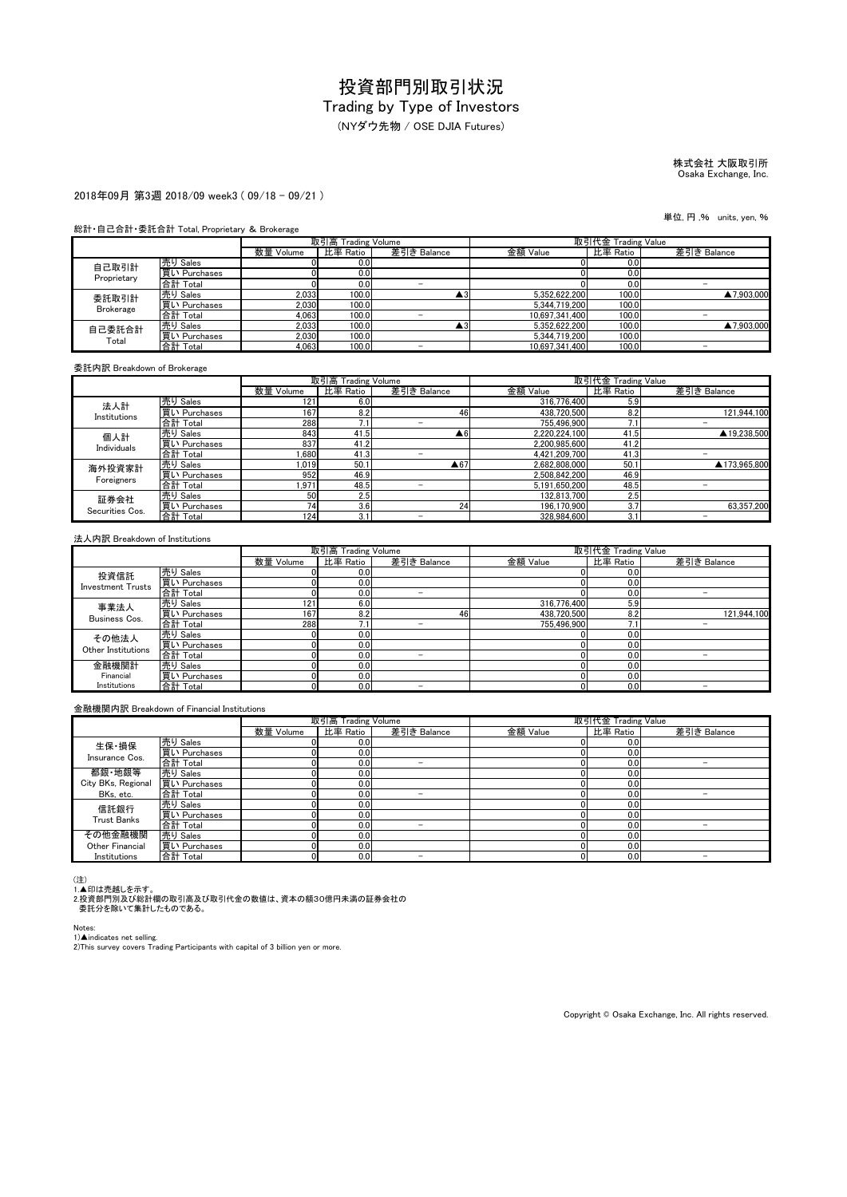(NYダウ先物 / OSE DJIA Futures)

## 株式会社 大阪取引所 Osaka Exchange, Inc.

#### 2018年09月 第3週 2018/09 week3 ( 09/18 - 09/21 )

#### 総計・自己合計・委託合計 Total, Proprietary & Brokerage

|                  |              |           | 取引高 Trading Volume |             |                | 取引代金 Trading Value |             |
|------------------|--------------|-----------|--------------------|-------------|----------------|--------------------|-------------|
|                  |              | 数量 Volume | 比率 Ratio           | 差引き Balance | 金額 Value       | 比率 Ratio           | 差引き Balance |
| 自己取引計            | 売り Sales     |           | 0.0                |             |                | 0.0                |             |
| Proprietary      | 買い Purchases |           | 0.0                |             |                | 0.0                |             |
|                  | 合計 Total     |           | 0.0                | -           |                | 0.0                |             |
| 委託取引計            | 売り Sales     | 2,033     | 100.0              | ن ڪ         | 5.352.622.200  | 100.0              | ▲7,903,000  |
| <b>Brokerage</b> | 買い Purchases | 2.030     | 100.0              |             | 5.344.719.200  | 100.0              |             |
|                  | 合計 Total     | 4.063     | 100.0              |             | 10.697.341.400 | 100.0              |             |
| 自己委託合計           | 売り Sales     | 2.033     | 100.0              | Δ3.         | 5.352.622.200  | 100.0              | ▲7,903,000  |
| Total            | 買い Purchases | 2.030     | 100.0              |             | 5.344.719.200  | 100.0              |             |
|                  | 合計 Total     | 4.063     | 100.0              | -           | 10.697.341.400 | 100.0              | -           |

委託内訳 Breakdown of Brokerage

|                         |              |           | 取引高 Trading Volume |             | 取引代金 Trading Value |          |                          |
|-------------------------|--------------|-----------|--------------------|-------------|--------------------|----------|--------------------------|
|                         |              | 数量 Volume | 比率 Ratio           | 差引き Balance | 金額 Value           | 比率 Ratio | 差引き Balance              |
| 法人計                     | 売り Sales     | 121       | 6.0                |             | 316.776.400        | 5.9      |                          |
| Institutions            | 買い Purchases | 167       | 8.2                | 46          | 438,720,500        | 8.2      | 121.944.100              |
|                         | 合計 Total     | 288       | 7.1                |             | 755.496.900        |          | -                        |
| 個人計                     | 売り Sales     | 843       | 41.5               | A6          | 2.220.224.100      | 41.5     | ▲19.238.500              |
| Individuals             | 買い Purchases | 837       | 41.2               |             | 2,200,985,600      | 41.2     |                          |
|                         | 合計 Total     | .680      | 41.3               | -           | 4.421.209.700      | 41.3     | -                        |
| 海外投資家計                  | 売り Sales     | 1.019     | 50.1               | A67         | 2.682.808.000      | 50.7     | ▲173.965.800             |
| Foreigners              | 買い Purchases | 952       | 46.9               |             | 2.508.842.200      | 46.9     |                          |
|                         | 合計 Total     | 1.971     | 48.5               | -           | 5.191.650.200      | 48.5     | $\overline{\phantom{0}}$ |
| 証券会社<br>Securities Cos. | 売り Sales     | 50        | 2.5                |             | 132.813.700        | 2.5      |                          |
|                         | 買い Purchases | 74        | 3.6                | 24          | 196.170.900        | 3.7      | 63.357.200               |
|                         | 合計 Total     | 124       | 3.1                | -           | 328.984.600        | 3.1      |                          |

#### 法人内訳 Breakdown of Institutions

|                          |              | 取引高 Trading Volume |                  |             | 取引代金 Trading Value |                |             |  |  |
|--------------------------|--------------|--------------------|------------------|-------------|--------------------|----------------|-------------|--|--|
|                          |              | 数量 Volume          | 比率 Ratio         | 差引き Balance | 金額 Value           | 比率 Ratio       | 差引き Balance |  |  |
| 投資信託                     | 売り Sales     |                    | 0.0              |             |                    | 0.0            |             |  |  |
| <b>Investment Trusts</b> | 買い Purchases |                    | 0.0              |             |                    | 0.0            |             |  |  |
|                          | 合計 Total     |                    | 0.0              | -           |                    | 0.0            |             |  |  |
| 事業法人                     | 売り Sales     | 121                | 6.0              |             | 316,776,400        | 5.9            |             |  |  |
| Business Cos.            | 買い Purchases | 167                | 8.2              | 46          | 438.720.500        | 8.2            | 121.944.100 |  |  |
|                          | 合計 Total     | 288                | 7.1              |             | 755.496.900        | $^{\prime}$ .1 |             |  |  |
| その他法人                    | 売り Sales     |                    | 0.0              |             |                    | 0.0            |             |  |  |
| Other Institutions       | 買い Purchases |                    | 0.0              |             |                    | 0.0            |             |  |  |
|                          | 合計 Total     |                    | 0.0              | -           |                    | 0.0            |             |  |  |
| 金融機関計                    | 売り Sales     |                    | 0.0 <sub>1</sub> |             |                    | 0.0            |             |  |  |
| Financial                | 買い Purchases |                    | 0.0              |             |                    | 0.0            |             |  |  |
| Institutions             | 合計 Total     |                    | 0.0              | -           |                    | 0.0            |             |  |  |

#### 金融機関内訳 Breakdown of Financial Institutions

|                    |              | 取引高 Trading Volume |          |                          | 取引代金 Trading Value |          |             |
|--------------------|--------------|--------------------|----------|--------------------------|--------------------|----------|-------------|
|                    |              | 数量 Volume          | 比率 Ratio | 差引き Balance              | 金額 Value           | 比率 Ratio | 差引き Balance |
| 生保·損保              | 売り Sales     |                    | 0.0      |                          |                    | 0.0      |             |
| Insurance Cos.     | 買い Purchases |                    | 0.0      |                          |                    | 0.0      |             |
|                    | 合計 Total     |                    | 0.0      | -                        |                    | 0.0      | -           |
| 都銀·地銀等             | 売り Sales     |                    | 0.0      |                          |                    | 0.0      |             |
| City BKs, Regional | 買い Purchases |                    | 0.0      |                          |                    | 0.0      |             |
| BKs, etc.          | 合計 Total     |                    | 0.0      | -                        |                    | 0.0      |             |
| 信託銀行               | 売り Sales     |                    | 0.0      |                          |                    | 0.0      |             |
| <b>Trust Banks</b> | 買い Purchases |                    | 0.0      |                          |                    | 0.0      |             |
|                    | 合計 Total     |                    | 0.0      | $\overline{\phantom{a}}$ |                    | 0.0      |             |
| その他金融機関            | 売り Sales     |                    | 0.0      |                          |                    | 0.0      |             |
| Other Financial    | 買い Purchases |                    | 0.0      |                          |                    | 0.0      |             |
| Institutions       | 合計 Total     |                    | 0.0      |                          |                    | 0.0      |             |

(注)<br>1.▲印は売越しを示す。<br>2.投資部門別及び総計欄の取引高及び取引代金の数値は、資本の額30億円未満の証券会社の<br>- 委託分を除いて集計したものである。

Notes:

1)▲indicates net selling.<br>2)This survey covers Trading Participants with capital of 3 billion yen or more.

Copyright © Osaka Exchange, Inc. All rights reserved.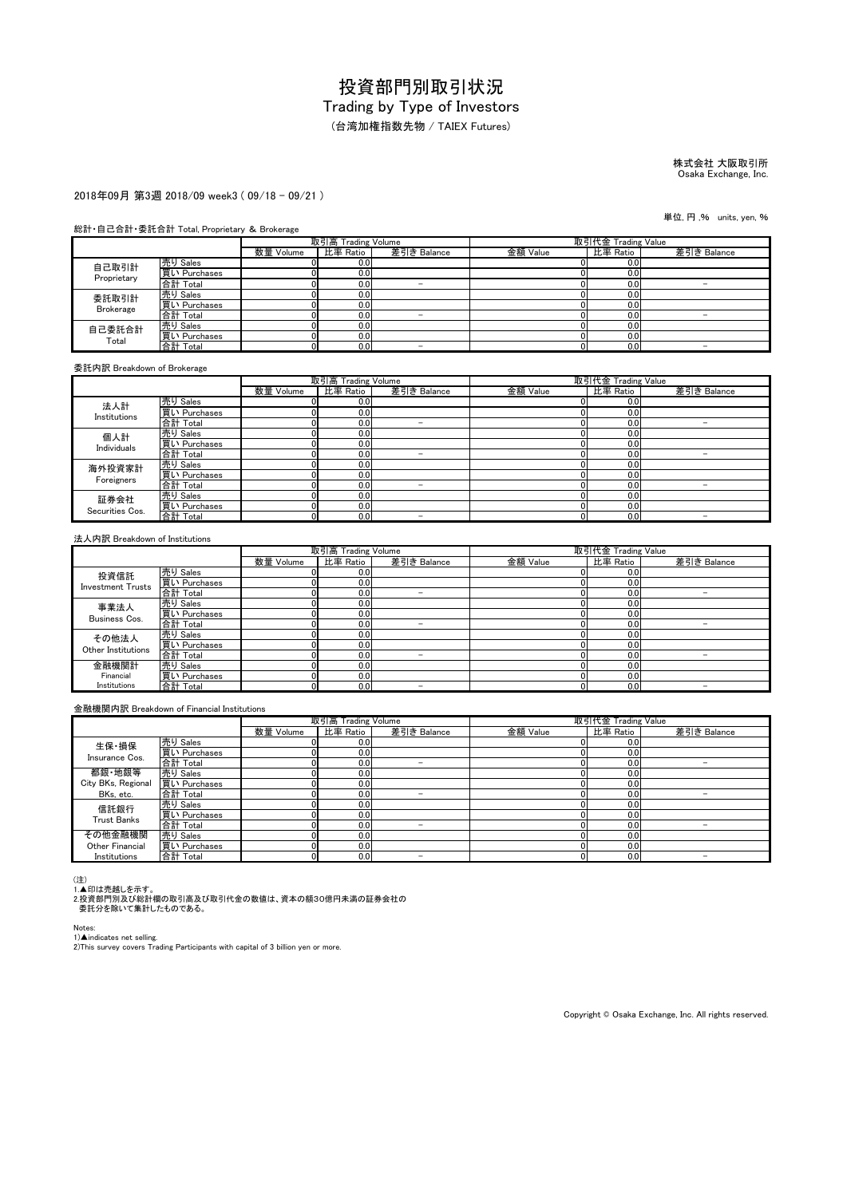(台湾加権指数先物 / TAIEX Futures)

# 株式会社 大阪取引所 Osaka Exchange, Inc.

2018年09月 第3週 2018/09 week3 ( 09/18 - 09/21 )

#### 総計・自己合計・委託合計 Total, Proprietary & Brokerage

|                  |              | 取引高 Trading Volume |          |             | 取引代金 Trading Value |          |             |
|------------------|--------------|--------------------|----------|-------------|--------------------|----------|-------------|
|                  |              | 数量 Volume          | 比率 Ratio | 差引き Balance | 金額 Value           | 比率 Ratio | 差引き Balance |
| 自己取引計            | 売り Sales     |                    | 0.0      |             |                    | 0.0      |             |
| Proprietary      | 買い Purchases |                    | 0.0      |             |                    | 0.0      |             |
|                  | 合計 Total     |                    | 0.0      | -           |                    | 0.0      |             |
| 委託取引計            | 売り Sales     |                    | 0.0      |             |                    | 0.0      |             |
| <b>Brokerage</b> | 買い Purchases |                    | 0.0      |             |                    | 0.0      |             |
|                  | 合計 Total     |                    | 0.0      | -           |                    | 0.0      |             |
| 自己委託合計<br>Total  | 売り Sales     |                    | 0.0      |             |                    | 0.0      |             |
|                  | 買い Purchases |                    | 0.0      |             |                    | 0.0      |             |
|                  | 合計 Total     |                    | 0.0      | -           |                    | 0.0      | -           |

委託内訳 Breakdown of Brokerage

|                         |                                 | 取引高 Trading Volume |                  |                          | 取引代金 Trading Value |          |             |
|-------------------------|---------------------------------|--------------------|------------------|--------------------------|--------------------|----------|-------------|
|                         |                                 | 数量 Volume          | 比率 Ratio         | 差引き Balance              | 金額 Value           | 比率 Ratio | 差引き Balance |
| 法人計                     | 売り Sales                        |                    | 0.0              |                          |                    | 0.0      |             |
| Institutions            | 買い Purchases                    |                    | 0.0              |                          |                    | 0.0      |             |
|                         | 合計 Total                        |                    | 0.0              | -                        |                    | 0.0      |             |
| 個人計                     | 売り Sales                        |                    | 0.0              |                          |                    | 0.0      |             |
| Individuals             | 買い Purchases                    |                    | 0.0              |                          |                    | 0.0      |             |
|                         | 合計 Total                        |                    | 0.0              | -                        |                    | 0.0      | -           |
| 海外投資家計                  | <u>売り Sales</u><br>買い Purchases |                    | 0.0              |                          |                    | 0.0      |             |
| Foreigners              |                                 |                    | 0.0 <sub>l</sub> |                          |                    | 0.0      |             |
|                         | 合計 Total                        |                    | 0.0              | -                        |                    | 0.0      |             |
| 証券会社<br>Securities Cos. | 売り Sales                        |                    | 0.0              |                          |                    | 0.0      |             |
|                         | 買い Purchases                    |                    | 0.0              |                          |                    | 0.0      |             |
|                         | 合計 Total                        |                    | 0.0              | $\overline{\phantom{a}}$ |                    | 0.0      |             |

#### 法人内訳 Breakdown of Institutions

|                          |              | 取引高 Trading Volume |                  |             | 取引代金 Trading Value |          |             |
|--------------------------|--------------|--------------------|------------------|-------------|--------------------|----------|-------------|
|                          |              | 数量 Volume          | 比率 Ratio         | 差引き Balance | 金額 Value           | 比率 Ratio | 差引き Balance |
| 投資信託                     | 売り Sales     |                    | 0.0 <sub>l</sub> |             |                    | 0.0      |             |
| <b>Investment Trusts</b> | 買い Purchases |                    | 0.0              |             |                    | 0.0      |             |
|                          | 合計 Total     |                    | 0.0              | -           |                    | 0.0      |             |
| 事業法人                     | 売り Sales     |                    | 0.0              |             |                    | 0.0      |             |
| Business Cos.            | 買い Purchases |                    | 0.0              |             |                    | 0.0      |             |
|                          | 合計 Total     |                    | 0.0              | -           |                    | 0.0      |             |
| その他法人                    | 売り Sales     |                    | 0.0              |             |                    | 0.0      |             |
| Other Institutions       | 買い Purchases |                    | 0.0              |             |                    | 0.0      |             |
|                          | 合計 Total     |                    | 0.0              | -           |                    | 0.0      |             |
| 金融機関計                    | 売り Sales     |                    | 0.0              |             |                    | 0.0      |             |
| Financial                | 買い Purchases |                    | 0.0              |             |                    | 0.0      |             |
| Institutions             | 合計 Total     |                    | 0.0              | -           |                    | 0.0      |             |

#### 金融機関内訳 Breakdown of Financial Institutions

|                    |              | 取引高 Trading Volume |          |                          | 取引代金 Trading Value |          |             |
|--------------------|--------------|--------------------|----------|--------------------------|--------------------|----------|-------------|
|                    |              | 数量 Volume          | 比率 Ratio | 差引き Balance              | 金額 Value           | 比率 Ratio | 差引き Balance |
| 生保·損保              | 売り Sales     |                    | 0.0      |                          |                    | 0.0      |             |
| Insurance Cos.     | 買い Purchases |                    | 0.0      |                          |                    | 0.0      |             |
|                    | 合計 Total     |                    | 0.0      | -                        |                    | 0.0      | -           |
| 都銀·地銀等             | 売り Sales     |                    | 0.0      |                          |                    | 0.0      |             |
| City BKs, Regional | 買い Purchases |                    | 0.0      |                          |                    | 0.0      |             |
| BKs, etc.          | 合計 Total     |                    | 0.0      | -                        |                    | 0.0      |             |
| 信託銀行               | 売り Sales     |                    | 0.0      |                          |                    | 0.0      |             |
| <b>Trust Banks</b> | 買い Purchases |                    | 0.0      |                          |                    | 0.0      |             |
|                    | 合計 Total     |                    | 0.0      | $\overline{\phantom{a}}$ |                    | 0.0      |             |
| その他金融機関            | 売り Sales     |                    | 0.0      |                          |                    | 0.0      |             |
| Other Financial    | 買い Purchases |                    | 0.0      |                          |                    | 0.0      |             |
| Institutions       | 合計 Total     |                    | 0.0      |                          |                    | 0.0      |             |

(注)<br>1.▲印は売越しを示す。<br>2.投資部門別及び総計欄の取引高及び取引代金の数値は、資本の額30億円未満の証券会社の<br>- 委託分を除いて集計したものである。

Notes:

1)▲indicates net selling.<br>2)This survey covers Trading Participants with capital of 3 billion yen or more.

Copyright © Osaka Exchange, Inc. All rights reserved.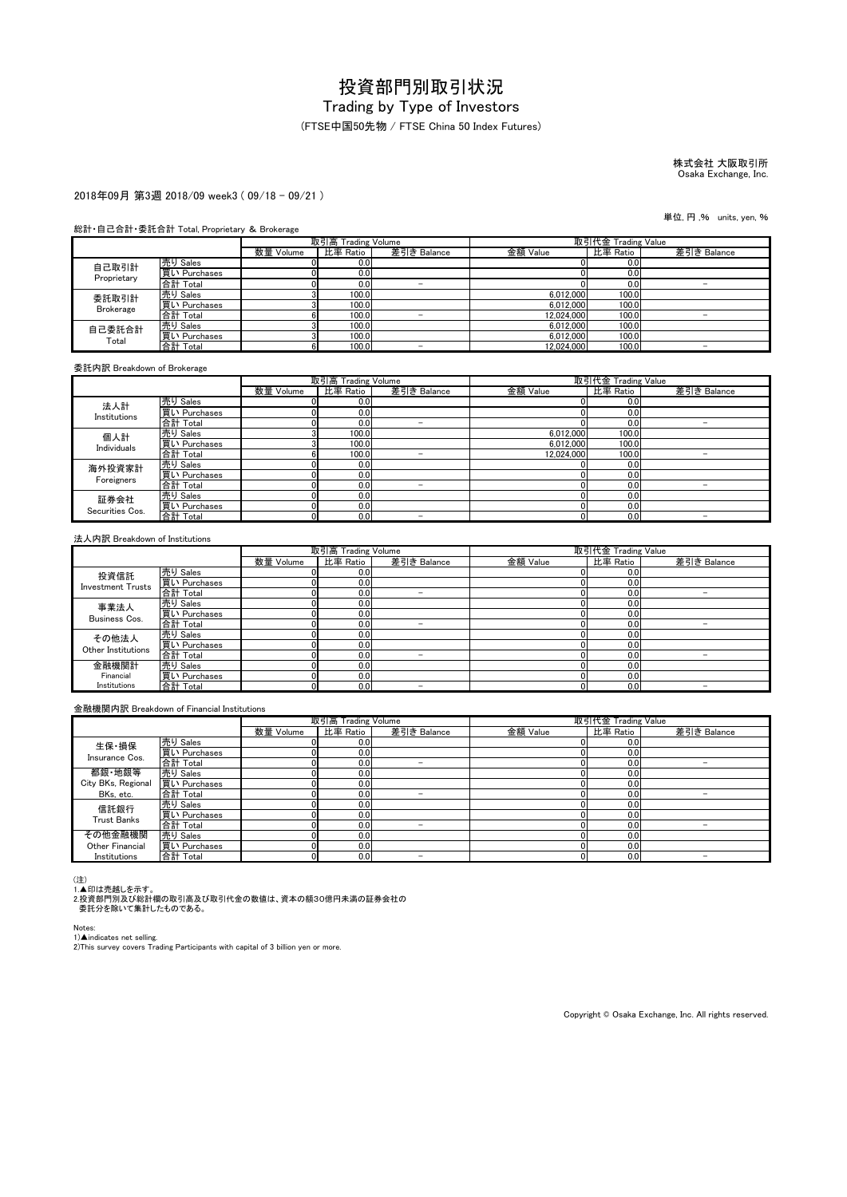### (FTSE中国50先物 / FTSE China 50 Index Futures)

# 株式会社 大阪取引所 Osaka Exchange, Inc.

#### 2018年09月 第3週 2018/09 week3 ( 09/18 - 09/21 )

#### 総計・自己合計・委託合計 Total, Proprietary & Brokerage

|                  |              | 取引高 Trading Volume |          |             | 取引代金 Trading Value |          |             |
|------------------|--------------|--------------------|----------|-------------|--------------------|----------|-------------|
|                  |              | 数量 Volume          | 比率 Ratio | 差引き Balance | 金額 Value           | 比率 Ratio | 差引き Balance |
| 自己取引計            | 売り Sales     |                    | 0.0      |             |                    | 0.0      |             |
| Proprietary      | 買い Purchases |                    | 0.0      |             |                    | 0.0      |             |
|                  | 合計 Total     |                    | 0.0      | -           |                    | 0.0      |             |
| 委託取引計            | 売り Sales     |                    | 100.0    |             | 6.012.000          | 100.0    |             |
| <b>Brokerage</b> | 買い Purchases |                    | 100.0    |             | 6,012,000          | 100.0    |             |
|                  | 合計 Total     |                    | 100.0    |             | 12.024.000         | 100.0    |             |
| 自己委託合計<br>Total  | 売り Sales     |                    | 100.0    |             | 6.012.000          | 100.0    |             |
|                  | 買い Purchases |                    | 100.0    |             | 6.012.000          | 100.0    |             |
|                  | 合計 Total     |                    | 100.0    | -           | 12.024.000         | 100.0    | -           |

委託内訳 Breakdown of Brokerage

|                         |              | 取引高 Trading Volume |          |             | 取引代金 Trading Value |          |             |
|-------------------------|--------------|--------------------|----------|-------------|--------------------|----------|-------------|
|                         |              | 数量 Volume          | 比率 Ratio | 差引き Balance | 金額 Value           | 比率 Ratio | 差引き Balance |
| 法人計                     | 売り Sales     |                    | 0.0      |             |                    | 0.0      |             |
| Institutions            | 買い Purchases |                    | 0.0      |             |                    | 0.0      |             |
|                         | 合計 Total     |                    | 0.0      | -           |                    | 0.0      |             |
| 個人計                     | 売り Sales     |                    | 100.0    |             | 6.012.000          | 100.0    |             |
| Individuals             | 買い Purchases |                    | 100.0    |             | 6,012,000          | 100.0    |             |
|                         | 合計 Total     |                    | 100.0    |             | 12.024.000         | 100.0    |             |
| 海外投資家計                  | 売り Sales     |                    | 0.0      |             |                    | 0.0      |             |
| Foreigners              | 買い Purchases |                    | 0.0      |             |                    | 0.0      |             |
|                         | 合計 Total     |                    | 0.0      |             |                    | 0.0      |             |
| 証券会社<br>Securities Cos. | 売り Sales     |                    | 0.0      |             |                    | 0.0      |             |
|                         | 買い Purchases | D.                 | 0.0      |             |                    | 0.0      |             |
|                         | 合計 Total     | ור                 | 0.0      | -           |                    | 0.0      |             |

#### 法人内訳 Breakdown of Institutions

|                          |              | 取引高 Trading Volume |          |                          | 取引代金 Trading Value |          |             |  |  |
|--------------------------|--------------|--------------------|----------|--------------------------|--------------------|----------|-------------|--|--|
|                          |              | 数量 Volume          | 比率 Ratio | 差引き Balance              | 金額 Value           | 比率 Ratio | 差引き Balance |  |  |
| 投資信託                     | 売り Sales     |                    | 0.0      |                          |                    | 0.0      |             |  |  |
| <b>Investment Trusts</b> | 買い Purchases |                    | 0.0      |                          |                    | 0.0      |             |  |  |
|                          | 合計 Total     |                    | 0.0      | $\overline{\phantom{a}}$ |                    | 0.0      |             |  |  |
| 事業法人                     | 売り Sales     |                    | 0.0      |                          |                    | 0.0      |             |  |  |
| Business Cos.            | 買い Purchases |                    | 0.0      |                          |                    | 0.0      |             |  |  |
|                          | 合計 Total     |                    | 0.0      |                          |                    | 0.0      |             |  |  |
| その他法人                    | 売り Sales     |                    | 0.0      |                          |                    | 0.0      |             |  |  |
| Other Institutions       | 買い Purchases |                    | 0.0      |                          |                    | 0.0      |             |  |  |
|                          | 合計 Total     |                    | 0.0      | -                        |                    | 0.0      |             |  |  |
| 金融機関計                    | 売り Sales     |                    | 0.0      |                          |                    | 0.0      |             |  |  |
| Financial                | 買い Purchases |                    | 0.0      |                          |                    | 0.0      |             |  |  |
| Institutions             | 合計 Total     |                    | 0.0      | -                        |                    | 0.0      |             |  |  |

#### 金融機関内訳 Breakdown of Financial Institutions

|                    |              | 取引高 Trading Volume |          |             | 取引代金 Trading Value |          |             |
|--------------------|--------------|--------------------|----------|-------------|--------------------|----------|-------------|
|                    |              | 数量 Volume          | 比率 Ratio | 差引き Balance | 金額 Value           | 比率 Ratio | 差引き Balance |
| 生保·損保              | 売り Sales     |                    | 0.0      |             |                    | 0.0      |             |
| Insurance Cos.     | 買い Purchases |                    | 0.0      |             |                    | 0.0      |             |
|                    | 合計 Total     |                    | 0.0      | -           |                    | 0.0      | -           |
| 都銀·地銀等             | 売り Sales     |                    | 0.0      |             |                    | 0.0      |             |
| City BKs, Regional | 買い Purchases |                    | 0.0      |             |                    | 0.0      |             |
| BKs, etc.          | 合計 Total     |                    | 0.0      | -           |                    | 0.0      |             |
| 信託銀行               | 売り Sales     |                    | 0.0      |             |                    | 0.0      |             |
| <b>Trust Banks</b> | 買い Purchases |                    | 0.0      |             |                    | 0.0      |             |
|                    | 合計 Total     |                    | 0.0      | -           |                    | 0.0      |             |
| その他金融機関            | 売り Sales     |                    | 0.0      |             |                    | 0.0      |             |
| Other Financial    | 買い Purchases |                    | 0.0      |             |                    | 0.0      |             |
| Institutions       | 合計 Total     |                    | 0.0      |             |                    | 0.0      |             |

(注)<br>1.▲印は売越しを示す。<br>2.投資部門別及び総計欄の取引高及び取引代金の数値は、資本の額30億円未満の証券会社の<br>- 委託分を除いて集計したものである。

Notes:

1)▲indicates net selling.<br>2)This survey covers Trading Participants with capital of 3 billion yen or more.

Copyright © Osaka Exchange, Inc. All rights reserved.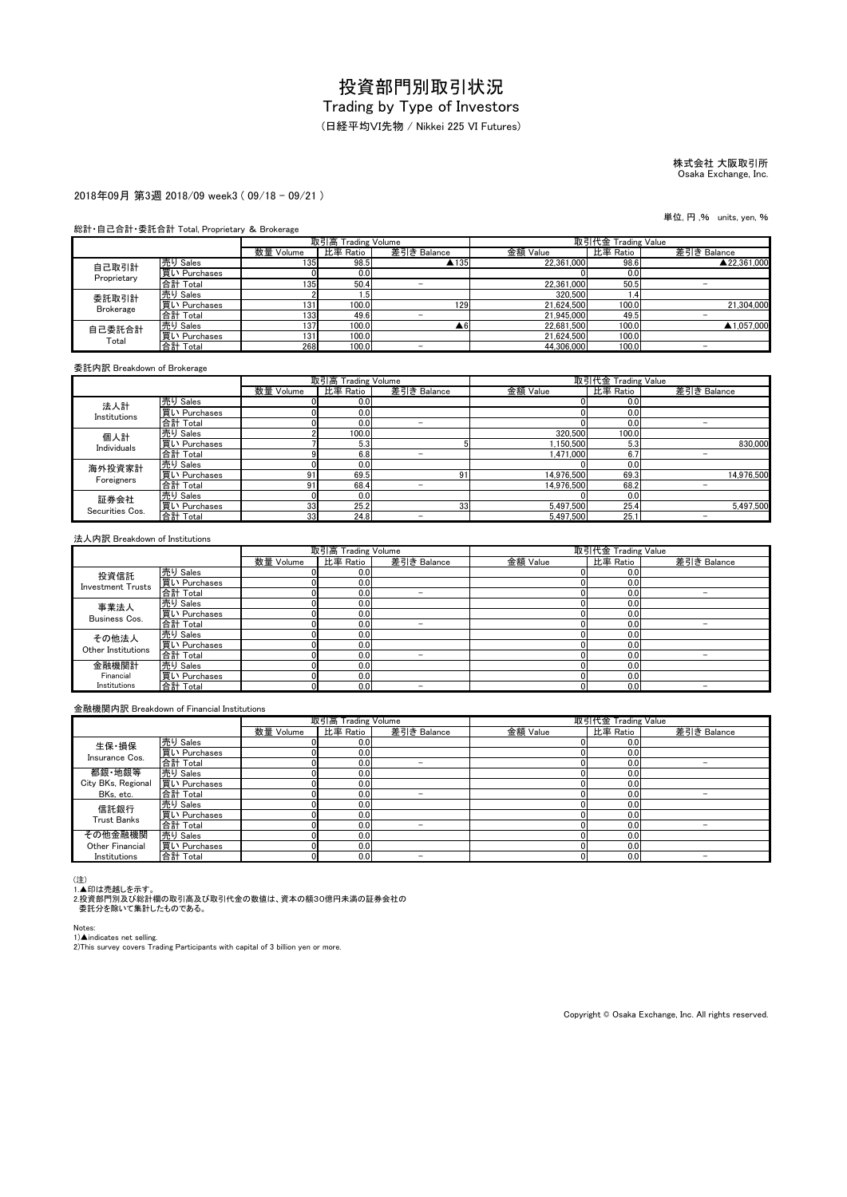# Trading by Type of Investors

(日経平均VI先物 / Nikkei 225 VI Futures)

# 株式会社 大阪取引所 Osaka Exchange, Inc.

#### 2018年09月 第3週 2018/09 week3 ( 09/18 - 09/21 )

#### 総計・自己合計・委託合計 Total, Proprietary & Brokerage

|                  |              | 取引高 Trading Volume |          |             | 取引代金 Trading Value |          |             |
|------------------|--------------|--------------------|----------|-------------|--------------------|----------|-------------|
|                  |              | 数量 Volume          | 比率 Ratio | 差引き Balance | 金額 Value           | 比率 Ratio | 差引き Balance |
| 自己取引計            | 売り Sales     | 135                | 98.5     | ▲135        | 22.361.000         | 98.6     | ▲22.361.000 |
| Proprietary      | 買い Purchases |                    | 0.0      |             |                    | 0.0      |             |
|                  | 合計 Total     | 135                | 50.4     |             | 22.361.000         | 50.5     |             |
| 委託取引計            | 売り Sales     |                    | . .5'    |             | 320,500            | 4۱. .    |             |
| <b>Brokerage</b> | 買い Purchases | 131                | 100.0    | 129         | 21.624.500         | 100.0    | 21.304.000  |
|                  | 合計 Total     | 133                | 49.6     |             | 21.945.000         | 49.5     |             |
| 自己委託合計<br>Total  | 売り Sales     | 137                | 100.0    | ▲6          | 22.681.500         | 100.0    | ▲1.057.000  |
|                  | 買い Purchases | 131                | 100.0    |             | 21.624.500         | 100.0    |             |
|                  | 合計 Total     | 268                | 100.0    |             | 44.306.000         | 100.0    | -           |

委託内訳 Breakdown of Brokerage

|                         |              | 取引高 Trading Volume |          |                          | 取引代金 Trading Value |          |                          |
|-------------------------|--------------|--------------------|----------|--------------------------|--------------------|----------|--------------------------|
|                         |              | 数量 Volume          | 比率 Ratio | 差引き Balance              | 金額 Value           | 比率 Ratio | 差引き Balance              |
| 法人計                     | 売り Sales     |                    | 0.0      |                          |                    | 0.0      |                          |
| Institutions            | 買い Purchases |                    | 0.0      |                          |                    | 0.0      |                          |
|                         | 合計 Total     |                    | 0.0      | -                        |                    | 0.0      | -                        |
| 個人計                     | 売り Sales     |                    | 100.0    |                          | 320,500            | 100.0    |                          |
| Individuals             | 買い Purchases |                    | 5.3      |                          | 1.150.500          | 5.3      | 830,000                  |
|                         | 合計 Total     |                    | 6.8      | -                        | 1.471.000          | 6.7      | $\overline{\phantom{0}}$ |
| 海外投資家計                  | 売り Sales     |                    | 0.0      |                          |                    | 0.0      |                          |
| Foreigners              | 買い Purchases | ω۰                 | 69.5     | 91                       | 14.976.500         | 69.3     | 14.976.500               |
|                         | 合計 Total     | 91                 | 68.4     | $\overline{\phantom{a}}$ | 14.976.500         | 68.2     |                          |
| 証券会社<br>Securities Cos. | 売り Sales     |                    | 0.0      |                          |                    | 0.0      |                          |
|                         | 買い Purchases | 33                 | 25.2     | 33 <sup>1</sup>          | 5,497,500          | 25.4     | 5.497.500                |
|                         | 合計 Total     | 33                 | 24.8     | -                        | 5.497.500          | 25.1     |                          |

#### 法人内訳 Breakdown of Institutions

|                          |              | 取引高 Trading Volume |          |             | 取引代金 Trading Value |          |             |
|--------------------------|--------------|--------------------|----------|-------------|--------------------|----------|-------------|
|                          |              | 数量 Volume          | 比率 Ratio | 差引き Balance | 金額 Value           | 比率 Ratio | 差引き Balance |
| 投資信託                     | 売り Sales     |                    | 0.0      |             |                    | 0.0      |             |
| <b>Investment Trusts</b> | 買い Purchases |                    | 0.0      |             |                    | 0.0      |             |
|                          | 合計 Total     |                    | 0.0      | -           |                    | 0.0      |             |
| 事業法人                     | 売り Sales     |                    | 0.0      |             |                    | 0.0      |             |
| Business Cos.            | 買い Purchases |                    | 0.0      |             |                    | 0.0      |             |
|                          | 合計 Total     |                    | 0.0      | -           |                    | 0.0      | -           |
| その他法人                    | 売り Sales     |                    | 0.0      |             |                    | 0.0      |             |
| Other Institutions       | 買い Purchases |                    | 0.0      |             |                    | 0.0      |             |
|                          | 合計 Total     |                    | 0.0      | -           |                    | 0.0      |             |
| 金融機関計                    | 売り Sales     |                    | 0.0      |             |                    | 0.0      |             |
| Financial                | 買い Purchases |                    | 0.0      |             |                    | 0.0      |             |
| Institutions             | 合計 Total     |                    | 0.0      | -           |                    | 0.0      | -           |

#### 金融機関内訳 Breakdown of Financial Institutions

|                    |              | 取引高 Trading Volume |          |                          | 取引代金 Trading Value |          |             |
|--------------------|--------------|--------------------|----------|--------------------------|--------------------|----------|-------------|
|                    |              | 数量 Volume          | 比率 Ratio | 差引き Balance              | 金額 Value           | 比率 Ratio | 差引き Balance |
| 生保·損保              | 売り Sales     |                    | 0.0      |                          |                    | 0.0      |             |
| Insurance Cos.     | 買い Purchases |                    | 0.0      |                          |                    | 0.0      |             |
|                    | 合計 Total     |                    | 0.0      | -                        |                    | 0.0      | -           |
| 都銀·地銀等             | 売り Sales     |                    | 0.0      |                          |                    | 0.0      |             |
| City BKs, Regional | 買い Purchases |                    | 0.0      |                          |                    | 0.0      |             |
| BKs, etc.          | 合計 Total     |                    | 0.0      | -                        |                    | 0.0      |             |
| 信託銀行               | 売り Sales     |                    | 0.0      |                          |                    | 0.0      |             |
| <b>Trust Banks</b> | 買い Purchases |                    | 0.0      |                          |                    | 0.0      |             |
|                    | 合計 Total     |                    | 0.0      | $\overline{\phantom{a}}$ |                    | 0.0      |             |
| その他金融機関            | 売り Sales     |                    | 0.0      |                          |                    | 0.0      |             |
| Other Financial    | 買い Purchases |                    | 0.0      |                          |                    | 0.0      |             |
| Institutions       | 合計 Total     |                    | 0.0      |                          |                    | 0.0      |             |

(注)<br>1.▲印は売越しを示す。<br>2.投資部門別及び総計欄の取引高及び取引代金の数値は、資本の額30億円未満の証券会社の<br>- 委託分を除いて集計したものである。

Notes:

1)▲indicates net selling.<br>2)This survey covers Trading Participants with capital of 3 billion yen or more.

Copyright © Osaka Exchange, Inc. All rights reserved.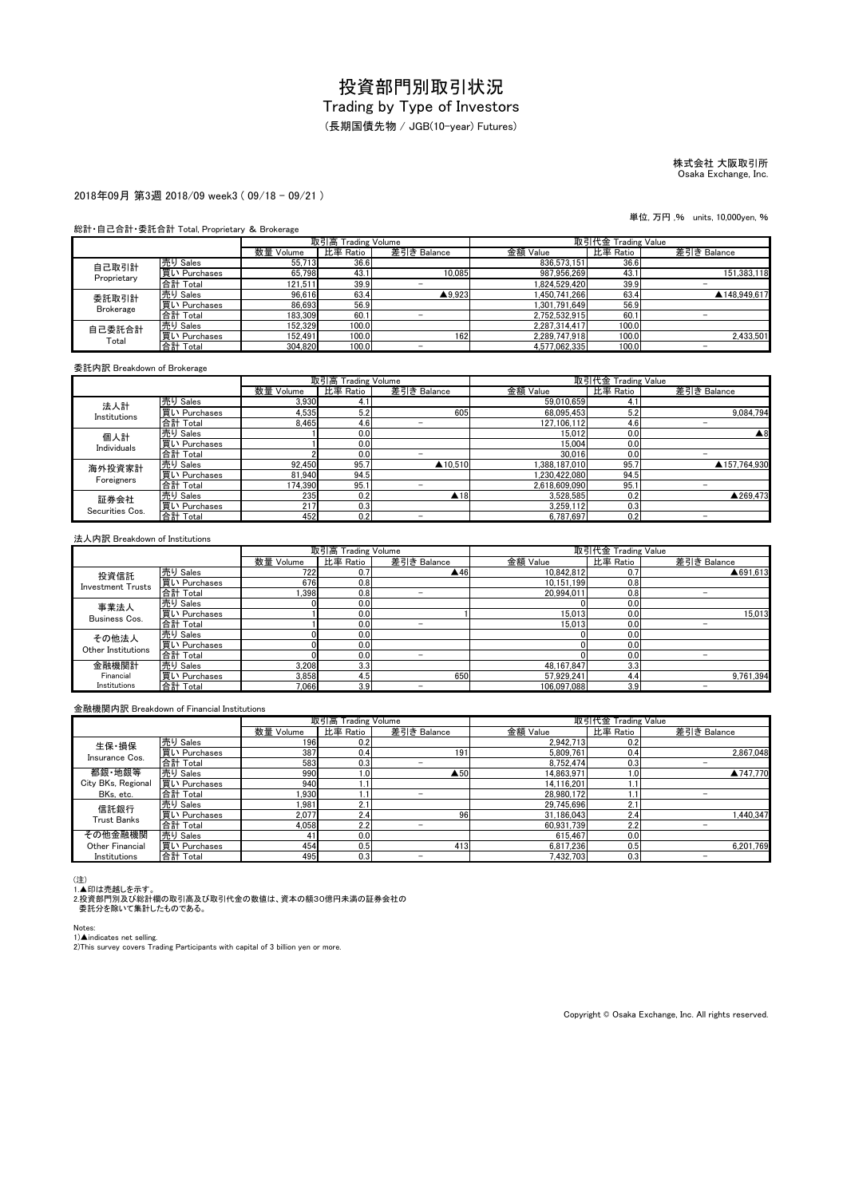#### (長期国債先物 / JGB(10-year) Futures)

## 株式会社 大阪取引所 Osaka Exchange, Inc.

#### 2018年09月 第3週 2018/09 week3 ( 09/18 - 09/21 )

#### 総計・自己合計・委託合計 Total, Proprietary & Brokerage

|                  |              | 取引高 Trading Volume |          |                   | 取引代金 Trading Value |          |              |
|------------------|--------------|--------------------|----------|-------------------|--------------------|----------|--------------|
|                  |              | 数量 Volume          | 比率 Ratio | 差引き Balance       | 金額 Value           | 比率 Ratio | 差引き Balance  |
| 自己取引計            | 売り Sales     | 55,713             | 36.6     |                   | 836.573.151        | 36.6     |              |
| Proprietary      | 買い Purchases | 65.798             | 43.1     | 10.085            | 987.956.269        | 43.1     | 151.383.118  |
|                  | 合計 Total     | 121.511            | 39.9     |                   | 1.824.529.420      | 39.9     |              |
| 委託取引計            | 売り Sales     | 96,616             | 63.4     | $\triangle$ 9.923 | 1.450.741.266      | 63.4     | ▲148,949.617 |
| <b>Brokerage</b> | 買い Purchases | 86.693             | 56.9     |                   | 1.301.791.649      | 56.9     |              |
|                  | 合計 Total     | 183,309            | 60.1     |                   | 2.752.532.915      | 60.1     |              |
| 自己委託合計<br>Total  | 売り Sales     | 152.329            | 100.0    |                   | 2.287.314.417      | 100.0    |              |
|                  | 買い Purchases | 152.491            | 100.0    | 1621              | 2.289.747.918      | 100.0    | 2.433.501    |
|                  | 合計 Total     | 304.820            | 100.0    | -                 | 4.577.062.335      | 100.0    | -            |

#### 委託内訳 Breakdown of Brokerage

|                         |              |           | 取引高 Trading Volume |                     | 取引代金 Trading Value |          |                    |
|-------------------------|--------------|-----------|--------------------|---------------------|--------------------|----------|--------------------|
|                         |              | 数量 Volume | 比率 Ratio           | 差引き Balance         | 金額 Value           | 比率 Ratio | 差引き Balance        |
| 法人計                     | 売り Sales     | 3.930     | 4.1                |                     | 59,010,659         | 4.1      |                    |
| Institutions            | 買い Purchases | 4.535     | 5.2                | 605                 | 68.095.453         | 5.2      | 9.084.794          |
|                         | 合計 Total     | 8.465     | 4.6                | -                   | 127.106.112        | 4.6      |                    |
| 個人計                     | 売り Sales     |           | 0.0                |                     | 15.012             | 0.0      | $\blacktriangle 8$ |
| Individuals             | 買い Purchases |           | 0.0                |                     | 15.004             | 0.0      |                    |
|                         | 合計 Total     |           | 0.0                |                     | 30.016             | 0.0      |                    |
| 海外投資家計                  | 売り Sales     | 92.450    | 95.7               | ▲10.510             | .388.187.010       | 95.7     | ▲157.764.930       |
| Foreigners              | 買い Purchases | 81.940    | 94.5               |                     | .230.422.080       | 94.5     |                    |
|                         | 合計 Total     | 174.390   | 95.1               |                     | 2.618.609.090      | 95.      |                    |
| 証券会社<br>Securities Cos. | 売り Sales     | 235       | 0.2                | $\blacktriangle$ 18 | 3.528.585          | 0.2      | ▲269.473           |
|                         | 買い Purchases | 217       | 0.3                |                     | 3.259.112          | 0.3      |                    |
|                         | 合計 Total     | 452       | 0.2                | -                   | 6.787.697          | 0.2      |                    |

#### 法人内訳 Breakdown of Institutions

|                          |              |           | 取引高 Trading Volume |                     | 取引代金 Trading Value |          |             |
|--------------------------|--------------|-----------|--------------------|---------------------|--------------------|----------|-------------|
|                          |              | 数量 Volume | 比率 Ratio           | 差引き Balance         | 金額 Value           | 比率 Ratio | 差引き Balance |
| 投資信託                     | 売り Sales     | 722       | 0.7                | $\blacktriangle$ 46 | 10,842,812         | 0.7      | ▲691.613    |
| <b>Investment Trusts</b> | 買い Purchases | 676       | 0.8                |                     | 10.151.199         | 0.8      |             |
|                          | 合計 Total     | .398      | 0.8                | -                   | 20.994.011         | 0.8      |             |
| 事業法人                     | 売り Sales     |           | 0.0                |                     |                    | 0.0      |             |
| Business Cos.            | 買い Purchases |           | 0.0                |                     | 15.013             | 0.0      | 15.013      |
|                          | 合計 Total     |           | 0.0                | -                   | 15.013             | 0.0      |             |
| その他法人                    | 売り Sales     |           | 0.0                |                     |                    | 0.0      |             |
| Other Institutions       | 買い Purchases |           | 0.0                |                     |                    | 0.0      |             |
|                          | 合計 Total     |           | 0.0                | -                   |                    | 0.0      |             |
| 金融機関計                    | 売り Sales     | 3,208     | 3.3                |                     | 48.167.847         | 3.3      |             |
| Financial                | 買い Purchases | 3,858     | 4.5                | 650                 | 57.929.241         | 4.4      | 9,761,394   |
| Institutions             | 合計 Total     | 7.066     | 3.9                | -                   | 106.097.088        | 3.9      |             |

#### 金融機関内訳 Breakdown of Financial Institutions

|                         |              |           | 取引高 Trading Volume |                          |            | 取引代金 Trading Value |                          |
|-------------------------|--------------|-----------|--------------------|--------------------------|------------|--------------------|--------------------------|
|                         |              | 数量 Volume | 比率 Ratio           | 差引き Balance              | 金額 Value   | 比率 Ratio           | 差引き Balance              |
| 生保·損保<br>Insurance Cos. | 売り Sales     | 196       | 0.2                |                          | 2.942.713  | 0.2                |                          |
|                         | 買い Purchases | 387       | 0.4                | 191                      | 5,809,761  | 0.4                | 2.867.048                |
|                         | 合計 Total     | 583       | 0.3                | -                        | 8.752.474  | 0.3                | -                        |
| 都銀·地銀等                  | 売り Sales     | 990       | 1.01               | $\triangle$ 50           | 14.863.971 | 1.0                | ▲747.770                 |
| City BKs, Regional      | 買い Purchases | 940       | 1.1                |                          | 14.116.201 |                    |                          |
| BKs, etc.               | 合計 Total     | .930      |                    | $\overline{\phantom{a}}$ | 28.980.172 |                    | $\overline{\phantom{0}}$ |
| 信託銀行                    | 売り Sales     | 1.981     | 2.1                |                          | 29.745.696 | 2.1                |                          |
| <b>Trust Banks</b>      | 買い Purchases | 2.077     | 2.4                | 96                       | 31.186.043 | 2.4                | 1.440.347                |
|                         | 合計 Total     | 4.058     | 2.2                |                          | 60,931,739 | 2.2                |                          |
| その他金融機関                 | 売り Sales     |           | 0.0                |                          | 615.467    | 0.0                |                          |
| Other Financial         | 買い Purchases | 454       | 0.5                | 413                      | 6.817.236  | 0.5                | 6.201.769                |
| Institutions            | 合計 Total     | 495       | 0.3                |                          | 7.432.703  | 0.3                | -                        |

(注)<br>1.▲印は売越しを示す。<br>2.投資部門別及び総計欄の取引高及び取引代金の数値は、資本の額30億円未満の証券会社の<br>- 委託分を除いて集計したものである。

Notes:

1)▲indicates net selling.<br>2)This survey covers Trading Participants with capital of 3 billion yen or more.

Copyright © Osaka Exchange, Inc. All rights reserved.

単位, 万円 ,% units, 10,000yen, %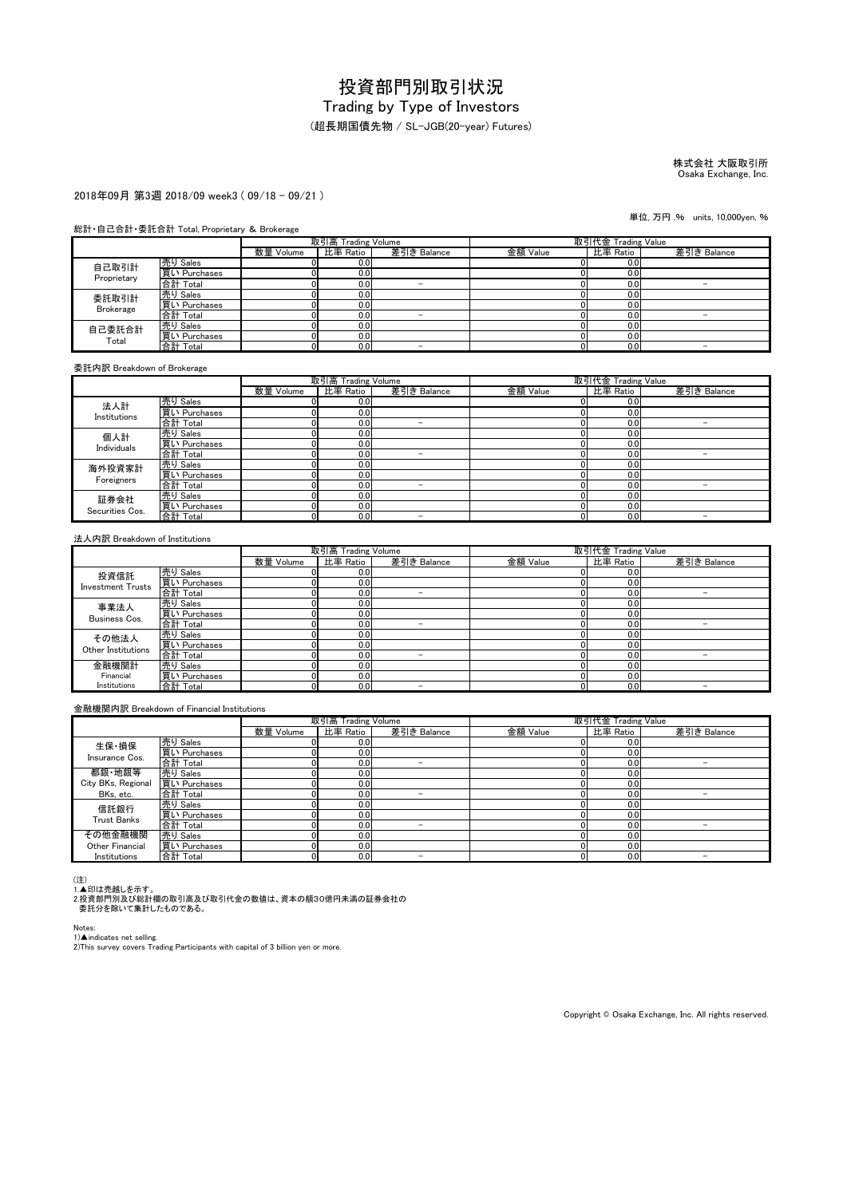(超長期国債先物 / SL-JGB(20-year) Futures)

# 株式会社 大阪取引所 Osaka Exchange, Inc.

#### 2018年09月 第3週 2018/09 week3 ( 09/18 - 09/21 )

#### 総計・自己合計・委託合計 Total, Proprietary & Brokerage

|                 |              | 取引高 Trading Volume |                  |             | 取引代金 Trading Value |          |             |
|-----------------|--------------|--------------------|------------------|-------------|--------------------|----------|-------------|
|                 |              | 数量 Volume          | 比率 Ratio         | 差引き Balance | 金額 Value           | 比率 Ratio | 差引き Balance |
| 自己取引計           | 売り Sales     |                    | 0.0              |             |                    | 0.0      |             |
| Proprietary     | 買い Purchases |                    | 0.01             |             |                    | 0.0      |             |
|                 | 合計 Total     |                    | 0.0              | -           |                    | 0.0      |             |
| 委託取引計           | 売り Sales     |                    | 0.01             |             |                    | 0.0      |             |
| Brokerage       | 買い Purchases |                    | 0.0              |             |                    | 0.0      |             |
|                 | 合計 Total     |                    | 0.0              | -           |                    | 0.0      |             |
| 自己委託合計<br>Total | 売り Sales     |                    | 0.0              |             |                    | 0.0      |             |
|                 | 買い Purchases |                    | 0.0 <sub>1</sub> |             |                    | 0.0      |             |
|                 | 合計 Total     |                    | 0.0              | -           |                    | 0.0      |             |

委託内訳 Breakdown of Brokerage

|                         |                                 |           | 取引高 Trading Volume |                          | 取引代金 Trading Value |          |             |
|-------------------------|---------------------------------|-----------|--------------------|--------------------------|--------------------|----------|-------------|
|                         |                                 | 数量 Volume | 比率 Ratio           | 差引き Balance              | 金額 Value           | 比率 Ratio | 差引き Balance |
| 法人計                     | 売り Sales                        |           | 0.0                |                          |                    | 0.0      |             |
| Institutions            | 買い Purchases                    |           | 0.0                |                          |                    | 0.0      |             |
|                         | 合計 Total                        |           | 0.0                |                          |                    | 0.0      |             |
| 個人計                     | 売り Sales                        |           | 0.0                |                          |                    | 0.0      |             |
| Individuals             | 買い Purchases                    |           | 0.0                |                          |                    | 0.0      |             |
|                         | 合計 Total                        |           | 0.0                | -                        |                    | 0.0      |             |
| 海外投資家計                  | <u>売り Sales</u><br>買い Purchases |           | 0.0                |                          |                    | 0.0      |             |
| Foreigners              |                                 |           | 0.0                |                          |                    | 0.0      |             |
|                         | 合計 Total                        |           | 0.0                | -                        |                    | 0.0      |             |
| 証券会社<br>Securities Cos. | 売り Sales                        |           | 0.0                |                          |                    | 0.0      |             |
|                         | 買い Purchases                    |           | 0.0                |                          |                    | 0.0      |             |
|                         | 合計 Total                        |           | 0.0                | $\overline{\phantom{a}}$ |                    | 0.0      |             |

#### 法人内訳 Breakdown of Institutions

|                          |              | 取引高 Trading Volume |          |             | 取引代金 Trading Value |          |             |  |  |  |
|--------------------------|--------------|--------------------|----------|-------------|--------------------|----------|-------------|--|--|--|
|                          |              | 数量 Volume          | 比率 Ratio | 差引き Balance | 金額 Value           | 比率 Ratio | 差引き Balance |  |  |  |
| 投資信託                     | 売り Sales     |                    | 0.0      |             |                    | 0.0      |             |  |  |  |
| <b>Investment Trusts</b> | 買い Purchases |                    | 0.0      |             |                    | 0.0      |             |  |  |  |
|                          | 合計 Total     |                    | 0.0      | -           |                    | 0.0      |             |  |  |  |
| 事業法人                     | 売り Sales     |                    | 0.0      |             |                    | 0.0      |             |  |  |  |
| Business Cos.            | 買い Purchases |                    | 0.0      |             |                    | 0.0      |             |  |  |  |
|                          | 合計 Total     |                    | 0.0      |             |                    | 0.0      |             |  |  |  |
| その他法人                    | 売り Sales     |                    | 0.0      |             |                    | 0.0      |             |  |  |  |
| Other Institutions       | 買い Purchases |                    | 0.0      |             |                    | 0.0      |             |  |  |  |
|                          | 合計 Total     |                    | 0.0      | -           |                    | 0.0      |             |  |  |  |
| 金融機関計                    | 売り Sales     |                    | 0.0      |             |                    | 0.0      |             |  |  |  |
| Financial                | 買い Purchases |                    | 0.0      |             |                    | 0.0      |             |  |  |  |
| Institutions             | 合計 Total     | D.                 | 0.0      | -           |                    | 0.0      | -           |  |  |  |

#### 金融機関内訳 Breakdown of Financial Institutions

|                    |              | 取引高 Trading Volume |          |             | 取引代金 Trading Value |          |             |
|--------------------|--------------|--------------------|----------|-------------|--------------------|----------|-------------|
|                    |              | 数量 Volume          | 比率 Ratio | 差引き Balance | 金額 Value           | 比率 Ratio | 差引き Balance |
| 生保·損保              | 売り Sales     |                    | 0.0      |             |                    | 0.0      |             |
| Insurance Cos.     | 買い Purchases |                    | 0.0      |             |                    | 0.0      |             |
|                    | 合計 Total     |                    | 0.0      | -           |                    | 0.0      | -           |
| 都銀·地銀等             | 売り Sales     |                    | 0.0      |             |                    | 0.0      |             |
| City BKs, Regional | 買い Purchases |                    | 0.0      |             |                    | 0.0      |             |
| BKs, etc.          | 合計 Total     |                    | 0.0      | -           |                    | 0.0      |             |
| 信託銀行               | 売り Sales     |                    | 0.0      |             |                    | 0.0      |             |
| <b>Trust Banks</b> | 買い Purchases |                    | 0.0      |             |                    | 0.0      |             |
|                    | 合計 Total     |                    | 0.0      | -           |                    | 0.0      |             |
| その他金融機関            | 売り Sales     |                    | 0.0      |             |                    | 0.0      |             |
| Other Financial    | 買い Purchases |                    | 0.0      |             |                    | 0.0      |             |
| Institutions       | 合計 Total     |                    | 0.0      |             |                    | 0.0      |             |

(注)<br>1.▲印は売越しを示す。<br>2.投資部門別及び総計欄の取引高及び取引代金の数値は、資本の額30億円未満の証券会社の<br>- 委託分を除いて集計したものである。

Notes:

1)▲indicates net selling.<br>2)This survey covers Trading Participants with capital of 3 billion yen or more.

Copyright © Osaka Exchange, Inc. All rights reserved.

単位, 万円 ,% units, 10,000yen, %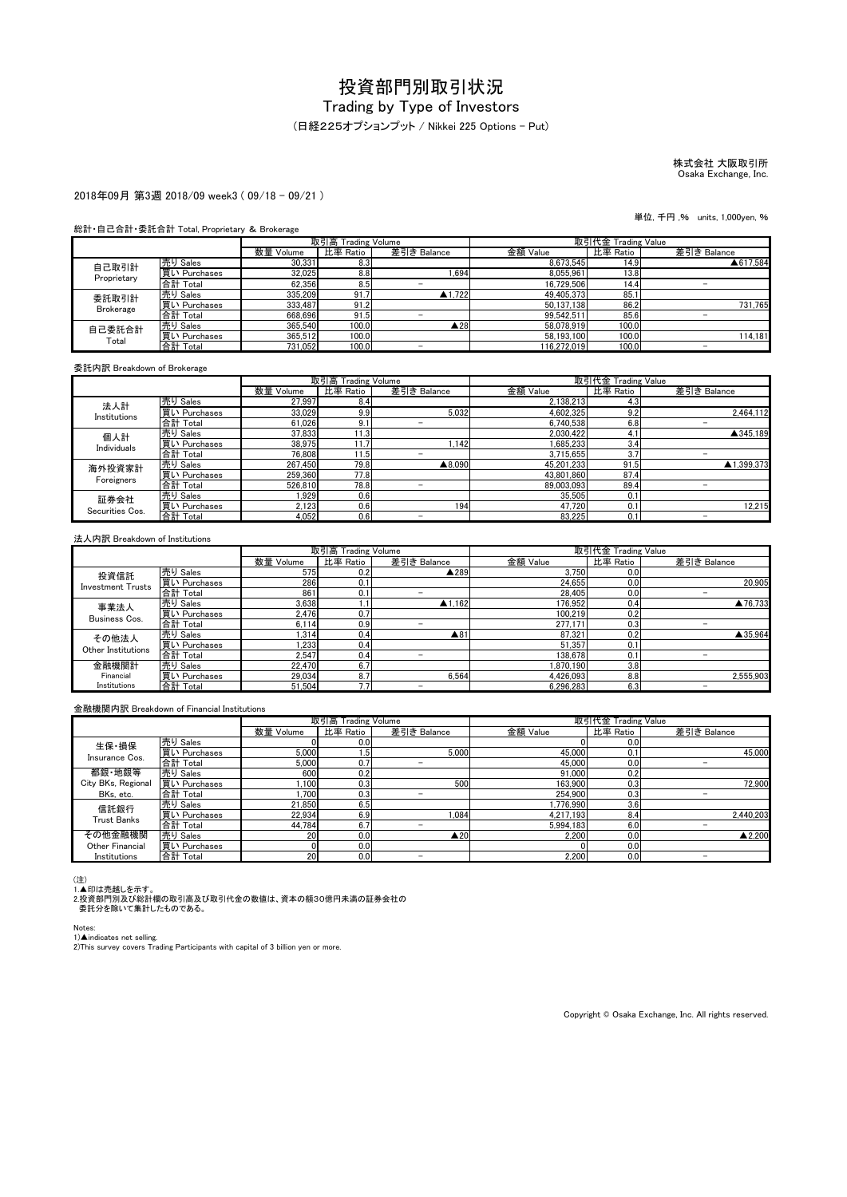#### (日経225オプションプット / Nikkei 225 Options - Put)

### 株式会社 大阪取引所 Osaka Exchange, Inc.

#### 2018年09月 第3週 2018/09 week3 ( 09/18 - 09/21 )

#### 総計・自己合計・委託合計 Total, Proprietary & Brokerage

|                  |              | 取引高 Trading Volume |          |                     | 取引代金 Trading Value |          |             |
|------------------|--------------|--------------------|----------|---------------------|--------------------|----------|-------------|
|                  |              | 数量 Volume          | 比率 Ratio | 差引き Balance         | 金額 Value           | 比率 Ratio | 差引き Balance |
| 自己取引計            | 売り Sales     | 30.331             | 8.3      |                     | 8.673.545          | 14.91    | ▲617.584    |
| Proprietary      | 買い Purchases | 32.025             | 8.8      | .694                | 8.055.961          | 13.8     |             |
|                  | 合計 Total     | 62,356             | 8.5      |                     | 16.729.506         | 14.4     |             |
| 委託取引計            | 売り Sales     | 335,209            | 91.7     | $\triangle$ 1.722   | 49.405.373         | 85.1     |             |
| <b>Brokerage</b> | 買い Purchases | 333.487            | 91.2     |                     | 50.137.138         | 86.2     | 731.765     |
|                  | 合計 Total     | 668.696            | 91.5     |                     | 99.542.511         | 85.6     |             |
| 自己委託合計<br>Total  | 売り Sales     | 365,540            | 100.0    | $\blacktriangle$ 28 | 58.078.919         | 100.0    |             |
|                  | 買い Purchases | 365.512            | 100.0    |                     | 58.193.100         | 100.0    | 114.181     |
|                  | 合計 Total     | 731,052            | 100.0    | -                   | 116.272.019        | 100.0    | -           |

#### 委託内訳 Breakdown of Brokerage

|                         |              |           | 取引高 Trading Volume |             | 取引代金 Trading Value |          |             |
|-------------------------|--------------|-----------|--------------------|-------------|--------------------|----------|-------------|
|                         |              | 数量 Volume | 比率 Ratio           | 差引き Balance | 金額 Value           | 比率 Ratio | 差引き Balance |
| 法人計                     | 売り Sales     | 27.997    | 8.4                |             | 2,138,213          | 4.3      |             |
| Institutions            | 買い Purchases | 33,029    | 9.9                | 5.032       | 4.602.325          | 9.2      | 2,464,112   |
|                         | 合計 Total     | 61,026    | 9.1                | -           | 6.740.538          | 6.8      | -           |
| 個人計                     | 売り Sales     | 37,833    | 11.3               |             | 2,030,422          | 4.1      | ▲345.189    |
| Individuals             | 買い Purchases | 38,975    | 11.7               | .142        | 1.685.233          | 3.4      |             |
|                         | 合計 Total     | 76.808    | ا 1.5              |             | 3.715.655          | 3.7      |             |
| 海外投資家計                  | 売り Sales     | 267,450   | 79.8               | ▲8,090      | 45.201.233         | 91.5     | ▲1.399.373  |
|                         | 買い Purchases | 259,360   | 77.8               |             | 43.801.860         | 87.4     |             |
| Foreigners              | 合計 Total     | 526.810   | 78.8               |             | 89.003.093         | 89.4     |             |
| 証券会社<br>Securities Cos. | 売り Sales     | .929      | 0.6                |             | 35,505             | 0.1      |             |
|                         | 買い Purchases | 2,123     | 0.6                | 194         | 47.720             | 0.1      | 12.215      |
|                         | 合計 Total     | 4.052     | 0.6                | -           | 83.225             | 0.1      |             |

#### 法人内訳 Breakdown of Institutions

|                          |              |           | 取引高 Trading Volume |                     | 取引代金 Trading Value |          |             |
|--------------------------|--------------|-----------|--------------------|---------------------|--------------------|----------|-------------|
|                          |              | 数量 Volume | 比率 Ratio           | 差引き Balance         | 金額 Value           | 比率 Ratio | 差引き Balance |
| 投資信託                     | 売り Sales     | 575       | 0.2                | ▲289                | 3,750              | 0.0      |             |
| <b>Investment Trusts</b> | 買い Purchases | 286       | 0.1                |                     | 24.655             | 0.0      | 20.905      |
|                          | 合計 Total     | 861       | 0.1                |                     | 28.405             | 0.0      |             |
| 事業法人                     | 売り Sales     | 3.638     |                    | $\triangle$ 1.162   | 176.952            | 0.4      | ▲76.733     |
| Business Cos.            | 買い Purchases | 2.476     | 0.7                |                     | 100.219            | 0.2      |             |
|                          | 合計 Total     | 6.114     | 0.9                | -                   | 277.171            | 0.3      | -           |
| その他法人                    | 売り Sales     | 1.314     | 0.4                | $\blacktriangle$ 81 | 87.321             | 0.2      | ▲35.964     |
| Other Institutions       | 買い Purchases | 1.233     | 0.4                |                     | 51.357             | 0.1      |             |
|                          | 合計 Total     | 2.547     | 0.4                | -                   | 138.678            | 0.1      |             |
| 金融機関計                    | 売り Sales     | 22.470    | 6.7                |                     | 1.870.190          | 3.8      |             |
| Financial                | 買い Purchases | 29,034    | 8.7                | 6.564               | 4,426,093          | 8.8      | 2.555.903   |
| Institutions             | 合計 Total     | 51.504    | 7.7                |                     | 6.296.283          | 6.3      |             |

#### 金融機関内訳 Breakdown of Financial Institutions

|                    |              |           | 取引高 Trading Volume |                |           | 取引代金 Trading Value |             |
|--------------------|--------------|-----------|--------------------|----------------|-----------|--------------------|-------------|
|                    |              | 数量 Volume | 比率 Ratio           | 差引き Balance    | 金額 Value  | 比率 Ratio           | 差引き Balance |
| 生保·損保              | 売り Sales     |           | 0.0                |                |           | 0.0                |             |
| Insurance Cos.     | 買い Purchases | 5.000     | 1.5                | 5.000          | 45,000    | 0.1                | 45,000      |
|                    | 合計 Total     | 5.000     | 0.7                | -              | 45,000    | 0.0                | -           |
| 都銀·地銀等             | 売り Sales     | 600       | 0.2                |                | 91.000    | 0.2                |             |
| City BKs, Regional | 買い Purchases | .100      | 0.3                | 500            | 163.900   | 0.3                | 72.900      |
| BKs, etc.          | 合計 Total     | .700      | 0.3                |                | 254,900   | 0.3                |             |
| 信託銀行               | 売り Sales     | 21.850    | 6.5                |                | 1.776.990 | 3.6                |             |
| <b>Trust Banks</b> | 買い Purchases | 22.934    | 6.9                | .084           | 4.217.193 | 8.4                | 2.440.203   |
|                    | 合計 Total     | 44.784    | 6.7                |                | 5.994.183 | 6.0                |             |
| その他金融機関            | 売り Sales     | 20        | 0.0                | $\triangle 20$ | 2.200     | 0.0                | ▲2.200      |
| Other Financial    | 買い Purchases |           | 0.0                |                |           | 0.0                |             |
| Institutions       | 合計 Total     | 20        | 0.0                |                | 2.200     | 0.0                |             |

(注)<br>1.▲印は売越しを示す。<br>2.投資部門別及び総計欄の取引高及び取引代金の数値は、資本の額30億円未満の証券会社の<br>- 委託分を除いて集計したものである。

Notes:

1)▲indicates net selling.<br>2)This survey covers Trading Participants with capital of 3 billion yen or more.

Copyright © Osaka Exchange, Inc. All rights reserved.

単位, 千円 ,% units, 1,000yen, %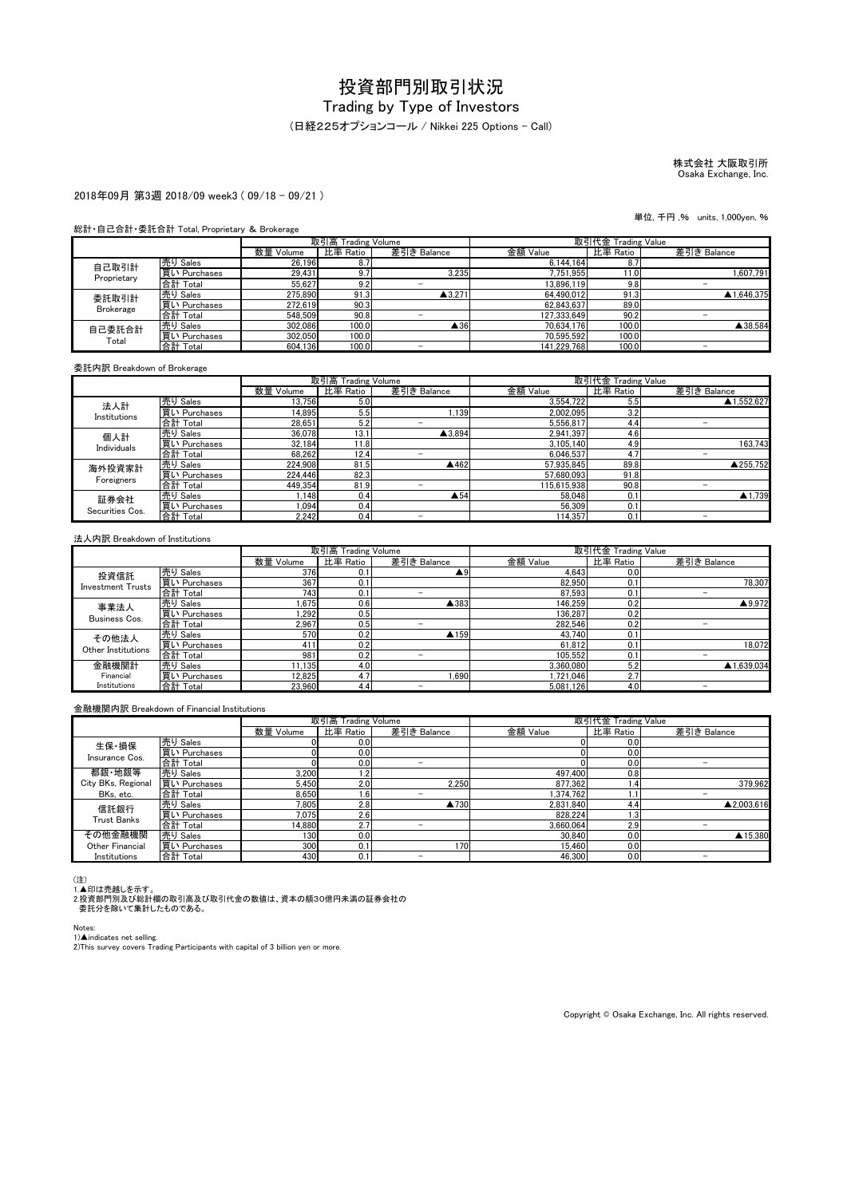(日経225オプションコール / Nikkei 225 Options - Call)

# 株式会社 大阪取引所 Osaka Exchange, Inc.

#### 2018年09月 第3週 2018/09 week3 ( 09/18 - 09/21 )

#### 総計・自己合計・委託合計 Total, Proprietary & Brokerage

|                  |              | 取引高 Trading Volume |          |                     | 取引代金 Trading Value |          |             |
|------------------|--------------|--------------------|----------|---------------------|--------------------|----------|-------------|
|                  |              | 数量 Volume          | 比率 Ratio | 差引き Balance         | 金額 Value           | 比率 Ratio | 差引き Balance |
| 自己取引計            | 売り Sales     | 26.196             | 8.7      |                     | 6.144.164          | 8.7      |             |
| Proprietary      | 買い Purchases | 29.431             | 9.7      | 3.235               | 7,751,955          | 1.0      | 1.607.791   |
|                  | 合計 Total     | 55.627             | 9.2      | -                   | 13.896.119         | 9.8      |             |
| 委託取引計            | 売り Sales     | 275,890            | 91.3     | $\triangle$ 3.271   | 64.490.012         | 91.3     | ▲1.646.375  |
| <b>Brokerage</b> | 買い Purchases | 272.619            | 90.3     |                     | 62.843.637         | 89.0     |             |
|                  | 合計 Total     | 548.509            | 90.8     |                     | 127.333.649        | 90.2     |             |
| 自己委託合計<br>Total  | 売り Sales     | 302.086            | 100.0    | $\blacktriangle$ 36 | 70.634.176         | 100.0    | ▲38.584     |
|                  | 買い Purchases | 302.050            | 100.0    |                     | 70.595.592         | 100.0    |             |
|                  | 合計 Total     | 604.136            | 100.0    | -                   | 141.229.768        | 100.0    | -           |

委託内訳 Breakdown of Brokerage

|                         |              |           | 取引高 Trading Volume |                     |             | 取引代金 Trading Value |             |
|-------------------------|--------------|-----------|--------------------|---------------------|-------------|--------------------|-------------|
|                         |              | 数量 Volume | 比率 Ratio           | 差引き Balance         | 金額 Value    | 比率 Ratio           | 差引き Balance |
| 法人計                     | 売り Sales     | 13.756    | 5.0                |                     | 3,554,722   | 5.5                | ▲1.552.627  |
| Institutions            | 買い Purchases | 14.895    | 5.5                | .139                | 2.002.095   | 3.2                |             |
|                         | 合計 Total     | 28.651    | 5.2                | -                   | 5.556.817   | 4.4                |             |
| 個人計                     | 売り Sales     | 36.078    | 13.1               | $\triangle$ 3.894   | 2.941.397   | 4.6                |             |
| Individuals             | 買い Purchases | 32.184    | 11.8               |                     | 3.105.140   | 4.9                | 163.743     |
|                         | 合計 Total     | 68,262    | 12.4               |                     | 6.046.537   | 4.7                | -           |
| 海外投資家計                  | 売り Sales     | 224.908   | 81.5               | ▲462                | 57.935.845  | 89.8               | ▲255.752    |
| Foreigners              | 買い Purchases | 224,446   | 82.3               |                     | 57.680.093  | 91.8               |             |
|                         | 合計 Total     | 449.354   | 81.9               |                     | 115.615.938 | 90.8               |             |
| 証券会社<br>Securities Cos. | 売り Sales     | .148      | 0.4                | $\blacktriangle$ 54 | 58.048      | 0.1                | ▲1.739      |
|                         | 買い Purchases | 1.094     | 0.4                |                     | 56.309      | 0.1                |             |
|                         | 合計 Total     | 2.242     | 0.4                | -                   | 114.357     | 0.1                |             |

#### 法人内訳 Breakdown of Institutions

|                          |              |           | 取引高 Trading Volume |                    | 取引代金 Trading Value |                  |                          |
|--------------------------|--------------|-----------|--------------------|--------------------|--------------------|------------------|--------------------------|
|                          |              | 数量 Volume | 比率 Ratio           | 差引き Balance        | 金額 Value           | 比率 Ratio         | 差引き Balance              |
| 投資信託                     | 売り Sales     | 376       | 0.1                | $\blacktriangle$ 9 | 4.643              | 0.0 <sub>l</sub> |                          |
| <b>Investment Trusts</b> | 買い Purchases | 367       | 0.1                |                    | 82.950             | 0.1              | 78.307                   |
|                          | 合計 Total     | 743       | 0.1                |                    | 87.593             | 0.1              |                          |
| 事業法人                     | 売り Sales     | 1.675     | 0.6                | ▲383               | 146.259            | 0.2              | ▲9.972                   |
| Business Cos.            | 買い Purchases | .292      | 0.5 <sub>1</sub>   |                    | 136.287            | 0.2              |                          |
|                          | 合計 Total     | 2,967     | 0.5                | -                  | 282.546            | 0.2              | -                        |
| その他法人                    | 売り Sales     | 570       | 0.2                | ▲159               | 43.740             | 0.1              |                          |
| Other Institutions       | 買い Purchases | 411       | 0.2                |                    | 61.812             | 0.1              | 18.072                   |
|                          | 合計 Total     | 981       | 0.2                | -                  | 105.552            | 0.1              |                          |
| 金融機関計                    | 売り Sales     | 11.135    | 4.0                |                    | 3.360.080          | 5.2              | ▲1.639.034               |
| Financial                | 買い Purchases | 12.825    | 4.7                | .690               | 1,721,046          | 2.7              |                          |
| Institutions             | 合計 Total     | 23.960    | 4.4                | -                  | 5.081.126          | 4.0              | $\overline{\phantom{a}}$ |

#### 金融機関内訳 Breakdown of Financial Institutions

|                    |              |           | 取引高 Trading Volume |             | 取引代金 Trading Value |          |             |
|--------------------|--------------|-----------|--------------------|-------------|--------------------|----------|-------------|
|                    |              | 数量 Volume | 比率 Ratio           | 差引き Balance | 金額 Value           | 比率 Ratio | 差引き Balance |
| 生保·損保              | 売り Sales     |           | 0.0                |             |                    | 0.0      |             |
| Insurance Cos.     | 買い Purchases |           | 0.0                |             |                    | 0.0      |             |
|                    | 合計 Total     |           | 0.0                | -           |                    | 0.0      |             |
| 都銀·地銀等             | 売り Sales     | 3.200     | 1.2                |             | 497,400            | 0.8      |             |
| City BKs, Regional | 買い Purchases | 5,450     | 2.0                | 2.250       | 877,362            | 4٠.      | 379,962     |
| BKs. etc.          | 合計 Total     | 8.650     | 1.6                | -           | 1.374.762          |          |             |
| 信託銀行               | 売り Sales     | 7.805     | 2.8                | ▲730        | 2.831.840          | 4.4      | ▲2.003.616  |
| <b>Trust Banks</b> | 買い Purchases | 7.075     | 2.6                |             | 828.224            | 1.31     |             |
|                    | 合計 Total     | 14.880    | 2.7                | -           | 3.660.064          | 2.9      |             |
| その他金融機関            | 売り Sales     | 130       | 0.0                |             | 30.840             | 0.0      | ▲15,380     |
| Other Financial    | 買い Purchases | 300       | 0.1                | 170         | 15.460             | 0.0      |             |
| Institutions       | 合計 Total     | 430       | 0.1                |             | 46.300             | 0.0      |             |

(注)<br>1.▲印は売越しを示す。<br>2.投資部門別及び総計欄の取引高及び取引代金の数値は、資本の額30億円未満の証券会社の<br>- 委託分を除いて集計したものである。

Notes:

1)▲indicates net selling.<br>2)This survey covers Trading Participants with capital of 3 billion yen or more.

Copyright © Osaka Exchange, Inc. All rights reserved.

単位, 千円 ,% units, 1,000yen, %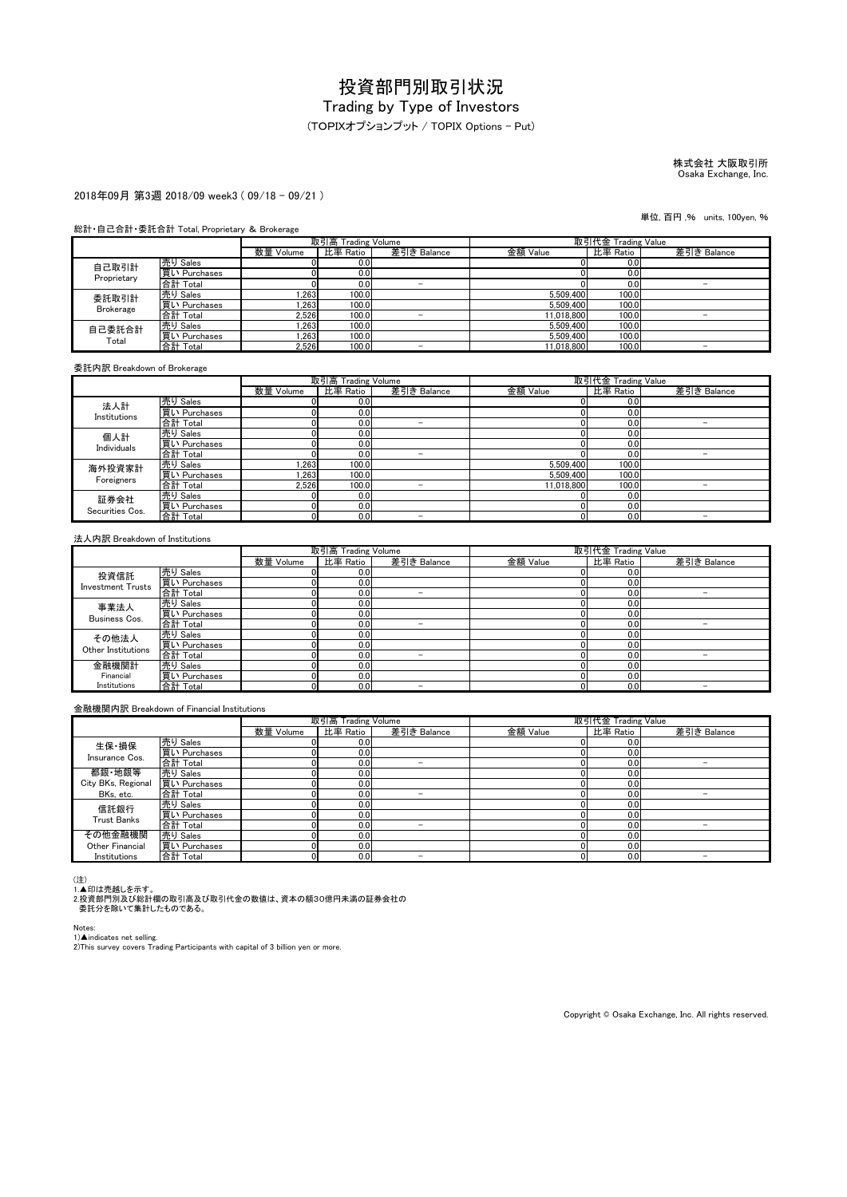(TOPIXオプションプット / TOPIX Options - Put)

## 株式会社 大阪取引所 Osaka Exchange, Inc.

#### 2018年09月 第3週 2018/09 week3 ( 09/18 - 09/21 )

#### 総計・自己合計・委託合計 Total, Proprietary & Brokerage

|                  |              | 取引高 Trading Volume |                  |             | 取引代金 Trading Value |          |             |
|------------------|--------------|--------------------|------------------|-------------|--------------------|----------|-------------|
|                  |              | 数量 Volume          | 比率 Ratio         | 差引き Balance | 金額 Value           | 比率 Ratio | 差引き Balance |
| 自己取引計            | 売り Sales     |                    | 0.0              |             |                    | 0.0      |             |
| Proprietary      | 買い Purchases |                    | 0.0              |             |                    | 0.0      |             |
|                  | 合計 Total     |                    | 0.0 <sub>l</sub> | -           |                    | 0.0      |             |
| 委託取引計            | 売り Sales     | .263               | 100.0            |             | 5.509.400          | 100.0    |             |
| <b>Brokerage</b> | 買い Purchases | .263               | 100.0            |             | 5.509.400          | 100.0    |             |
|                  | 合計 Total     | 2,526              | 100.0            |             | 11.018.800         | 100.0    |             |
| 自己委託合計           | 売り Sales     | .263               | 100.0            |             | 5.509.400          | 100.0    |             |
| Total            | 買い Purchases | 1.263              | 100.0            |             | 5.509.400          | 100.0    |             |
|                  | 合計 Total     | 2.526              | 100.0            | -           | 11.018.800         | 100.0    | -           |

委託内訳 Breakdown of Brokerage

|                         |              |           | 取引高 Trading Volume |                          | 取引代金 Trading Value |          |             |
|-------------------------|--------------|-----------|--------------------|--------------------------|--------------------|----------|-------------|
|                         |              | 数量 Volume | 比率 Ratio           | 差引き Balance              | 金額 Value           | 比率 Ratio | 差引き Balance |
| 法人計                     | 売り Sales     |           | 0.0                |                          |                    | 0.0      |             |
| Institutions            | 買い Purchases |           | 0.0                |                          |                    | 0.0      |             |
|                         | 合計 Total     |           | 0.0                |                          |                    | 0.0      |             |
| 個人計                     | 売り Sales     |           | 0.0                |                          |                    | 0.0      |             |
| Individuals             | 買い Purchases |           | 0.0                |                          |                    | 0.0      |             |
|                         | 合計 Total     |           | 0.0                | -                        |                    | 0.0      |             |
| 海外投資家計                  | 売り Sales     | .263      | 100.0              |                          | 5.509.400          | 100.0    |             |
| Foreigners              | 買い Purchases | .263      | 100.0              |                          | 5.509.400          | 100.0    |             |
|                         | 合計 Total     | 2.526     | 100.0              |                          | 11.018.800         | 100.0    |             |
| 証券会社<br>Securities Cos. | 売り Sales     |           | 0.0                |                          |                    | 0.0      |             |
|                         | 買い Purchases | ור        | 0.0                |                          |                    | 0.0      |             |
|                         | 合計 Total     | ור        | 0.0                | $\overline{\phantom{a}}$ |                    | 0.0      | -           |

#### 法人内訳 Breakdown of Institutions

|                          |              | 取引高 Trading Volume |          |                          | 取引代金 Trading Value |          |             |
|--------------------------|--------------|--------------------|----------|--------------------------|--------------------|----------|-------------|
|                          |              | 数量 Volume          | 比率 Ratio | 差引き Balance              | 金額 Value           | 比率 Ratio | 差引き Balance |
| 投資信託                     | 売り Sales     |                    | 0.0      |                          |                    | 0.0      |             |
| <b>Investment Trusts</b> | 買い Purchases |                    | 0.0      |                          |                    | 0.0      |             |
|                          | 合計 Total     |                    | 0.0      | $\overline{\phantom{a}}$ |                    | 0.0      |             |
| 事業法人                     | 売り Sales     |                    | 0.0      |                          |                    | 0.0      |             |
| Business Cos.            | 買い Purchases |                    | 0.0      |                          |                    | 0.0      |             |
|                          | 合計 Total     |                    | 0.0      |                          |                    | 0.0      |             |
| その他法人                    | 売り Sales     |                    | 0.0      |                          |                    | 0.0      |             |
| Other Institutions       | 買い Purchases |                    | 0.0      |                          |                    | 0.0      |             |
|                          | 合計 Total     |                    | 0.0      | -                        |                    | 0.0      |             |
| 金融機関計                    | 売り Sales     |                    | 0.0      |                          |                    | 0.0      |             |
| Financial                | 買い Purchases |                    | 0.0      |                          |                    | 0.0      |             |
| Institutions             | 合計 Total     |                    | 0.0      | -                        |                    | 0.0      |             |

#### 金融機関内訳 Breakdown of Financial Institutions

|                    |              | 取引高 Trading Volume |          |                          | 取引代金 Trading Value |          |             |
|--------------------|--------------|--------------------|----------|--------------------------|--------------------|----------|-------------|
|                    |              | 数量 Volume          | 比率 Ratio | 差引き Balance              | 金額 Value           | 比率 Ratio | 差引き Balance |
| 生保·損保              | 売り Sales     |                    | 0.0      |                          |                    | 0.0      |             |
| Insurance Cos.     | 買い Purchases |                    | 0.0      |                          |                    | 0.0      |             |
|                    | 合計 Total     |                    | 0.0      | -                        |                    | 0.0      | -           |
| 都銀·地銀等             | 売り Sales     |                    | 0.0      |                          |                    | 0.0      |             |
| City BKs, Regional | 買い Purchases |                    | 0.0      |                          |                    | 0.0      |             |
| BKs, etc.          | 合計 Total     |                    | 0.0      | -                        |                    | 0.0      |             |
| 信託銀行               | 売り Sales     |                    | 0.0      |                          |                    | 0.0      |             |
| <b>Trust Banks</b> | 買い Purchases |                    | 0.0      |                          |                    | 0.0      |             |
|                    | 合計 Total     |                    | 0.0      | $\overline{\phantom{a}}$ |                    | 0.0      |             |
| その他金融機関            | 売り Sales     |                    | 0.0      |                          |                    | 0.0      |             |
| Other Financial    | 買い Purchases |                    | 0.0      |                          |                    | 0.0      |             |
| Institutions       | 合計 Total     |                    | 0.0      | -                        |                    | 0.0      |             |

(注)<br>1.▲印は売越しを示す。<br>2.投資部門別及び総計欄の取引高及び取引代金の数値は、資本の額30億円未満の証券会社の<br>- 委託分を除いて集計したものである。

Notes:

1)▲indicates net selling.<br>2)This survey covers Trading Participants with capital of 3 billion yen or more.

Copyright © Osaka Exchange, Inc. All rights reserved.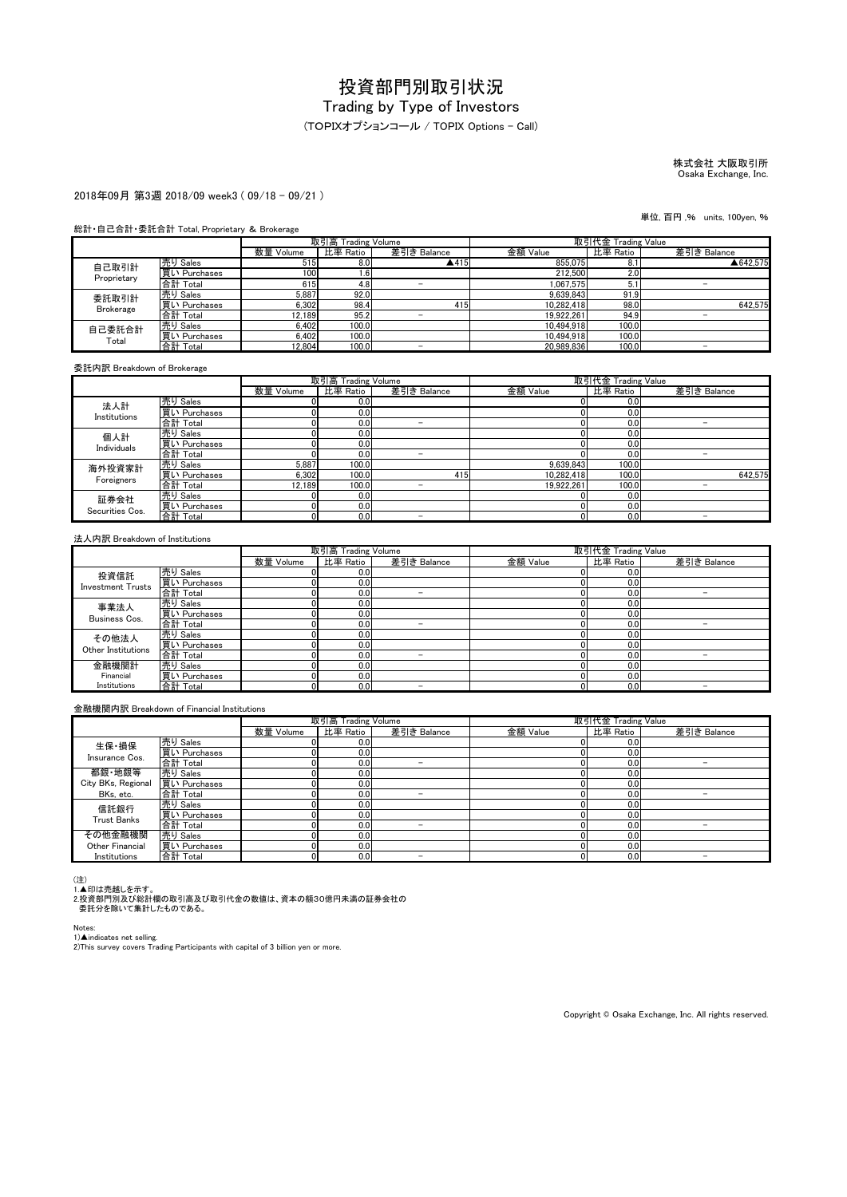## (TOPIXオプションコール / TOPIX Options - Call)

# 株式会社 大阪取引所 Osaka Exchange, Inc.

#### 2018年09月 第3週 2018/09 week3 ( 09/18 - 09/21 )

#### 総計・自己合計・委託合計 Total, Proprietary & Brokerage

|                  |              | 取引高 Trading Volume |          |             | 取引代金 Trading Value |          |             |
|------------------|--------------|--------------------|----------|-------------|--------------------|----------|-------------|
|                  |              | 数量 Volume          | 比率 Ratio | 差引き Balance | 金額 Value           | 比率 Ratio | 差引き Balance |
| 自己取引計            | 売り Sales     | 515                | 8.0      | ▲415        | 855.075            | 8.1      | ▲642.575    |
| Proprietary      | 買い Purchases | 100                | 1.6      |             | 212,500            | 2.0      |             |
|                  | 合計 Total     | 615                | 4.8      |             | 1.067.575          | 5.1      |             |
| 委託取引計            | 売り Sales     | 5,887              | 92.0     |             | 9.639.843          | 91.9     |             |
| <b>Brokerage</b> | 買い Purchases | 6.302              | 98.4     | 415         | 10.282.418         | 98.0     | 642.575     |
|                  | 合計 Total     | 12,189             | 95.2     |             | 19.922.261         | 94.9     |             |
| 自己委託合計<br>Total  | 売り Sales     | 6.402              | 100.0    |             | 10.494.918         | 100.0    |             |
|                  | 買い Purchases | 6.402              | 100.0    |             | 10.494.918         | 100.0    |             |
|                  | 合計 Total     | 12.804             | 100.0    | -           | 20.989.836         | 100.0    | -           |

委託内訳 Breakdown of Brokerage

|                         |              | 取引高 Trading Volume |          |                          | 取引代金 Trading Value |          |             |
|-------------------------|--------------|--------------------|----------|--------------------------|--------------------|----------|-------------|
|                         |              | 数量 Volume          | 比率 Ratio | 差引き Balance              | 金額 Value           | 比率 Ratio | 差引き Balance |
| 法人計                     | 売り Sales     |                    | 0.0      |                          |                    | 0.0      |             |
| Institutions            | 買い Purchases |                    | 0.0      |                          |                    | 0.0      |             |
|                         | 合計 Total     |                    | 0.0      | -                        |                    | 0.0      |             |
| 個人計                     | 売り Sales     |                    | 0.0      |                          |                    | 0.0      |             |
| Individuals             | 買い Purchases |                    | 0.0      |                          |                    | 0.0      |             |
|                         | 合計 Total     |                    | 0.0      | -                        |                    | 0.0      | -           |
| 海外投資家計                  | 売り Sales     | 5.887              | 100.0    |                          | 9.639.843          | 100.0    |             |
| Foreigners              | 買い Purchases | 6.302              | 100.0    | 415                      | 10.282.418         | 100.0    | 642.575     |
|                         | 合計 Total     | 12.189             | 100.0    | -                        | 19.922.261         | 100.0    |             |
| 証券会社<br>Securities Cos. | 売り Sales     |                    | 0.0      |                          |                    | 0.0      |             |
|                         | 買い Purchases |                    | 0.0      |                          |                    | 0.0      |             |
|                         | 合計 Total     |                    | 0.0      | $\overline{\phantom{a}}$ |                    | 0.0      |             |

#### 法人内訳 Breakdown of Institutions

|                          |              | 取引高 Trading Volume |          |                          | 取引代金 Trading Value |          |             |
|--------------------------|--------------|--------------------|----------|--------------------------|--------------------|----------|-------------|
|                          |              | 数量 Volume          | 比率 Ratio | 差引き Balance              | 金額 Value           | 比率 Ratio | 差引き Balance |
| 投資信託                     | 売り Sales     |                    | 0.0      |                          |                    | 0.0      |             |
| <b>Investment Trusts</b> | 買い Purchases |                    | 0.0      |                          |                    | 0.0      |             |
|                          | 合計 Total     |                    | 0.0      | $\overline{\phantom{a}}$ |                    | 0.0      |             |
| 事業法人                     | 売り Sales     |                    | 0.0      |                          |                    | 0.0      |             |
| Business Cos.            | 買い Purchases |                    | 0.0      |                          |                    | 0.0      |             |
|                          | 合計 Total     |                    | 0.0      |                          |                    | 0.0      |             |
| その他法人                    | 売り Sales     |                    | 0.0      |                          |                    | 0.0      |             |
| Other Institutions       | 買い Purchases |                    | 0.0      |                          |                    | 0.0      |             |
|                          | 合計 Total     |                    | 0.0      | -                        |                    | 0.0      |             |
| 金融機関計                    | 売り Sales     |                    | 0.0      |                          |                    | 0.0      |             |
| Financial                | 買い Purchases |                    | 0.0      |                          |                    | 0.0      |             |
| Institutions             | 合計 Total     |                    | 0.0      | -                        |                    | 0.0      |             |

#### 金融機関内訳 Breakdown of Financial Institutions

|                    |              | 取引高 Trading Volume |          |                          | 取引代金 Trading Value |          |             |
|--------------------|--------------|--------------------|----------|--------------------------|--------------------|----------|-------------|
|                    |              | 数量 Volume          | 比率 Ratio | 差引き Balance              | 金額 Value           | 比率 Ratio | 差引き Balance |
| 生保·損保              | 売り Sales     |                    | 0.0      |                          |                    | 0.0      |             |
| Insurance Cos.     | 買い Purchases |                    | 0.0      |                          |                    | 0.0      |             |
|                    | 合計 Total     |                    | 0.0      | -                        |                    | 0.0      | -           |
| 都銀·地銀等             | 売り Sales     |                    | 0.0      |                          |                    | 0.0      |             |
| City BKs, Regional | 買い Purchases |                    | 0.0      |                          |                    | 0.0      |             |
| BKs, etc.          | 合計 Total     |                    | 0.0      | -                        |                    | 0.0      |             |
| 信託銀行               | 売り Sales     |                    | 0.0      |                          |                    | 0.0      |             |
| <b>Trust Banks</b> | 買い Purchases |                    | 0.0      |                          |                    | 0.0      |             |
|                    | 合計 Total     |                    | 0.0      | $\overline{\phantom{a}}$ |                    | 0.0      |             |
| その他金融機関            | 売り Sales     |                    | 0.0      |                          |                    | 0.0      |             |
| Other Financial    | 買い Purchases |                    | 0.0      |                          |                    | 0.0      |             |
| Institutions       | 合計 Total     |                    | 0.0      |                          |                    | 0.0      |             |

(注)<br>1.▲印は売越しを示す。<br>2.投資部門別及び総計欄の取引高及び取引代金の数値は、資本の額30億円未満の証券会社の<br>- 委託分を除いて集計したものである。

Notes:

1)▲indicates net selling.<br>2)This survey covers Trading Participants with capital of 3 billion yen or more.

Copyright © Osaka Exchange, Inc. All rights reserved.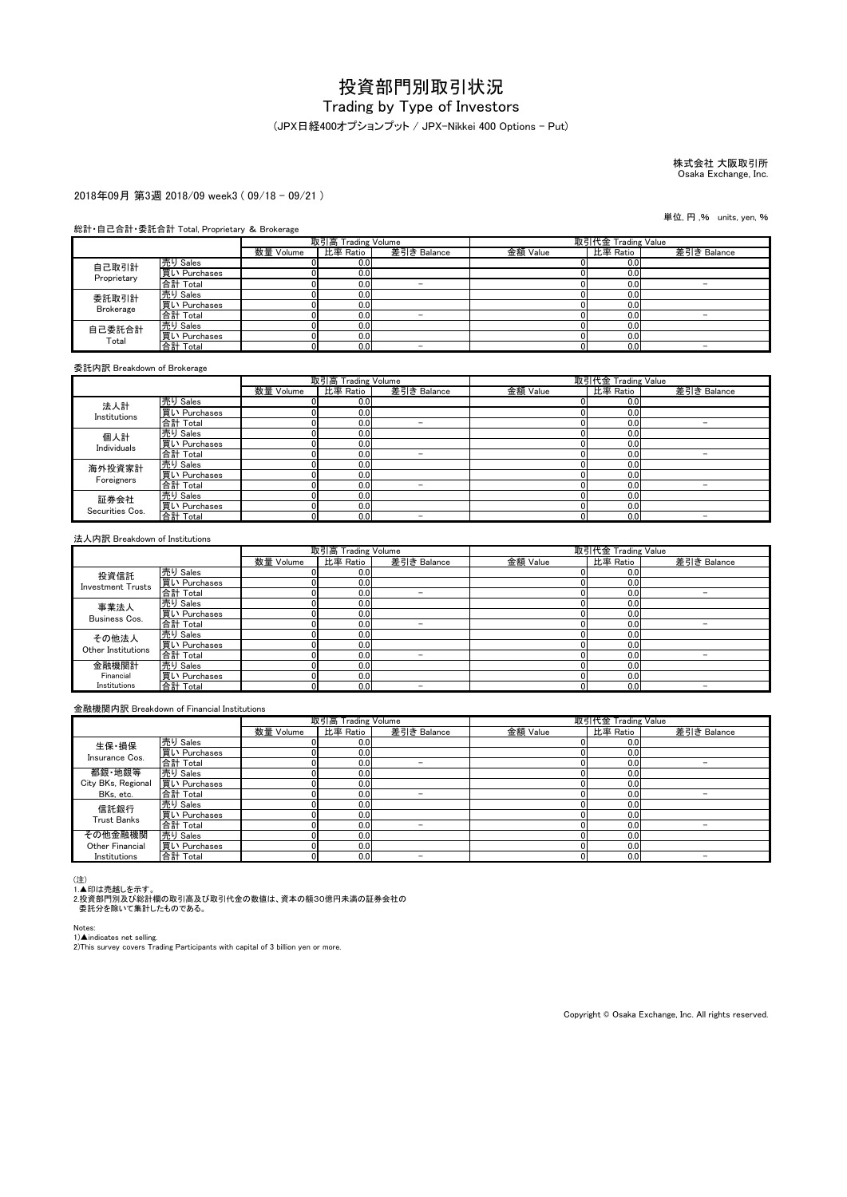#### (JPX日経400オプションプット / JPX-Nikkei 400 Options - Put)

株式会社 大阪取引所 Osaka Exchange, Inc.

#### 2018年09月 第3週 2018/09 week3 ( 09/18 - 09/21 )

#### 総計・自己合計・委託合計 Total, Proprietary & Brokerage

|                  |              | 取引高 Trading Volume |          |             | 取引代金 Trading Value |          |             |
|------------------|--------------|--------------------|----------|-------------|--------------------|----------|-------------|
|                  |              | 数量 Volume          | 比率 Ratio | 差引き Balance | 金額 Value           | 比率 Ratio | 差引き Balance |
| 自己取引計            | 売り Sales     |                    | 0.0      |             |                    | 0.0      |             |
| Proprietary      | 買い Purchases |                    | 0.0      |             |                    | 0.0      |             |
|                  | 合計 Total     |                    | 0.0      | -           |                    | 0.0      |             |
| 委託取引計            | 売り Sales     |                    | 0.0      |             |                    | 0.0      |             |
| <b>Brokerage</b> | 買い Purchases |                    | 0.0      |             |                    | 0.0      |             |
|                  | 合計 Total     |                    | 0.0      |             |                    | 0.0      |             |
| 自己委託合計<br>Total  | 売り Sales     |                    | 0.0      |             |                    | 0.0      |             |
|                  | 買い Purchases |                    | 0.0      |             |                    | 0.0      |             |
|                  | 合計 Total     |                    | 0.0      | -           |                    | 0.0      | -           |

委託内訳 Breakdown of Brokerage

|                         |                                 |           | 取引高 Trading Volume |                          | 取引代金 Trading Value |          |             |
|-------------------------|---------------------------------|-----------|--------------------|--------------------------|--------------------|----------|-------------|
|                         |                                 | 数量 Volume | 比率 Ratio           | 差引き Balance              | 金額 Value           | 比率 Ratio | 差引き Balance |
| 法人計                     | 売り Sales                        |           | 0.0                |                          |                    | 0.0      |             |
| Institutions            | 買い Purchases                    |           | 0.0                |                          |                    | 0.0      |             |
|                         | 合計 Total                        |           | 0.0                |                          |                    | 0.0      |             |
| 個人計                     | 売り Sales                        |           | 0.0                |                          |                    | 0.0      |             |
| Individuals             | 買い Purchases                    |           | 0.0                |                          |                    | 0.0      |             |
|                         | 合計 Total                        |           | 0.0                | -                        |                    | 0.0      |             |
| 海外投資家計                  | <u>売り Sales</u><br>買い Purchases |           | 0.0                |                          |                    | 0.0      |             |
| Foreigners              |                                 |           | 0.0                |                          |                    | 0.0      |             |
|                         | 合計 Total                        |           | 0.0                | -                        |                    | 0.0      |             |
| 証券会社<br>Securities Cos. | 売り Sales                        |           | 0.0                |                          |                    | 0.0      |             |
|                         | 買い Purchases                    |           | 0.0                |                          |                    | 0.0      |             |
|                         | 合計 Total                        |           | 0.0                | $\overline{\phantom{a}}$ |                    | 0.0      |             |

#### 法人内訳 Breakdown of Institutions

|                          |              | 取引高 Trading Volume |          |             | 取引代金 Trading Value |          |             |
|--------------------------|--------------|--------------------|----------|-------------|--------------------|----------|-------------|
|                          |              | 数量 Volume          | 比率 Ratio | 差引き Balance | 金額 Value           | 比率 Ratio | 差引き Balance |
| 投資信託                     | 売り Sales     |                    | 0.0      |             |                    | 0.0      |             |
| <b>Investment Trusts</b> | 買い Purchases |                    | 0.0      |             |                    | 0.0      |             |
|                          | 合計 Total     |                    | 0.0      | -           |                    | 0.0      |             |
| 事業法人                     | 売り Sales     |                    | 0.0      |             |                    | 0.0      |             |
| Business Cos.            | 買い Purchases |                    | 0.0      |             |                    | 0.0      |             |
|                          | 合計 Total     |                    | 0.0      |             |                    | 0.0      |             |
| その他法人                    | 売り Sales     |                    | 0.0      |             |                    | 0.0      |             |
| Other Institutions       | 買い Purchases |                    | 0.0      |             |                    | 0.0      |             |
|                          | 合計 Total     |                    | 0.0      | -           |                    | 0.0      |             |
| 金融機関計                    | 売り Sales     |                    | 0.0      |             |                    | 0.0      |             |
| Financial                | 買い Purchases |                    | 0.0      |             |                    | 0.0      |             |
| Institutions             | 合計 Total     | D.                 | 0.0      | -           |                    | 0.0      | -           |

#### 金融機関内訳 Breakdown of Financial Institutions

|                        |              | 取引高 Trading Volume |          |                          | 取引代金 Trading Value |          |             |
|------------------------|--------------|--------------------|----------|--------------------------|--------------------|----------|-------------|
|                        |              | 数量 Volume          | 比率 Ratio | 差引き Balance              | 金額 Value           | 比率 Ratio | 差引き Balance |
| 生保·損保                  | 売り Sales     |                    | 0.0      |                          |                    | 0.0      |             |
| Insurance Cos.         | 買い Purchases |                    | 0.0      |                          |                    | 0.0      |             |
|                        | 合計 Total     |                    | 0.0      | -                        |                    | 0.0      | -           |
| 都銀·地銀等                 | 売り Sales     |                    | 0.0      |                          |                    | 0.0      |             |
| City BKs, Regional     | 買い Purchases |                    | 0.0      |                          |                    | 0.0      |             |
| BKs, etc.              | 合計 Total     |                    | 0.0      | -                        |                    | 0.0      |             |
| 信託銀行                   | 売り Sales     |                    | 0.0      |                          |                    | 0.0      |             |
| <b>Trust Banks</b>     | 買い Purchases |                    | 0.0      |                          |                    | 0.0      |             |
|                        | 合計 Total     |                    | 0.0      | $\overline{\phantom{a}}$ |                    | 0.0      |             |
| その他金融機関                | 売り Sales     |                    | 0.0      |                          |                    | 0.0      |             |
| <b>Other Financial</b> | 買い Purchases |                    | 0.0      |                          |                    | 0.0      |             |
| Institutions           | 合計 Total     |                    | 0.0      | -                        |                    | 0.0      |             |

(注)<br>1.▲印は売越しを示す。<br>2.投資部門別及び総計欄の取引高及び取引代金の数値は、資本の額30億円未満の証券会社の<br>- 委託分を除いて集計したものである。

Notes:

1)▲indicates net selling.<br>2)This survey covers Trading Participants with capital of 3 billion yen or more.

Copyright © Osaka Exchange, Inc. All rights reserved.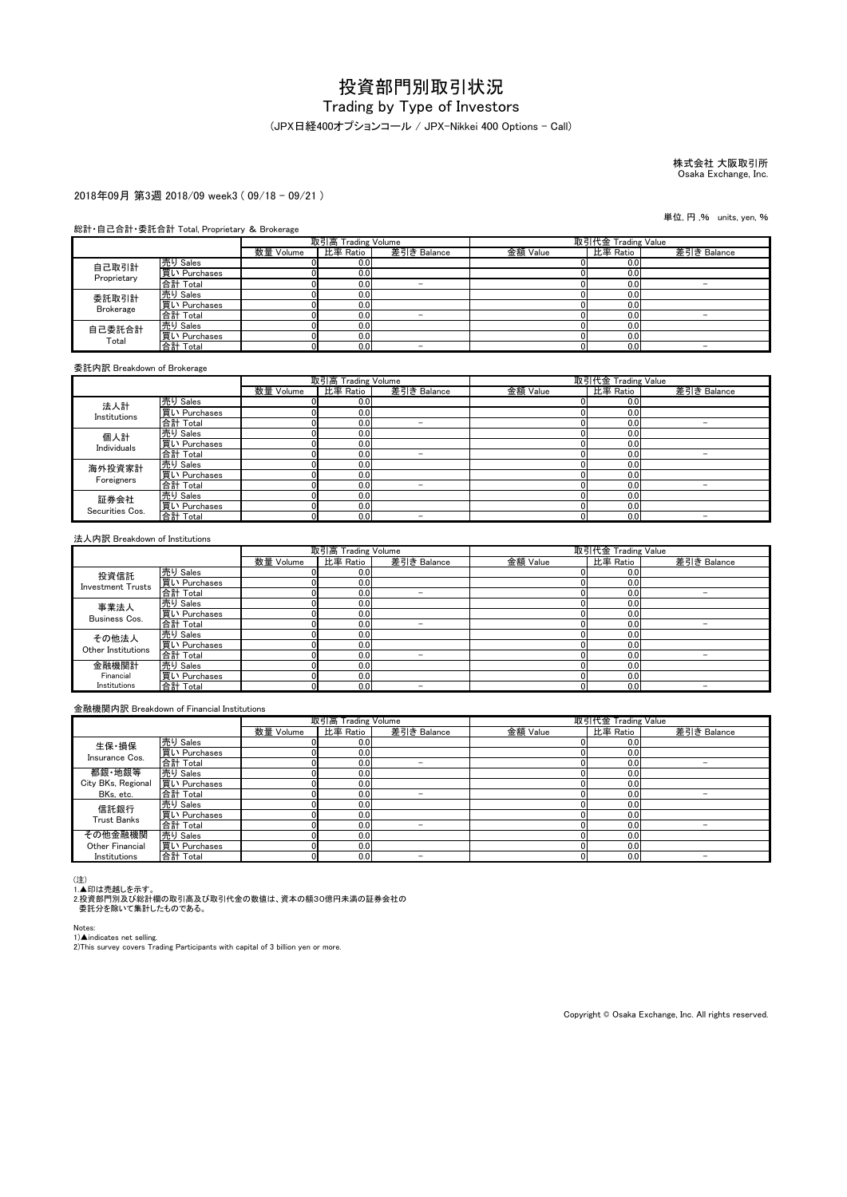# Trading by Type of Investors

### (JPX日経400オプションコール / JPX-Nikkei 400 Options - Call)

株式会社 大阪取引所 Osaka Exchange, Inc.

#### 2018年09月 第3週 2018/09 week3 ( 09/18 - 09/21 )

#### 総計・自己合計・委託合計 Total, Proprietary & Brokerage

|                  |              | 取引高 Trading Volume |          |             | 取引代金 Trading Value |          |             |
|------------------|--------------|--------------------|----------|-------------|--------------------|----------|-------------|
|                  |              | 数量 Volume          | 比率 Ratio | 差引き Balance | 金額 Value           | 比率 Ratio | 差引き Balance |
| 自己取引計            | 売り Sales     |                    | 0.0      |             |                    | 0.0      |             |
| Proprietary      | 買い Purchases |                    | 0.0      |             |                    | 0.0      |             |
|                  | 合計 Total     |                    | 0.0      | -           |                    | 0.0      |             |
| 委託取引計            | 売り Sales     |                    | 0.0      |             |                    | 0.0      |             |
| <b>Brokerage</b> | 買い Purchases |                    | 0.0      |             |                    | 0.0      |             |
|                  | 合計 Total     |                    | 0.0      |             |                    | 0.0      |             |
| 自己委託合計<br>Total  | 売り Sales     |                    | 0.0      |             |                    | 0.0      |             |
|                  | 買い Purchases |                    | 0.0      |             |                    | 0.0      |             |
|                  | 合計 Total     |                    | 0.0      | -           |                    | 0.0      | -           |

委託内訳 Breakdown of Brokerage

|                         |                                 |           | 取引高 Trading Volume |                          | 取引代金 Trading Value |          |             |
|-------------------------|---------------------------------|-----------|--------------------|--------------------------|--------------------|----------|-------------|
|                         |                                 | 数量 Volume | 比率 Ratio           | 差引き Balance              | 金額 Value           | 比率 Ratio | 差引き Balance |
| 法人計                     | 売り Sales                        |           | 0.0                |                          |                    | 0.0      |             |
| Institutions            | 買い Purchases                    |           | 0.0                |                          |                    | 0.0      |             |
|                         | 合計 Total                        |           | 0.0                |                          |                    | 0.0      |             |
| 個人計                     | 売り Sales                        |           | 0.0                |                          |                    | 0.0      |             |
| Individuals             | 買い Purchases                    |           | 0.0                |                          |                    | 0.0      |             |
|                         | 合計 Total                        |           | 0.0                | -                        |                    | 0.0      |             |
| 海外投資家計                  | <u>売り Sales</u><br>買い Purchases |           | 0.0                |                          |                    | 0.0      |             |
| Foreigners              |                                 |           | 0.0                |                          |                    | 0.0      |             |
|                         | 合計 Total                        |           | 0.0                | -                        |                    | 0.0      |             |
| 証券会社<br>Securities Cos. | 売り Sales                        |           | 0.0                |                          |                    | 0.0      |             |
|                         | 買い Purchases                    |           | 0.0                |                          |                    | 0.0      |             |
|                         | 合計 Total                        |           | 0.0                | $\overline{\phantom{a}}$ |                    | 0.0      |             |

#### 法人内訳 Breakdown of Institutions

|                          |              | 取引高 Trading Volume |          |             | 取引代金 Trading Value |          |             |
|--------------------------|--------------|--------------------|----------|-------------|--------------------|----------|-------------|
|                          |              | 数量 Volume          | 比率 Ratio | 差引き Balance | 金額 Value           | 比率 Ratio | 差引き Balance |
| 投資信託                     | 売り Sales     |                    | 0.0      |             |                    | 0.0      |             |
| <b>Investment Trusts</b> | 買い Purchases |                    | 0.0      |             |                    | 0.0      |             |
|                          | 合計 Total     |                    | 0.0      | -           |                    | 0.0      |             |
| 事業法人                     | 売り Sales     |                    | 0.0      |             |                    | 0.0      |             |
| Business Cos.            | 買い Purchases |                    | 0.0      |             |                    | 0.0      |             |
|                          | 合計 Total     |                    | 0.0      |             |                    | 0.0      |             |
| その他法人                    | 売り Sales     |                    | 0.0      |             |                    | 0.0      |             |
| Other Institutions       | 買い Purchases |                    | 0.0      |             |                    | 0.0      |             |
|                          | 合計 Total     |                    | 0.0      | -           |                    | 0.0      |             |
| 金融機関計                    | 売り Sales     |                    | 0.0      |             |                    | 0.0      |             |
| Financial                | 買い Purchases |                    | 0.0      |             |                    | 0.0      |             |
| Institutions             | 合計 Total     | D.                 | 0.0      | -           |                    | 0.0      | -           |

#### 金融機関内訳 Breakdown of Financial Institutions

|                    |              | 取引高 Trading Volume |          |                          | 取引代金 Trading Value |          |             |
|--------------------|--------------|--------------------|----------|--------------------------|--------------------|----------|-------------|
|                    |              | 数量 Volume          | 比率 Ratio | 差引き Balance              | 金額 Value           | 比率 Ratio | 差引き Balance |
| 生保·損保              | 売り Sales     |                    | 0.0      |                          |                    | 0.0      |             |
| Insurance Cos.     | 買い Purchases |                    | 0.0      |                          |                    | 0.0      |             |
|                    | 合計 Total     |                    | 0.0      | -                        |                    | 0.0      | -           |
| 都銀·地銀等             | 売り Sales     |                    | 0.0      |                          |                    | 0.0      |             |
| City BKs, Regional | 買い Purchases |                    | 0.0      |                          |                    | 0.0      |             |
| BKs, etc.          | 合計 Total     |                    | 0.0      | -                        |                    | 0.0      |             |
| 信託銀行               | 売り Sales     |                    | 0.0      |                          |                    | 0.0      |             |
| <b>Trust Banks</b> | 買い Purchases |                    | 0.0      |                          |                    | 0.0      |             |
|                    | 合計 Total     |                    | 0.0      | $\overline{\phantom{a}}$ |                    | 0.0      |             |
| その他金融機関            | 売り Sales     |                    | 0.0      |                          |                    | 0.0      |             |
| Other Financial    | 買い Purchases |                    | 0.0      |                          |                    | 0.0      |             |
| Institutions       | 合計 Total     |                    | 0.0      | -                        |                    | 0.0      |             |

(注)<br>1.▲印は売越しを示す。<br>2.投資部門別及び総計欄の取引高及び取引代金の数値は、資本の額30億円未満の証券会社の<br>- 委託分を除いて集計したものである。

Notes:

1)▲indicates net selling.<br>2)This survey covers Trading Participants with capital of 3 billion yen or more.

Copyright © Osaka Exchange, Inc. All rights reserved.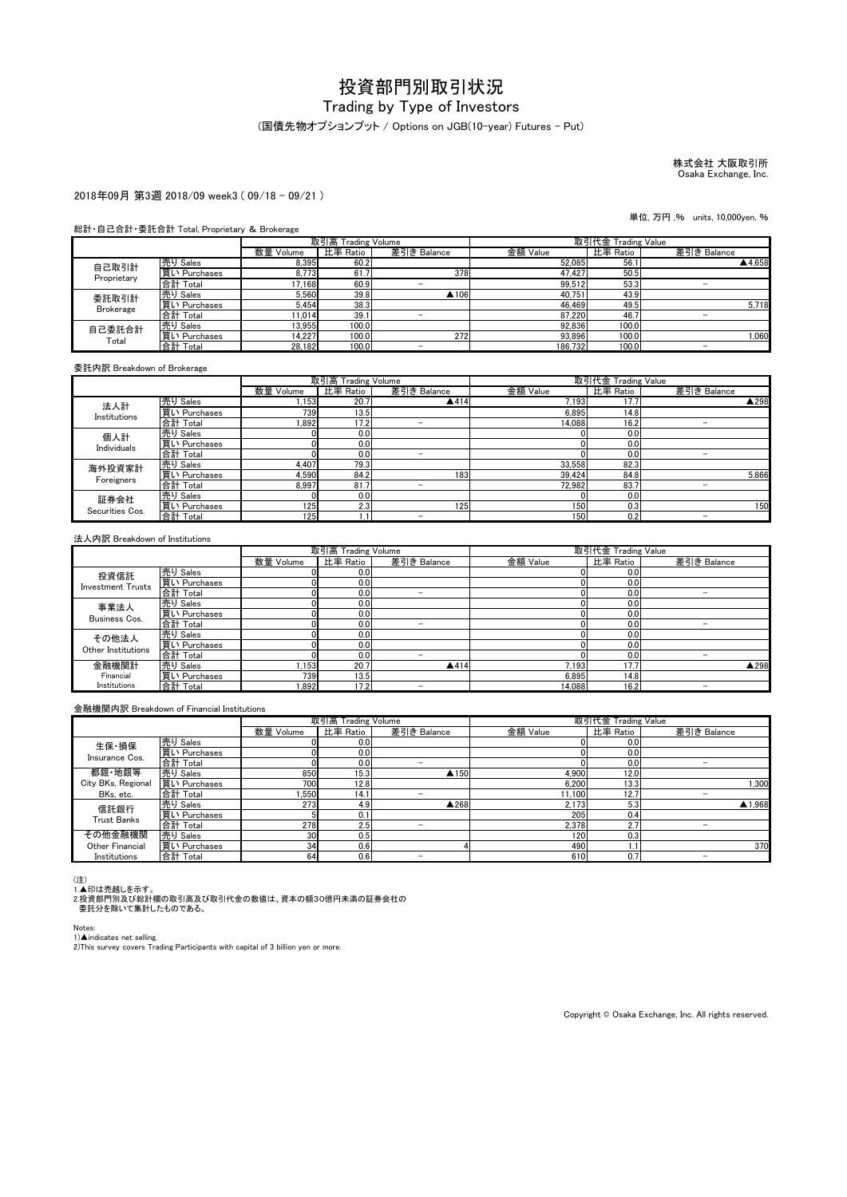# Trading by Type of Investors

(国債先物オプションプット / Options on JGB(10-year) Futures - Put)

株式会社 大阪取引所 Osaka Exchange, Inc.

#### 2018年09月 第3週 2018/09 week3 ( 09/18 - 09/21 )

単位, 万円 ,% units, 10,000yen, %

#### 総計・自己合計・委託合計 Total, Proprietary & Brokerage

|                  |              | 取引高 Trading Volume |          |             | 取引代金 Trading Value |          |                          |
|------------------|--------------|--------------------|----------|-------------|--------------------|----------|--------------------------|
|                  |              | 数量 Volume          | 比率 Ratio | 差引き Balance | 金額 Value           | 比率 Ratio | 差引き Balance              |
| 自己取引計            | 売り Sales     | 8.395              | 60.2     |             | 52.085             | 56.1     | ▲4.658                   |
| Proprietary      | 買い Purchases | 8.773              | 61.      | 378         | 47.427             | 50.5     |                          |
|                  | 合計 Total     | 17.168             | 60.9     | -           | 99,512             | 53.3     | $\overline{\phantom{0}}$ |
| 委託取引計            | 売り Sales     | 5,560              | 39.8     | ▲106        | 40.751             | 43.9     |                          |
| <b>Brokerage</b> | 買い Purchases | 5.454              | 38.3     |             | 46.469             | 49.5     | 5.718                    |
|                  | 合計 Total     | 11.014             | 39.1     |             | 87.220             | 46.7     |                          |
| 自己委託合計           | 売り Sales     | 13.955             | 100.0    |             | 92.836             | 100.0    |                          |
| Total            | 買い Purchases | 14.227             | 100.0    | 272         | 93.896             | 100.0    | 1.060                    |
|                  | 合計 Total     | 28.182             | 100.0    |             | 186.732            | 100.0    | -                        |

委託内訳 Breakdown of Brokerage

|                         |              |           | 取引高 Trading Volume |             | 取引代金 Trading Value |          |                          |
|-------------------------|--------------|-----------|--------------------|-------------|--------------------|----------|--------------------------|
|                         |              | 数量 Volume | 比率 Ratio           | 差引き Balance | 金額 Value           | 比率 Ratio | 差引き Balance              |
| 法人計                     | 売り Sales     | ,153      | 20.7               | ▲414        | 7,193              | 17.7     | ▲298                     |
| Institutions            | 買い Purchases | 739       | 13.5               |             | 6.895              | 14.8     |                          |
|                         | 合計 Total     | .892      | 17.2               |             | 14.088             | 16.2     | -                        |
| 個人計                     | 売り Sales     |           | 0.0                |             |                    | 0.0      |                          |
| Individuals             | 買い Purchases |           | 0.0                |             |                    | 0.0      |                          |
|                         | 合計 Total     |           | 0.0                | -           |                    | 0.0      | -                        |
| 海外投資家計                  | 売り Sales     | 4.407     | 79.3               |             | 33.558             | 82.3     |                          |
|                         | 買い Purchases | 4.590     | 84.2               | 183         | 39.424             | 84.8     | 5.866                    |
| Foreigners              | 合計 Total     | 8.997     | 81.7               | -           | 72.982             | 83.7     | $\overline{\phantom{a}}$ |
| 証券会社<br>Securities Cos. | 売り Sales     |           | 0.0                |             |                    | 0.0      |                          |
|                         | 買い Purchases | 125       | 2.3                | 125         | 150                | 0.3      | 150                      |
|                         | 合計 Total     | 125       |                    | -           | 150                | 0.2      | -                        |

#### 法人内訳 Breakdown of Institutions

|                          |              |           | 取引高 Trading Volume |             | 取引代金 Trading Value |          |             |
|--------------------------|--------------|-----------|--------------------|-------------|--------------------|----------|-------------|
|                          |              | 数量 Volume | 比率 Ratio           | 差引き Balance | 金額 Value           | 比率 Ratio | 差引き Balance |
| 投資信託                     | 売り Sales     |           | 0.0                |             |                    | 0.0      |             |
| <b>Investment Trusts</b> | 買い Purchases |           | 0.0                |             |                    | 0.0      |             |
|                          | 合計 Total     |           | 0.0                | -           |                    | 0.0      |             |
| 事業法人                     | 売り Sales     |           | 0.0                |             |                    | 0.0      |             |
| Business Cos.            | 買い Purchases |           | 0.0                |             |                    | 0.0      |             |
|                          | 合計 Total     |           | 0.0                | -           |                    | 0.0      | -           |
| その他法人                    | 売り Sales     |           | 0.0                |             |                    | 0.0      |             |
| Other Institutions       | 買い Purchases |           | 0.0                |             |                    | 0.0      |             |
|                          | 合計 Total     |           | 0.0                | -           |                    | 0.0      |             |
| 金融機関計                    | 売り Sales     | .153      | 20.7               | ▲414        | 7.193              | 17.7     | ▲298        |
| Financial                | 買い Purchases | 739       | 13.5               |             | 6.895              | 14.8     |             |
| Institutions             | 合計 Total     | 1.892     | 17.2               | -           | 14.088             | 16.2     | -           |

#### 金融機関内訳 Breakdown of Financial Institutions

|                         |              | 取引高 Trading Volume |          |             | 取引代金 Trading Value |          |                          |
|-------------------------|--------------|--------------------|----------|-------------|--------------------|----------|--------------------------|
|                         |              | 数量 Volume          | 比率 Ratio | 差引き Balance | 金額 Value           | 比率 Ratio | 差引き Balance              |
| 生保·損保<br>Insurance Cos. | 売り Sales     |                    | 0.0      |             |                    | 0.0      |                          |
|                         | 買い Purchases |                    | 0.0      |             |                    | 0.0      |                          |
|                         | 合計 Total     |                    | 0.0      | -           |                    | 0.0      |                          |
| 都銀·地銀等                  | 売り Sales     | 850                | 15.3     | ▲150        | 4.900              | 12.0     |                          |
| City BKs, Regional      | 買い Purchases | 700                | 12.8     |             | 6.200              | 13.3     | .300                     |
| BKs, etc.               | 合計 Total     | .550               | 14.1     |             | 11.100             | 12.7     |                          |
| 信託銀行                    | 売り Sales     | 273                | 4.9      | ▲268        | 2.173              | 5.3      | ▲1,968                   |
| <b>Trust Banks</b>      | 買い Purchases |                    | 0.1      |             | 205                | 0.4      |                          |
|                         | 合計 Total     | 278                | 2.5      | -           | 2.378              | 2.7      |                          |
| その他金融機関                 | 売り Sales     | 30                 | 0.5      |             | 120                | 0.31     |                          |
| Other Financial         | 買い Purchases | 34                 | 0.6      |             | 490                |          | 370                      |
| Institutions            | 合計 Total     | 64                 | 0.6      | -           | 610                | 0.7      | $\overline{\phantom{a}}$ |

(注)<br>1.▲印は売越しを示す。<br>2.投資部門別及び総計欄の取引高及び取引代金の数値は、資本の額30億円未満の証券会社の<br>- 委託分を除いて集計したものである。

Notes:

1)▲indicates net selling.<br>2)This survey covers Trading Participants with capital of 3 billion yen or more.

Copyright © Osaka Exchange, Inc. All rights reserved.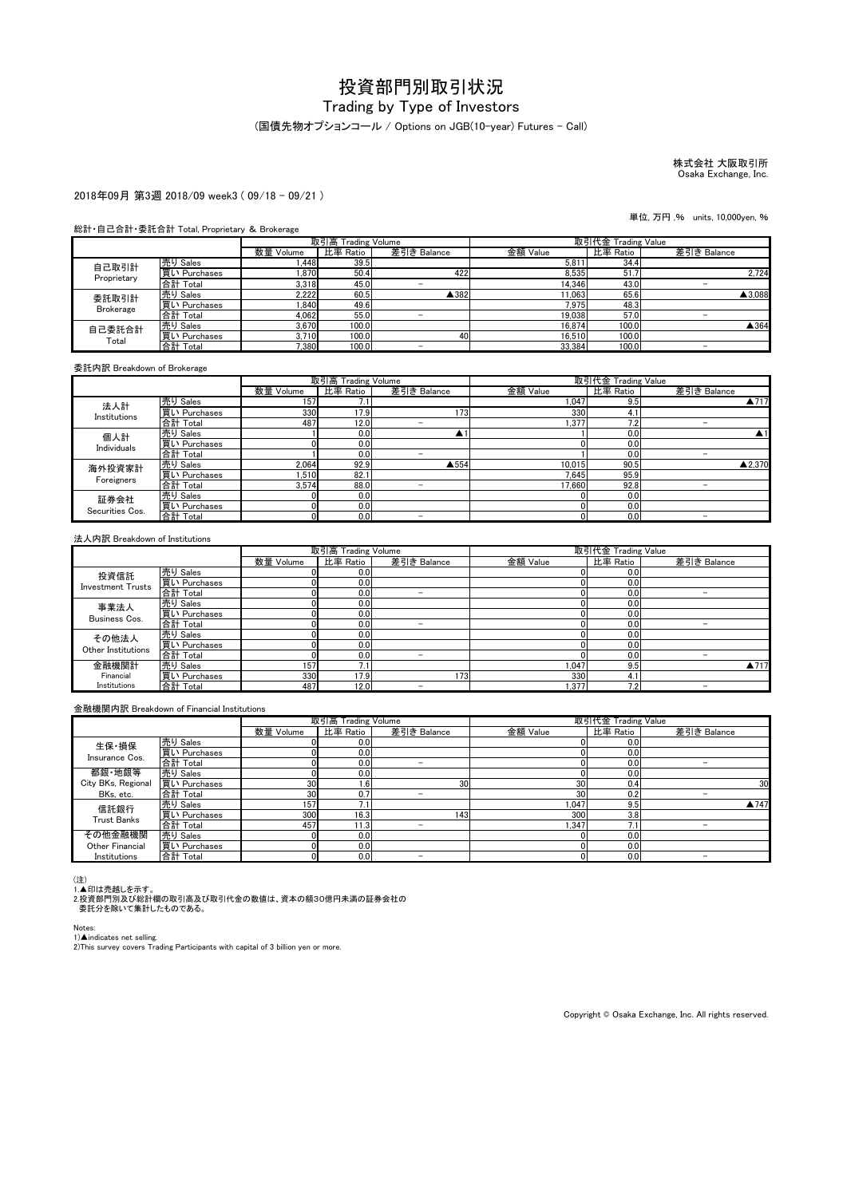# Trading by Type of Investors

#### (国債先物オプションコール / Options on JGB(10-year) Futures - Call)

株式会社 大阪取引所 Osaka Exchange, Inc.

#### 2018年09月 第3週 2018/09 week3 ( 09/18 - 09/21 )

単位, 万円 ,% units, 10,000yen, %

#### 総計・自己合計・委託合計 Total, Proprietary & Brokerage

|                      |              | 取引高 Trading Volume |          |             |          | 取引代金 Trading Value |             |
|----------------------|--------------|--------------------|----------|-------------|----------|--------------------|-------------|
|                      |              | 数量 Volume          | 比率 Ratio | 差引き Balance | 金額 Value | 比率 Ratio           | 差引き Balance |
| 自己取引計<br>Proprietary | 売り Sales     | 1.448              | 39.5     |             | 5.811    | 34.4               |             |
|                      | 買い Purchases | 1.870              | 50.4     | 422         | 8.535    | 51.                | 2.724       |
|                      | 合計 Total     | 3.318              | 45.0     |             | 14.346   | 43.0               |             |
| 委託取引計                | 売り Sales     | 2,222              | 60.5     | ▲382        | 11,063   | 65.6               | ▲3,088      |
| <b>Brokerage</b>     | 買い Purchases | 1.840              | 49.6     |             | 7.975    | 48.3               |             |
|                      | 合計 Total     | 4,062              | 55.0     |             | 19,038   | 57.0               |             |
| 自己委託合計<br>Total      | 売り Sales     | 3.670              | 100.0    |             | 16.874   | 100.0              | ▲364        |
|                      | 買い Purchases | 3.710              | 100.0    | 40          | 16.510   | 100.0              |             |
|                      | 合計 Total     | 7.380              | 100.0    |             | 33.384   | 100.0              |             |

委託内訳 Breakdown of Brokerage

|                         |              |           | 取引高 Trading Volume |                          | 取引代金 Trading Value |          |                          |
|-------------------------|--------------|-----------|--------------------|--------------------------|--------------------|----------|--------------------------|
|                         |              | 数量 Volume | 比率 Ratio           | 差引き Balance              | 金額 Value           | 比率 Ratio | 差引き Balance              |
| 法人計<br>Institutions     | 売り Sales     | 157       | 7.1                |                          | 1,047              | 9.5      | ▲717                     |
|                         | 買い Purchases | 330       | 17.91              | $1731$                   | 330                | 4.1      |                          |
|                         | 合計 Total     | 487       | 12.0               | -                        | .377               | 7.2      |                          |
| 個人計                     | 売り Sales     |           | 0.0                |                          |                    | 0.0      |                          |
| Individuals             | 買い Purchases |           | 0.0                |                          |                    | 0.0      |                          |
|                         | 合計 Total     |           | 0.0                | -                        |                    | 0.0      | -                        |
| 海外投資家計                  | 売り Sales     | 2.064     | 92.9               | ▲554                     | 10.015             | 90.5     | ▲2.370                   |
| Foreigners              | 買い Purchases | .510      | 82.1               |                          | 7.645              | 95.9     |                          |
|                         | 合計 Total     | 3.574     | 88.0               | -                        | 17.660             | 92.8     | $\overline{\phantom{a}}$ |
| 証券会社<br>Securities Cos. | 売り Sales     |           | 0.0                |                          |                    | 0.0      |                          |
|                         | 買い Purchases |           | 0.0                |                          |                    | 0.0      |                          |
|                         | 合計 Total     |           | 0.0                | $\overline{\phantom{a}}$ |                    | 0.0      | -                        |

#### 法人内訳 Breakdown of Institutions

|                          |              |           | 取引高 Trading Volume |             | 取引代金 Trading Value |          |             |
|--------------------------|--------------|-----------|--------------------|-------------|--------------------|----------|-------------|
|                          |              | 数量 Volume | 比率 Ratio           | 差引き Balance | 金額 Value           | 比率 Ratio | 差引き Balance |
| 投資信託                     | 売り Sales     |           | 0.0 <sub>l</sub>   |             |                    | 0.0      |             |
|                          | 買い Purchases |           | 0.0                |             |                    | 0.0      |             |
| <b>Investment Trusts</b> | 合計 Total     |           | 0.0                | -           |                    | 0.0      |             |
| 事業法人                     | 売り Sales     |           | 0.0                |             |                    | 0.0      |             |
| Business Cos.            | 買い Purchases |           | 0.0                |             |                    | 0.0      |             |
|                          | 合計 Total     |           | 0.0                | -           |                    | 0.0      |             |
| その他法人                    | 売り Sales     |           | 0.0                |             |                    | 0.0      |             |
| Other Institutions       | 買い Purchases |           | 0.0                |             |                    | 0.0      |             |
|                          | 合計 Total     |           | 0.0                | -           |                    | 0.0      |             |
| 金融機関計                    | 売り Sales     | 157       | 7.1                |             | 1.047              | 9.5      | ▲717        |
| Financial                | 買い Purchases | 330       | 17.9               | 173         | 330                | 4. i     |             |
| Institutions             | 合計 Total     | 487       | 12.0               | -           | 1.377              | 7.2      |             |

#### 金融機関内訳 Breakdown of Financial Institutions

|                    |              | 取引高 Trading Volume |          |                 | 取引代金 Trading Value |          |             |
|--------------------|--------------|--------------------|----------|-----------------|--------------------|----------|-------------|
|                    |              | 数量 Volume          | 比率 Ratio | 差引き Balance     | 金額 Value           | 比率 Ratio | 差引き Balance |
| 生保·損保              | 売り Sales     |                    | 0.0      |                 |                    | 0.0      |             |
| Insurance Cos.     | 買い Purchases |                    | 0.0      |                 |                    | 0.0      |             |
|                    | 合計 Total     |                    | 0.0      | -               |                    | 0.0      |             |
| 都銀·地銀等             | 売り Sales     |                    | 0.0      |                 |                    | 0.0      |             |
| City BKs, Regional | 買い Purchases | 30                 | 1.6      | 30 <sup>1</sup> | 30                 | 0.4      | 30          |
| BKs, etc.          | 合計 Total     | 30                 | 0.7      | -               | 30                 | 0.2      |             |
| 信託銀行               | 売り Sales     | 157                | 7.1      |                 | 1.047              | 9.5      | ▲747        |
| <b>Trust Banks</b> | 買い Purchases | 300                | 16.3     | 143             | 300                | 3.8      |             |
|                    | 合計 Total     | 457                | 11.3     | -               | .347               |          |             |
| その他金融機関            | 売り Sales     |                    | 0.0      |                 |                    | 0.0      |             |
| Other Financial    | 買い Purchases |                    | 0.0      |                 |                    | 0.0      |             |
| Institutions       | 合計 Total     |                    | 0.0      |                 |                    | 0.0      |             |

(注)<br>1.▲印は売越しを示す。<br>2.投資部門別及び総計欄の取引高及び取引代金の数値は、資本の額30億円未満の証券会社の<br>- 委託分を除いて集計したものである。

Notes:

1)▲indicates net selling.<br>2)This survey covers Trading Participants with capital of 3 billion yen or more.

Copyright © Osaka Exchange, Inc. All rights reserved.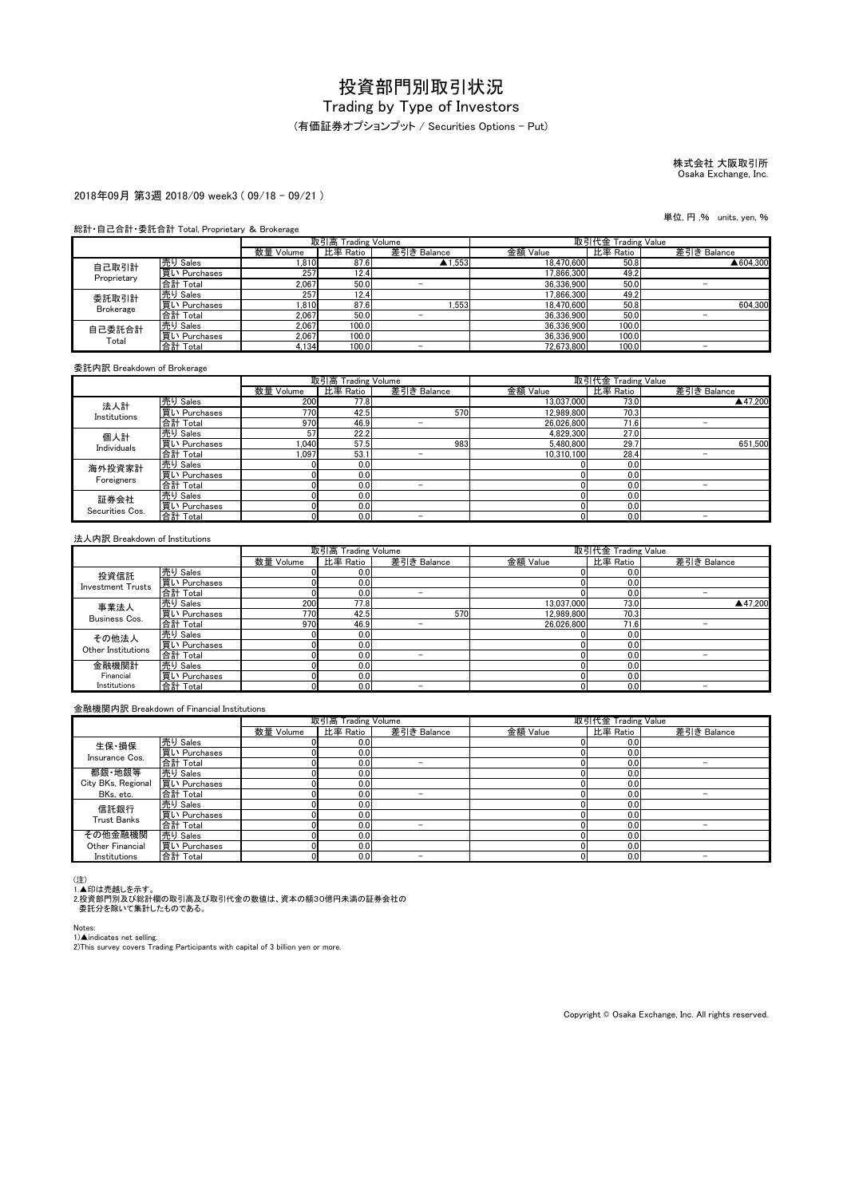#### (有価証券オプションプット / Securities Options - Put)

# 株式会社 大阪取引所 Osaka Exchange, Inc.

#### 2018年09月 第3週 2018/09 week3 ( 09/18 - 09/21 )

#### 総計・自己合計・委託合計 Total, Proprietary & Brokerage

|                  |              | 取引高 Trading Volume |          |                   | 取引代金 Trading Value |          |             |
|------------------|--------------|--------------------|----------|-------------------|--------------------|----------|-------------|
|                  |              | 数量 Volume          | 比率 Ratio | 差引き Balance       | 金額 Value           | 比率 Ratio | 差引き Balance |
| 自己取引計            | 売り Sales     | 1,810              | 87.6     | $\triangle$ 1.553 | 18.470.600         | 50.8     | ▲604.300    |
| Proprietary      | 買い Purchases | 257                | 12.4     |                   | 17.866.300         | 49.2     |             |
|                  | 合計 Total     | 2.067              | 50.0     |                   | 36.336.900         | 50.0     |             |
| 委託取引計            | 売り Sales     | 257                | 12.41    |                   | 17.866.300         | 49.2     |             |
| <b>Brokerage</b> | 買い Purchases | 1.810              | 87.6     | .553              | 18.470.600         | 50.8     | 604.300     |
|                  | 合計 Total     | 2.067              | 50.0     |                   | 36.336.900         | 50.0     |             |
| 自己委託合計<br>Total  | 売り Sales     | 2.067              | 100.0    |                   | 36.336.900         | 100.0    |             |
|                  | 買い Purchases | 2.067              | 100.0    |                   | 36.336.900         | 100.0    |             |
|                  | 合計 Total     | 4.134              | 100.0    | -                 | 72.673.800         | 100.0    | -           |

委託内訳 Breakdown of Brokerage

|                         |              |           | 取引高 Trading Volume |                          | 取引代金 Trading Value |          |                          |
|-------------------------|--------------|-----------|--------------------|--------------------------|--------------------|----------|--------------------------|
|                         |              | 数量 Volume | 比率 Ratio           | 差引き Balance              | 金額 Value           | 比率 Ratio | 差引き Balance              |
| 法人計                     | 売り Sales     | 200       | 77.8               |                          | 13,037,000         | 73.0     | ▲47.200                  |
| Institutions            | 買い Purchases | 770       | 42.5               | 570                      | 12.989.800         | 70.3     |                          |
|                         | 合計 Total     | 970       | 46.9               | -                        | 26.026.800         | 71.6     | $\overline{\phantom{a}}$ |
| 個人計                     | 売り Sales     | 57        | 22.2               |                          | 4.829.300          | 27.0     |                          |
| Individuals             | 買い Purchases | 0.040     | 57.5               | 983                      | 5.480.800          | 29.7     | 651.500                  |
|                         | 合計 Total     | 1.097     | 53.1               | -                        | 10.310.100         | 28.4     | $\overline{\phantom{0}}$ |
| 海外投資家計                  | 売り Sales     |           | 0.0                |                          |                    | 0.0      |                          |
| Foreigners              | 買い Purchases |           | 0.0                |                          |                    | 0.0      |                          |
|                         | 合計 Total     |           | 0.0                | $\overline{\phantom{a}}$ |                    | 0.0      |                          |
| 証券会社<br>Securities Cos. | 売り Sales     |           | 0.0                |                          |                    | 0.0      |                          |
|                         | 買い Purchases |           | 0.0                |                          |                    | 0.0      |                          |
|                         | 合計 Total     |           | 0.0                | -                        |                    | 0.0      | $\overline{\phantom{a}}$ |

#### 法人内訳 Breakdown of Institutions

|                          |              | 取引高 Trading Volume |          |             | 取引代金 Trading Value |          |             |  |  |  |
|--------------------------|--------------|--------------------|----------|-------------|--------------------|----------|-------------|--|--|--|
|                          |              | 数量 Volume          | 比率 Ratio | 差引き Balance | 金額 Value           | 比率 Ratio | 差引き Balance |  |  |  |
| 投資信託                     | 売り Sales     |                    | 0.0      |             |                    | 0.0      |             |  |  |  |
| <b>Investment Trusts</b> | 買い Purchases |                    | 0.0      |             |                    | 0.0      |             |  |  |  |
|                          | 合計 Total     |                    | 0.0      | -           |                    | 0.0      |             |  |  |  |
| 事業法人                     | 売り Sales     | 200                | 77.8     |             | 13.037.000         | 73.0     | ▲47.200     |  |  |  |
| Business Cos.            | 買い Purchases | 770                | 42.5     | 570         | 12.989.800         | 70.3     |             |  |  |  |
|                          | 合計 Total     | 970                | 46.9     |             | 26.026.800         | 71.6     |             |  |  |  |
| その他法人                    | 売り Sales     |                    | 0.0      |             |                    | 0.0      |             |  |  |  |
| Other Institutions       | 買い Purchases |                    | 0.0      |             |                    | 0.0      |             |  |  |  |
|                          | 合計 Total     |                    | 0.0      | -           |                    | 0.0      |             |  |  |  |
| 金融機関計                    | 売り Sales     |                    | 0.0      |             |                    | 0.0      |             |  |  |  |
| Financial                | 買い Purchases |                    | 0.0      |             |                    | 0.0      |             |  |  |  |
| Institutions             | 合計 Total     |                    | 0.0      | -           |                    | 0.0      |             |  |  |  |

#### 金融機関内訳 Breakdown of Financial Institutions

|                    |              | 取引高 Trading Volume |          |                          | 取引代金 Trading Value |          |             |
|--------------------|--------------|--------------------|----------|--------------------------|--------------------|----------|-------------|
|                    |              | 数量 Volume          | 比率 Ratio | 差引き Balance              | 金額 Value           | 比率 Ratio | 差引き Balance |
| 生保·損保              | 売り Sales     |                    | 0.0      |                          |                    | 0.0      |             |
| Insurance Cos.     | 買い Purchases |                    | 0.0      |                          |                    | 0.0      |             |
|                    | 合計 Total     |                    | 0.0      | -                        |                    | 0.0      | -           |
| 都銀·地銀等             | 売り Sales     |                    | 0.0      |                          |                    | 0.0      |             |
| City BKs, Regional | 買い Purchases |                    | 0.0      |                          |                    | 0.0      |             |
| BKs, etc.          | 合計 Total     |                    | 0.0      | -                        |                    | 0.0      |             |
| 信託銀行               | 売り Sales     |                    | 0.0      |                          |                    | 0.0      |             |
| <b>Trust Banks</b> | 買い Purchases |                    | 0.0      |                          |                    | 0.0      |             |
|                    | 合計 Total     |                    | 0.0      | $\overline{\phantom{a}}$ |                    | 0.0      |             |
| その他金融機関            | 売り Sales     |                    | 0.0      |                          |                    | 0.0      |             |
| Other Financial    | 買い Purchases |                    | 0.0      |                          |                    | 0.0      |             |
| Institutions       | 合計 Total     |                    | 0.0      |                          |                    | 0.0      |             |

(注)<br>1.▲印は売越しを示す。<br>2.投資部門別及び総計欄の取引高及び取引代金の数値は、資本の額30億円未満の証券会社の<br>- 委託分を除いて集計したものである。

Notes:

1)▲indicates net selling.<br>2)This survey covers Trading Participants with capital of 3 billion yen or more.

Copyright © Osaka Exchange, Inc. All rights reserved.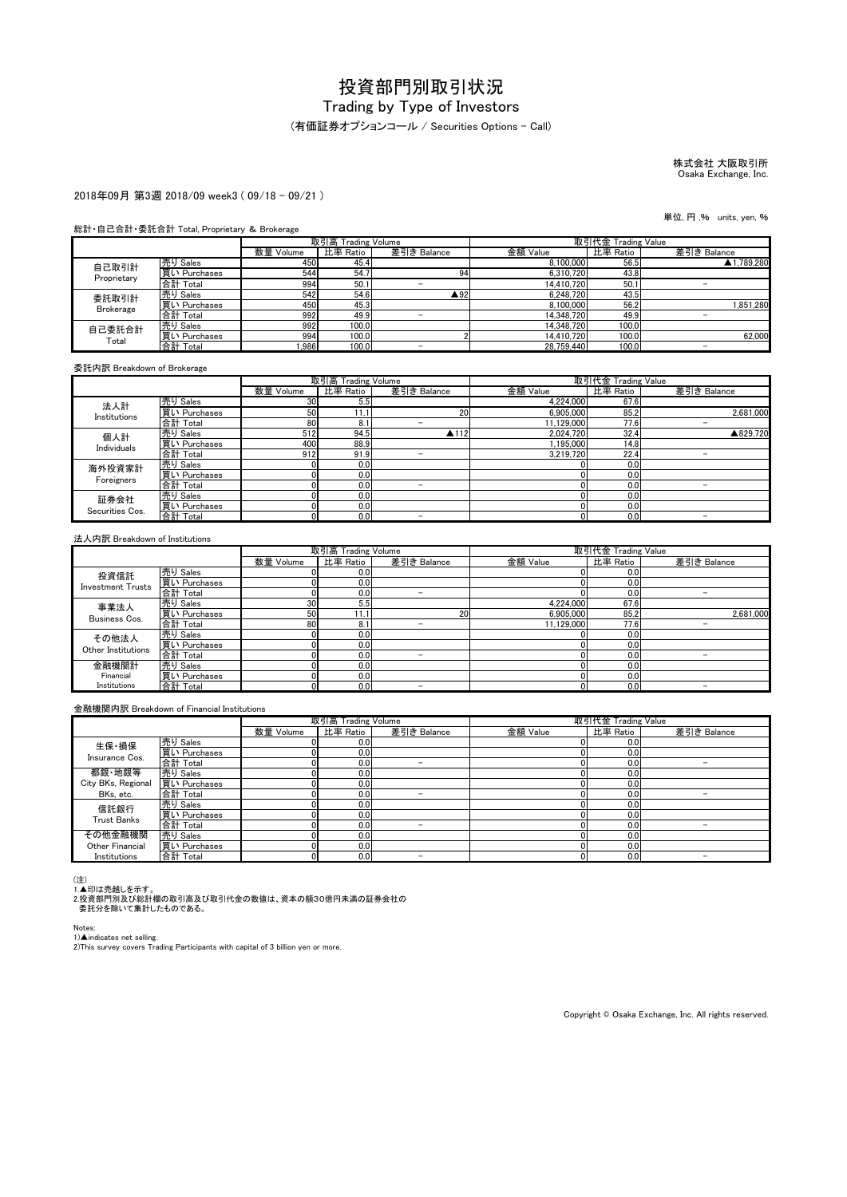(有価証券オプションコール / Securities Options - Call)

# 株式会社 大阪取引所 Osaka Exchange, Inc.

#### 2018年09月 第3週 2018/09 week3 ( 09/18 - 09/21 )

#### 総計・自己合計・委託合計 Total, Proprietary & Brokerage

|                  |              | 取引高 Trading Volume |          | 取引代金 Trading Value |            |          |             |
|------------------|--------------|--------------------|----------|--------------------|------------|----------|-------------|
|                  |              | 数量 Volume          | 比率 Ratio | 差引き Balance        | 金額 Value   | 比率 Ratio | 差引き Balance |
| 自己取引計            | 売り Sales     | 450                | 45.4     |                    | 8.100.000  | 56.5     | ▲1.789.280  |
| Proprietary      | 買い Purchases | 544                | 54.7     | 94                 | 6.310.720  | 43.8     |             |
|                  | 合計 Total     | 994                | 50.1     |                    | 14.410.720 | 50.1     |             |
| 委託取引計            | 売り Sales     | 542                | 54.6     | ▲92                | 6.248.720  | 43.5     |             |
| <b>Brokerage</b> | 買い Purchases | 450                | 45.3     |                    | 8.100.000  | 56.2     | 1.851.280   |
|                  | 合計 Total     | 992                | 49.9     |                    | 14.348.720 | 49.9     |             |
| 自己委託合計<br>Total  | 売り Sales     | 992                | 100.0    |                    | 14.348.720 | 100.0    |             |
|                  | 買い Purchases | 994                | 100.0    |                    | 14.410.720 | 100.0    | 62.000      |
|                  | 合計 Total     | .986               | 100.0    | -                  | 28.759.440 | 100.0    | -           |

委託内訳 Breakdown of Brokerage

|                         |              | 取引高 Trading Volume |          |                          | 取引代金 Trading Value |          |             |
|-------------------------|--------------|--------------------|----------|--------------------------|--------------------|----------|-------------|
|                         |              | 数量 Volume          | 比率 Ratio | 差引き Balance              | 金額 Value           | 比率 Ratio | 差引き Balance |
| 法人計                     | 売り Sales     | 30                 | 5.5      |                          | 4,224,000          | 67.6     |             |
| Institutions            | 買い Purchases | 50                 | 11.1     | 20                       | 6.905.000          | 85.2     | 2,681,000   |
|                         | 合計 Total     | 80                 | 8.1      |                          | 11.129.000         | 77.6     | -           |
| 個人計<br>Individuals      | 売り Sales     | 512                | 94.5     | $\triangle$ 112          | 2.024.720          | 32.4     | ▲829.720    |
|                         | 買い Purchases | 400                | 88.9     |                          | 1.195.000          | 14.8     |             |
|                         | 合計 Total     | 912                | 91.9     | -                        | 3.219.720          | 22.4     | -           |
| 海外投資家計                  | 売り Sales     |                    | 0.0      |                          |                    | 0.0      |             |
| Foreigners              | 買い Purchases |                    | 0.0      |                          |                    | 0.0      |             |
|                         | 合計 Total     |                    | 0.0      | -                        |                    | 0.0      | -           |
| 証券会社<br>Securities Cos. | 売り Sales     |                    | 0.0      |                          |                    | 0.0      |             |
|                         | 買い Purchases |                    | 0.0      |                          |                    | 0.0      |             |
|                         | 合計 Total     |                    | 0.0      | $\overline{\phantom{a}}$ |                    | 0.0      |             |

#### 法人内訳 Breakdown of Institutions

|                          |              | 取引高 Trading Volume |          |             | 取引代金 Trading Value |          |             |  |
|--------------------------|--------------|--------------------|----------|-------------|--------------------|----------|-------------|--|
|                          |              | 数量 Volume          | 比率 Ratio | 差引き Balance | 金額 Value           | 比率 Ratio | 差引き Balance |  |
| 投資信託                     | 売り Sales     |                    | 0.0      |             |                    | 0.0      |             |  |
| <b>Investment Trusts</b> | 買い Purchases |                    | 0.0      |             |                    | 0.0      |             |  |
|                          | 合計 Total     |                    | 0.0      | -           |                    | 0.0      |             |  |
| 事業法人<br>Business Cos.    | 売り Sales     | 30                 | 5.5      |             | 4.224.000          | 67.6     |             |  |
|                          | 買い Purchases | 50                 | 11.1     | 20          | 6.905.000          | 85.2     | 2,681,000   |  |
|                          | 合計 Total     | 80                 | 8.1      |             | 11.129.000         | 77.6     |             |  |
| その他法人                    | 売り Sales     |                    | 0.0      |             |                    | 0.0      |             |  |
| Other Institutions       | 買い Purchases |                    | 0.0      |             |                    | 0.0      |             |  |
|                          | 合計 Total     |                    | 0.0      | -           |                    | 0.0      |             |  |
| 金融機関計<br>Financial       | 売り Sales     |                    | 0.0      |             |                    | 0.0      |             |  |
|                          | 買い Purchases |                    | 0.0      |             |                    | 0.0      |             |  |
| Institutions             | 合計 Total     |                    | 0.0      | -           |                    | 0.0      |             |  |

#### 金融機関内訳 Breakdown of Financial Institutions

|                    |              | 取引高 Trading Volume |          |                          | 取引代金 Trading Value |          |             |
|--------------------|--------------|--------------------|----------|--------------------------|--------------------|----------|-------------|
|                    |              | 数量 Volume          | 比率 Ratio | 差引き Balance              | 金額 Value           | 比率 Ratio | 差引き Balance |
| 生保·損保              | 売り Sales     |                    | 0.0      |                          |                    | 0.0      |             |
| Insurance Cos.     | 買い Purchases |                    | 0.0      |                          |                    | 0.0      |             |
|                    | 合計 Total     |                    | 0.0      | -                        |                    | 0.0      | -           |
| 都銀·地銀等             | 売り Sales     |                    | 0.0      |                          |                    | 0.0      |             |
| City BKs, Regional | 買い Purchases |                    | 0.0      |                          |                    | 0.0      |             |
| BKs, etc.          | 合計 Total     |                    | 0.0      | -                        |                    | 0.0      |             |
| 信託銀行               | 売り Sales     |                    | 0.0      |                          |                    | 0.0      |             |
| <b>Trust Banks</b> | 買い Purchases |                    | 0.0      |                          |                    | 0.0      |             |
|                    | 合計 Total     |                    | 0.0      | $\overline{\phantom{a}}$ |                    | 0.0      |             |
| その他金融機関            | 売り Sales     |                    | 0.0      |                          |                    | 0.0      |             |
| Other Financial    | 買い Purchases |                    | 0.0      |                          |                    | 0.0      |             |
| Institutions       | 合計 Total     |                    | 0.0      |                          |                    | 0.0      |             |

(注)<br>1.▲印は売越しを示す。<br>2.投資部門別及び総計欄の取引高及び取引代金の数値は、資本の額30億円未満の証券会社の<br>- 委託分を除いて集計したものである。

Notes:

1)▲indicates net selling.<br>2)This survey covers Trading Participants with capital of 3 billion yen or more.

Copyright © Osaka Exchange, Inc. All rights reserved.